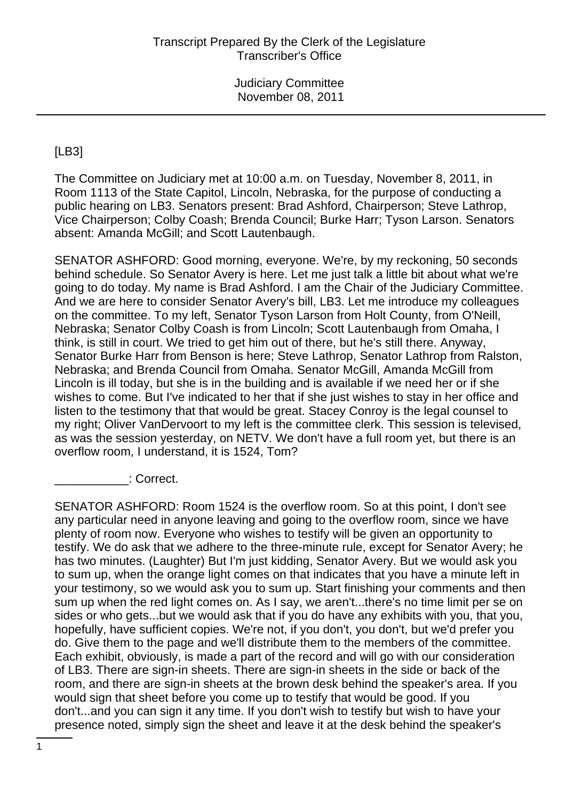# [LB3]

The Committee on Judiciary met at 10:00 a.m. on Tuesday, November 8, 2011, in Room 1113 of the State Capitol, Lincoln, Nebraska, for the purpose of conducting a public hearing on LB3. Senators present: Brad Ashford, Chairperson; Steve Lathrop, Vice Chairperson; Colby Coash; Brenda Council; Burke Harr; Tyson Larson. Senators absent: Amanda McGill; and Scott Lautenbaugh.

SENATOR ASHFORD: Good morning, everyone. We're, by my reckoning, 50 seconds behind schedule. So Senator Avery is here. Let me just talk a little bit about what we're going to do today. My name is Brad Ashford. I am the Chair of the Judiciary Committee. And we are here to consider Senator Avery's bill, LB3. Let me introduce my colleagues on the committee. To my left, Senator Tyson Larson from Holt County, from O'Neill, Nebraska; Senator Colby Coash is from Lincoln; Scott Lautenbaugh from Omaha, I think, is still in court. We tried to get him out of there, but he's still there. Anyway, Senator Burke Harr from Benson is here; Steve Lathrop, Senator Lathrop from Ralston, Nebraska; and Brenda Council from Omaha. Senator McGill, Amanda McGill from Lincoln is ill today, but she is in the building and is available if we need her or if she wishes to come. But I've indicated to her that if she just wishes to stay in her office and listen to the testimony that that would be great. Stacey Conroy is the legal counsel to my right; Oliver VanDervoort to my left is the committee clerk. This session is televised, as was the session yesterday, on NETV. We don't have a full room yet, but there is an overflow room, I understand, it is 1524, Tom?

\_\_\_\_\_\_\_\_\_\_\_: Correct.

SENATOR ASHFORD: Room 1524 is the overflow room. So at this point, I don't see any particular need in anyone leaving and going to the overflow room, since we have plenty of room now. Everyone who wishes to testify will be given an opportunity to testify. We do ask that we adhere to the three-minute rule, except for Senator Avery; he has two minutes. (Laughter) But I'm just kidding, Senator Avery. But we would ask you to sum up, when the orange light comes on that indicates that you have a minute left in your testimony, so we would ask you to sum up. Start finishing your comments and then sum up when the red light comes on. As I say, we aren't...there's no time limit per se on sides or who gets...but we would ask that if you do have any exhibits with you, that you, hopefully, have sufficient copies. We're not, if you don't, you don't, but we'd prefer you do. Give them to the page and we'll distribute them to the members of the committee. Each exhibit, obviously, is made a part of the record and will go with our consideration of LB3. There are sign-in sheets. There are sign-in sheets in the side or back of the room, and there are sign-in sheets at the brown desk behind the speaker's area. If you would sign that sheet before you come up to testify that would be good. If you don't...and you can sign it any time. If you don't wish to testify but wish to have your presence noted, simply sign the sheet and leave it at the desk behind the speaker's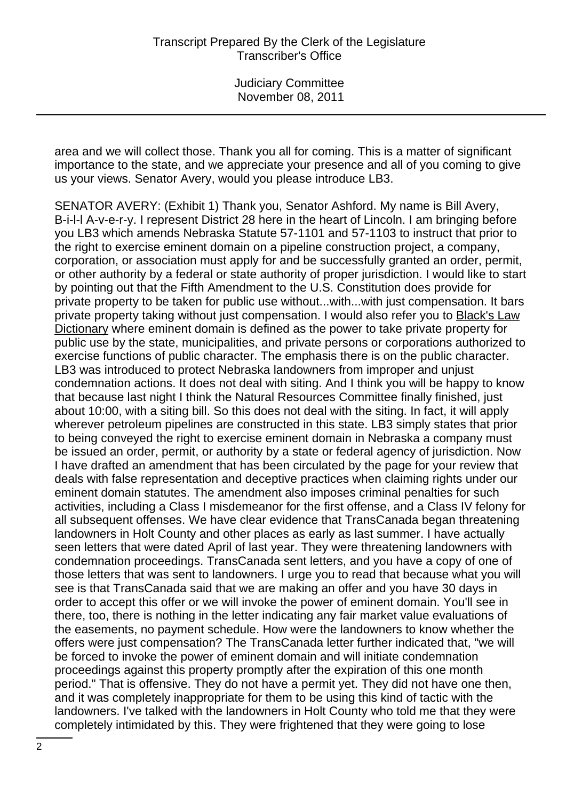area and we will collect those. Thank you all for coming. This is a matter of significant importance to the state, and we appreciate your presence and all of you coming to give us your views. Senator Avery, would you please introduce LB3.

SENATOR AVERY: (Exhibit 1) Thank you, Senator Ashford. My name is Bill Avery, B-i-l-l A-v-e-r-y. I represent District 28 here in the heart of Lincoln. I am bringing before you LB3 which amends Nebraska Statute 57-1101 and 57-1103 to instruct that prior to the right to exercise eminent domain on a pipeline construction project, a company, corporation, or association must apply for and be successfully granted an order, permit, or other authority by a federal or state authority of proper jurisdiction. I would like to start by pointing out that the Fifth Amendment to the U.S. Constitution does provide for private property to be taken for public use without...with...with just compensation. It bars private property taking without just compensation. I would also refer you to Black's Law Dictionary where eminent domain is defined as the power to take private property for public use by the state, municipalities, and private persons or corporations authorized to exercise functions of public character. The emphasis there is on the public character. LB3 was introduced to protect Nebraska landowners from improper and unjust condemnation actions. It does not deal with siting. And I think you will be happy to know that because last night I think the Natural Resources Committee finally finished, just about 10:00, with a siting bill. So this does not deal with the siting. In fact, it will apply wherever petroleum pipelines are constructed in this state. LB3 simply states that prior to being conveyed the right to exercise eminent domain in Nebraska a company must be issued an order, permit, or authority by a state or federal agency of jurisdiction. Now I have drafted an amendment that has been circulated by the page for your review that deals with false representation and deceptive practices when claiming rights under our eminent domain statutes. The amendment also imposes criminal penalties for such activities, including a Class I misdemeanor for the first offense, and a Class IV felony for all subsequent offenses. We have clear evidence that TransCanada began threatening landowners in Holt County and other places as early as last summer. I have actually seen letters that were dated April of last year. They were threatening landowners with condemnation proceedings. TransCanada sent letters, and you have a copy of one of those letters that was sent to landowners. I urge you to read that because what you will see is that TransCanada said that we are making an offer and you have 30 days in order to accept this offer or we will invoke the power of eminent domain. You'll see in there, too, there is nothing in the letter indicating any fair market value evaluations of the easements, no payment schedule. How were the landowners to know whether the offers were just compensation? The TransCanada letter further indicated that, "we will be forced to invoke the power of eminent domain and will initiate condemnation proceedings against this property promptly after the expiration of this one month period." That is offensive. They do not have a permit yet. They did not have one then, and it was completely inappropriate for them to be using this kind of tactic with the landowners. I've talked with the landowners in Holt County who told me that they were completely intimidated by this. They were frightened that they were going to lose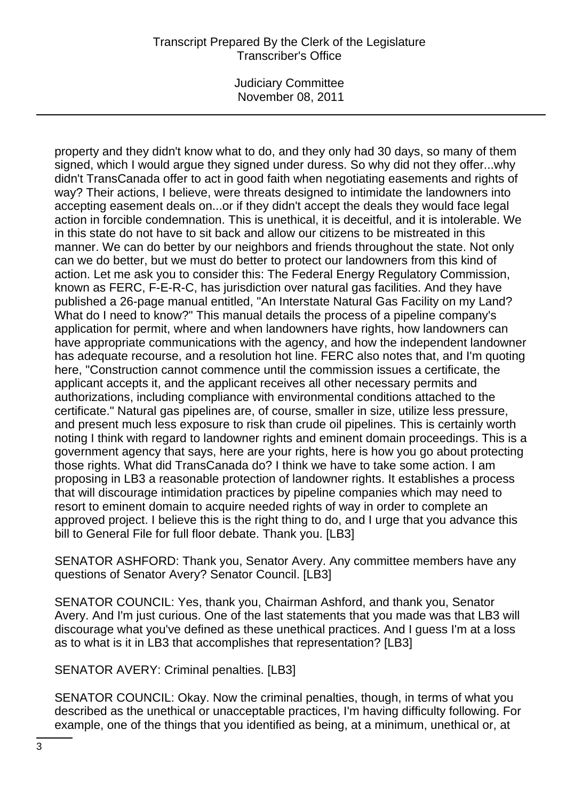Judiciary Committee November 08, 2011

property and they didn't know what to do, and they only had 30 days, so many of them signed, which I would argue they signed under duress. So why did not they offer...why didn't TransCanada offer to act in good faith when negotiating easements and rights of way? Their actions, I believe, were threats designed to intimidate the landowners into accepting easement deals on...or if they didn't accept the deals they would face legal action in forcible condemnation. This is unethical, it is deceitful, and it is intolerable. We in this state do not have to sit back and allow our citizens to be mistreated in this manner. We can do better by our neighbors and friends throughout the state. Not only can we do better, but we must do better to protect our landowners from this kind of action. Let me ask you to consider this: The Federal Energy Regulatory Commission, known as FERC, F-E-R-C, has jurisdiction over natural gas facilities. And they have published a 26-page manual entitled, "An Interstate Natural Gas Facility on my Land? What do I need to know?" This manual details the process of a pipeline company's application for permit, where and when landowners have rights, how landowners can have appropriate communications with the agency, and how the independent landowner has adequate recourse, and a resolution hot line. FERC also notes that, and I'm quoting here, "Construction cannot commence until the commission issues a certificate, the applicant accepts it, and the applicant receives all other necessary permits and authorizations, including compliance with environmental conditions attached to the certificate." Natural gas pipelines are, of course, smaller in size, utilize less pressure, and present much less exposure to risk than crude oil pipelines. This is certainly worth noting I think with regard to landowner rights and eminent domain proceedings. This is a government agency that says, here are your rights, here is how you go about protecting those rights. What did TransCanada do? I think we have to take some action. I am proposing in LB3 a reasonable protection of landowner rights. It establishes a process that will discourage intimidation practices by pipeline companies which may need to resort to eminent domain to acquire needed rights of way in order to complete an approved project. I believe this is the right thing to do, and I urge that you advance this bill to General File for full floor debate. Thank you. [LB3]

SENATOR ASHFORD: Thank you, Senator Avery. Any committee members have any questions of Senator Avery? Senator Council. [LB3]

SENATOR COUNCIL: Yes, thank you, Chairman Ashford, and thank you, Senator Avery. And I'm just curious. One of the last statements that you made was that LB3 will discourage what you've defined as these unethical practices. And I guess I'm at a loss as to what is it in LB3 that accomplishes that representation? [LB3]

SENATOR AVERY: Criminal penalties. [LB3]

SENATOR COUNCIL: Okay. Now the criminal penalties, though, in terms of what you described as the unethical or unacceptable practices, I'm having difficulty following. For example, one of the things that you identified as being, at a minimum, unethical or, at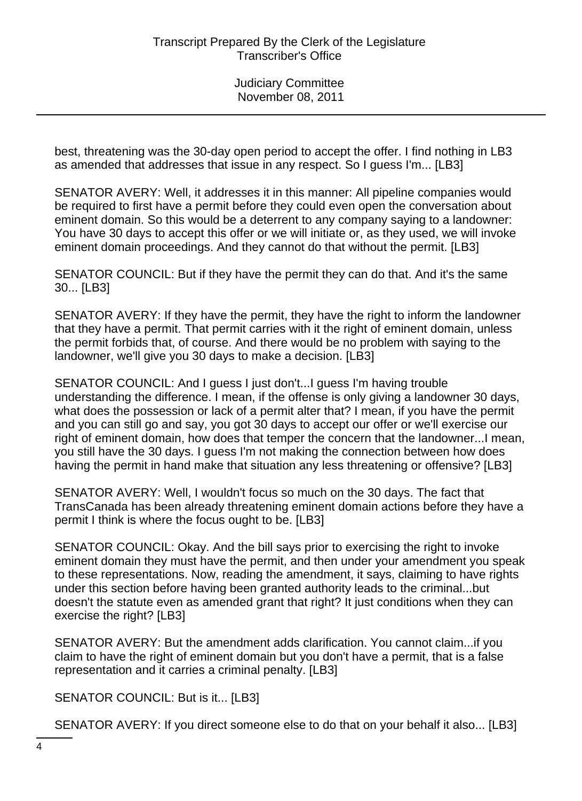best, threatening was the 30-day open period to accept the offer. I find nothing in LB3 as amended that addresses that issue in any respect. So I guess I'm... [LB3]

SENATOR AVERY: Well, it addresses it in this manner: All pipeline companies would be required to first have a permit before they could even open the conversation about eminent domain. So this would be a deterrent to any company saying to a landowner: You have 30 days to accept this offer or we will initiate or, as they used, we will invoke eminent domain proceedings. And they cannot do that without the permit. [LB3]

SENATOR COUNCIL: But if they have the permit they can do that. And it's the same 30... [LB3]

SENATOR AVERY: If they have the permit, they have the right to inform the landowner that they have a permit. That permit carries with it the right of eminent domain, unless the permit forbids that, of course. And there would be no problem with saying to the landowner, we'll give you 30 days to make a decision. [LB3]

SENATOR COUNCIL: And I guess I just don't...I guess I'm having trouble understanding the difference. I mean, if the offense is only giving a landowner 30 days, what does the possession or lack of a permit alter that? I mean, if you have the permit and you can still go and say, you got 30 days to accept our offer or we'll exercise our right of eminent domain, how does that temper the concern that the landowner...I mean, you still have the 30 days. I guess I'm not making the connection between how does having the permit in hand make that situation any less threatening or offensive? [LB3]

SENATOR AVERY: Well, I wouldn't focus so much on the 30 days. The fact that TransCanada has been already threatening eminent domain actions before they have a permit I think is where the focus ought to be. [LB3]

SENATOR COUNCIL: Okay. And the bill says prior to exercising the right to invoke eminent domain they must have the permit, and then under your amendment you speak to these representations. Now, reading the amendment, it says, claiming to have rights under this section before having been granted authority leads to the criminal...but doesn't the statute even as amended grant that right? It just conditions when they can exercise the right? [LB3]

SENATOR AVERY: But the amendment adds clarification. You cannot claim...if you claim to have the right of eminent domain but you don't have a permit, that is a false representation and it carries a criminal penalty. [LB3]

SENATOR COUNCIL: But is it... [LB3]

SENATOR AVERY: If you direct someone else to do that on your behalf it also... [LB3]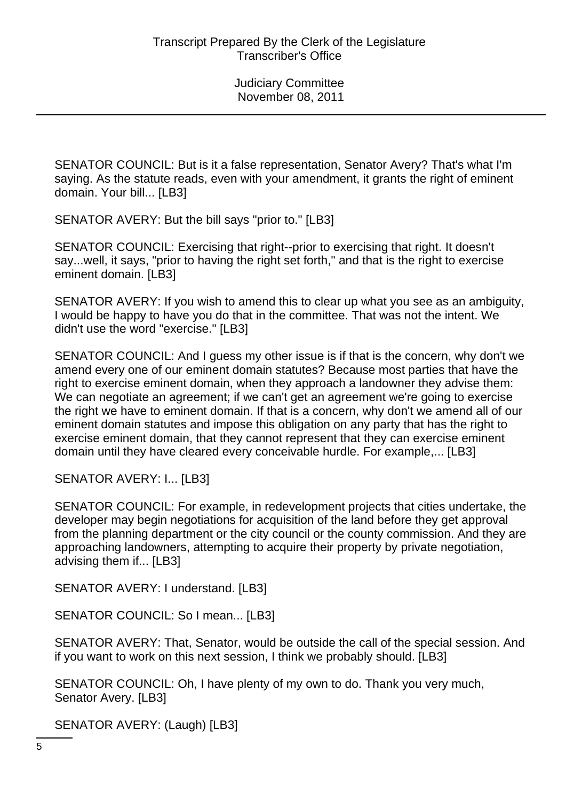SENATOR COUNCIL: But is it a false representation, Senator Avery? That's what I'm saying. As the statute reads, even with your amendment, it grants the right of eminent domain. Your bill... [LB3]

SENATOR AVERY: But the bill says "prior to." [LB3]

SENATOR COUNCIL: Exercising that right--prior to exercising that right. It doesn't say...well, it says, "prior to having the right set forth," and that is the right to exercise eminent domain. [LB3]

SENATOR AVERY: If you wish to amend this to clear up what you see as an ambiguity, I would be happy to have you do that in the committee. That was not the intent. We didn't use the word "exercise." [LB3]

SENATOR COUNCIL: And I guess my other issue is if that is the concern, why don't we amend every one of our eminent domain statutes? Because most parties that have the right to exercise eminent domain, when they approach a landowner they advise them: We can negotiate an agreement; if we can't get an agreement we're going to exercise the right we have to eminent domain. If that is a concern, why don't we amend all of our eminent domain statutes and impose this obligation on any party that has the right to exercise eminent domain, that they cannot represent that they can exercise eminent domain until they have cleared every conceivable hurdle. For example,... [LB3]

SENATOR AVERY: I... [LB3]

SENATOR COUNCIL: For example, in redevelopment projects that cities undertake, the developer may begin negotiations for acquisition of the land before they get approval from the planning department or the city council or the county commission. And they are approaching landowners, attempting to acquire their property by private negotiation, advising them if... [LB3]

SENATOR AVERY: I understand. [LB3]

SENATOR COUNCIL: So I mean... [LB3]

SENATOR AVERY: That, Senator, would be outside the call of the special session. And if you want to work on this next session, I think we probably should. [LB3]

SENATOR COUNCIL: Oh, I have plenty of my own to do. Thank you very much, Senator Avery. [LB3]

SENATOR AVERY: (Laugh) [LB3]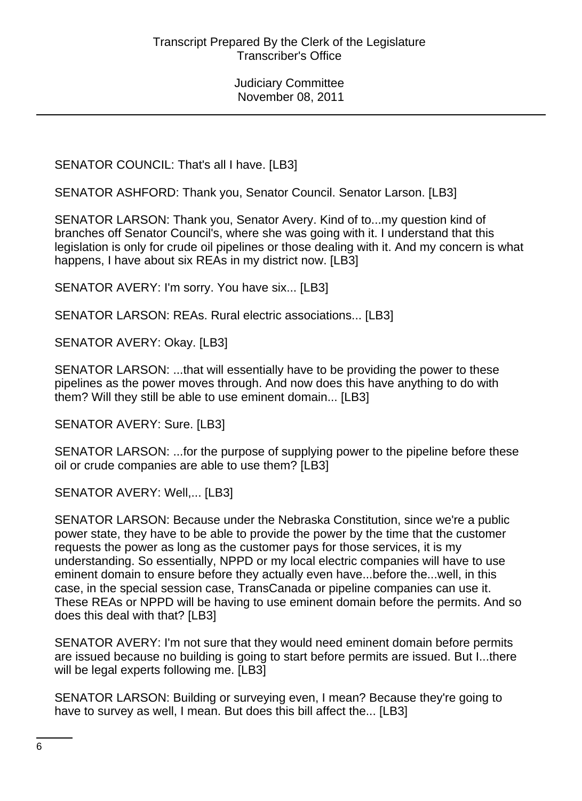SENATOR COUNCIL: That's all I have. [LB3]

SENATOR ASHFORD: Thank you, Senator Council. Senator Larson. [LB3]

SENATOR LARSON: Thank you, Senator Avery. Kind of to...my question kind of branches off Senator Council's, where she was going with it. I understand that this legislation is only for crude oil pipelines or those dealing with it. And my concern is what happens, I have about six REAs in my district now. [LB3]

SENATOR AVERY: I'm sorry. You have six... [LB3]

SENATOR LARSON: REAs. Rural electric associations... [LB3]

SENATOR AVERY: Okay. [LB3]

SENATOR LARSON: ...that will essentially have to be providing the power to these pipelines as the power moves through. And now does this have anything to do with them? Will they still be able to use eminent domain... [LB3]

SENATOR AVERY: Sure. [LB3]

SENATOR LARSON: ...for the purpose of supplying power to the pipeline before these oil or crude companies are able to use them? [LB3]

SENATOR AVERY: Well,... [LB3]

SENATOR LARSON: Because under the Nebraska Constitution, since we're a public power state, they have to be able to provide the power by the time that the customer requests the power as long as the customer pays for those services, it is my understanding. So essentially, NPPD or my local electric companies will have to use eminent domain to ensure before they actually even have...before the...well, in this case, in the special session case, TransCanada or pipeline companies can use it. These REAs or NPPD will be having to use eminent domain before the permits. And so does this deal with that? [LB3]

SENATOR AVERY: I'm not sure that they would need eminent domain before permits are issued because no building is going to start before permits are issued. But I...there will be legal experts following me. [LB3]

SENATOR LARSON: Building or surveying even, I mean? Because they're going to have to survey as well, I mean. But does this bill affect the... [LB3]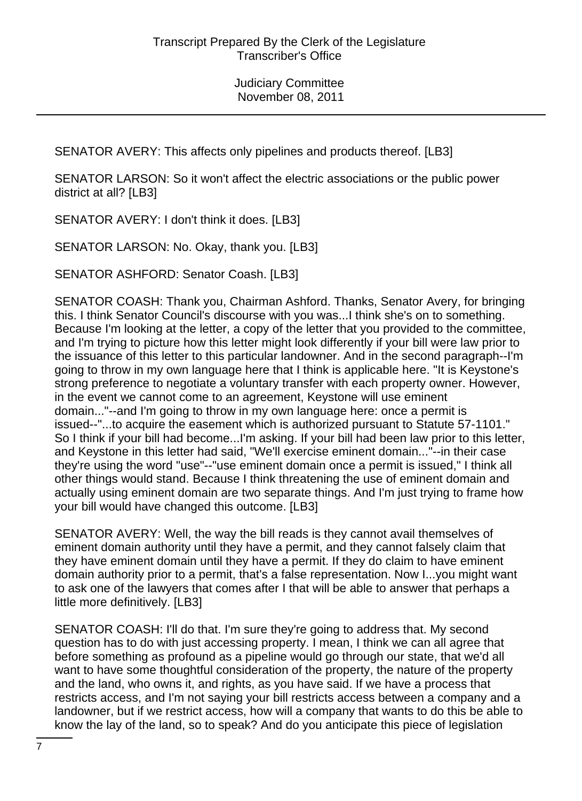SENATOR AVERY: This affects only pipelines and products thereof. [LB3]

SENATOR LARSON: So it won't affect the electric associations or the public power district at all? [LB3]

SENATOR AVERY: I don't think it does. [LB3]

SENATOR LARSON: No. Okay, thank you. [LB3]

SENATOR ASHFORD: Senator Coash. [LB3]

SENATOR COASH: Thank you, Chairman Ashford. Thanks, Senator Avery, for bringing this. I think Senator Council's discourse with you was...I think she's on to something. Because I'm looking at the letter, a copy of the letter that you provided to the committee, and I'm trying to picture how this letter might look differently if your bill were law prior to the issuance of this letter to this particular landowner. And in the second paragraph--I'm going to throw in my own language here that I think is applicable here. "It is Keystone's strong preference to negotiate a voluntary transfer with each property owner. However, in the event we cannot come to an agreement, Keystone will use eminent domain..."--and I'm going to throw in my own language here: once a permit is issued--"...to acquire the easement which is authorized pursuant to Statute 57-1101." So I think if your bill had become...I'm asking. If your bill had been law prior to this letter, and Keystone in this letter had said, "We'll exercise eminent domain..."--in their case they're using the word "use"--"use eminent domain once a permit is issued," I think all other things would stand. Because I think threatening the use of eminent domain and actually using eminent domain are two separate things. And I'm just trying to frame how your bill would have changed this outcome. [LB3]

SENATOR AVERY: Well, the way the bill reads is they cannot avail themselves of eminent domain authority until they have a permit, and they cannot falsely claim that they have eminent domain until they have a permit. If they do claim to have eminent domain authority prior to a permit, that's a false representation. Now I...you might want to ask one of the lawyers that comes after I that will be able to answer that perhaps a little more definitively. [LB3]

SENATOR COASH: I'll do that. I'm sure they're going to address that. My second question has to do with just accessing property. I mean, I think we can all agree that before something as profound as a pipeline would go through our state, that we'd all want to have some thoughtful consideration of the property, the nature of the property and the land, who owns it, and rights, as you have said. If we have a process that restricts access, and I'm not saying your bill restricts access between a company and a landowner, but if we restrict access, how will a company that wants to do this be able to know the lay of the land, so to speak? And do you anticipate this piece of legislation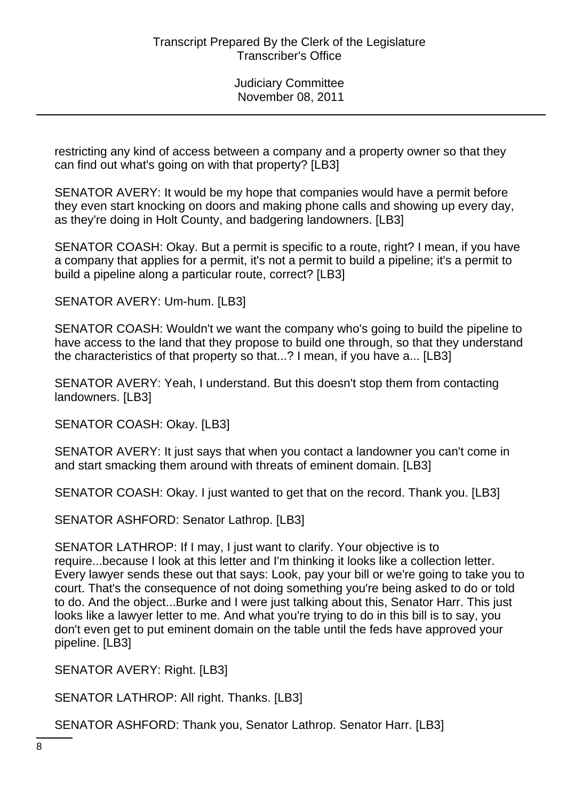restricting any kind of access between a company and a property owner so that they can find out what's going on with that property? [LB3]

SENATOR AVERY: It would be my hope that companies would have a permit before they even start knocking on doors and making phone calls and showing up every day, as they're doing in Holt County, and badgering landowners. [LB3]

SENATOR COASH: Okay. But a permit is specific to a route, right? I mean, if you have a company that applies for a permit, it's not a permit to build a pipeline; it's a permit to build a pipeline along a particular route, correct? [LB3]

SENATOR AVERY: Um-hum. [LB3]

SENATOR COASH: Wouldn't we want the company who's going to build the pipeline to have access to the land that they propose to build one through, so that they understand the characteristics of that property so that...? I mean, if you have a... [LB3]

SENATOR AVERY: Yeah, I understand. But this doesn't stop them from contacting landowners. [LB3]

SENATOR COASH: Okay. [LB3]

SENATOR AVERY: It just says that when you contact a landowner you can't come in and start smacking them around with threats of eminent domain. [LB3]

SENATOR COASH: Okay. I just wanted to get that on the record. Thank you. [LB3]

SENATOR ASHFORD: Senator Lathrop. [LB3]

SENATOR LATHROP: If I may, I just want to clarify. Your objective is to require...because I look at this letter and I'm thinking it looks like a collection letter. Every lawyer sends these out that says: Look, pay your bill or we're going to take you to court. That's the consequence of not doing something you're being asked to do or told to do. And the object...Burke and I were just talking about this, Senator Harr. This just looks like a lawyer letter to me. And what you're trying to do in this bill is to say, you don't even get to put eminent domain on the table until the feds have approved your pipeline. [LB3]

SENATOR AVERY: Right. [LB3]

SENATOR LATHROP: All right. Thanks. [LB3]

SENATOR ASHFORD: Thank you, Senator Lathrop. Senator Harr. [LB3]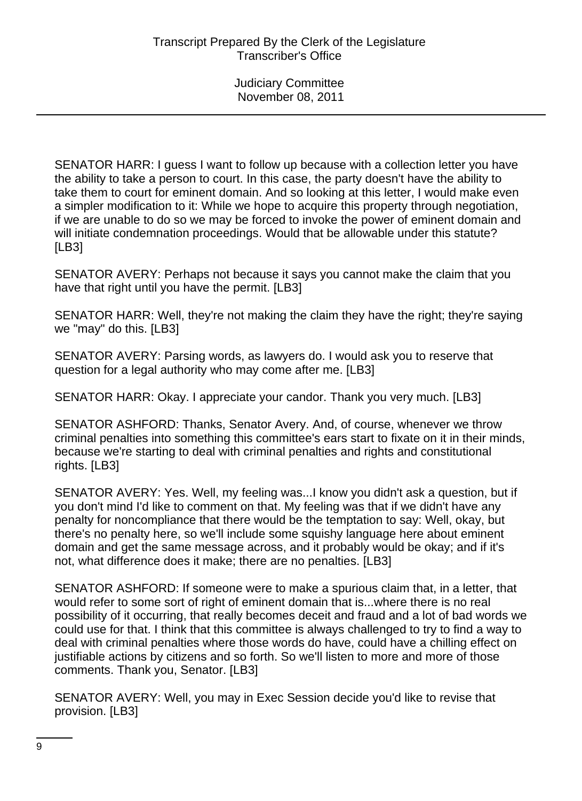SENATOR HARR: I guess I want to follow up because with a collection letter you have the ability to take a person to court. In this case, the party doesn't have the ability to take them to court for eminent domain. And so looking at this letter, I would make even a simpler modification to it: While we hope to acquire this property through negotiation, if we are unable to do so we may be forced to invoke the power of eminent domain and will initiate condemnation proceedings. Would that be allowable under this statute? [LB3]

SENATOR AVERY: Perhaps not because it says you cannot make the claim that you have that right until you have the permit. [LB3]

SENATOR HARR: Well, they're not making the claim they have the right; they're saying we "may" do this. [LB3]

SENATOR AVERY: Parsing words, as lawyers do. I would ask you to reserve that question for a legal authority who may come after me. [LB3]

SENATOR HARR: Okay. I appreciate your candor. Thank you very much. [LB3]

SENATOR ASHFORD: Thanks, Senator Avery. And, of course, whenever we throw criminal penalties into something this committee's ears start to fixate on it in their minds, because we're starting to deal with criminal penalties and rights and constitutional rights. [LB3]

SENATOR AVERY: Yes. Well, my feeling was...I know you didn't ask a question, but if you don't mind I'd like to comment on that. My feeling was that if we didn't have any penalty for noncompliance that there would be the temptation to say: Well, okay, but there's no penalty here, so we'll include some squishy language here about eminent domain and get the same message across, and it probably would be okay; and if it's not, what difference does it make; there are no penalties. [LB3]

SENATOR ASHFORD: If someone were to make a spurious claim that, in a letter, that would refer to some sort of right of eminent domain that is...where there is no real possibility of it occurring, that really becomes deceit and fraud and a lot of bad words we could use for that. I think that this committee is always challenged to try to find a way to deal with criminal penalties where those words do have, could have a chilling effect on justifiable actions by citizens and so forth. So we'll listen to more and more of those comments. Thank you, Senator. [LB3]

SENATOR AVERY: Well, you may in Exec Session decide you'd like to revise that provision. [LB3]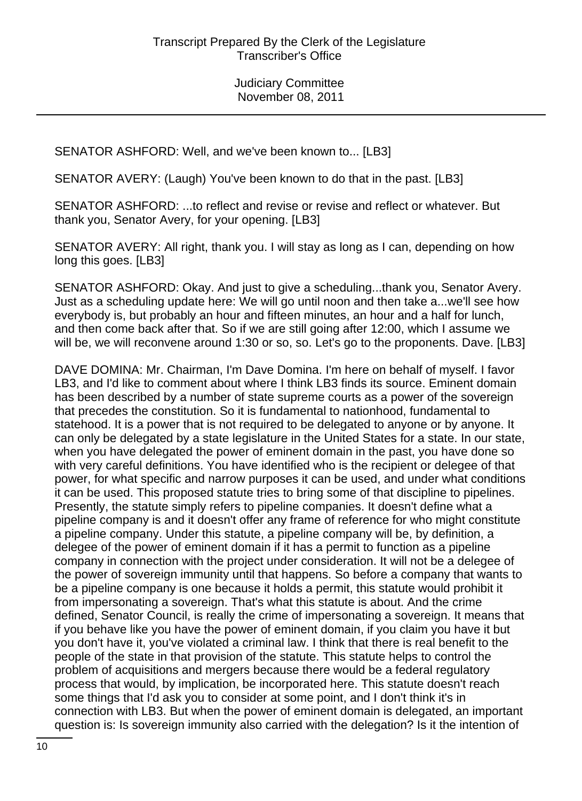SENATOR ASHFORD: Well, and we've been known to... [LB3]

SENATOR AVERY: (Laugh) You've been known to do that in the past. [LB3]

SENATOR ASHFORD: ...to reflect and revise or revise and reflect or whatever. But thank you, Senator Avery, for your opening. [LB3]

SENATOR AVERY: All right, thank you. I will stay as long as I can, depending on how long this goes. [LB3]

SENATOR ASHFORD: Okay. And just to give a scheduling...thank you, Senator Avery. Just as a scheduling update here: We will go until noon and then take a...we'll see how everybody is, but probably an hour and fifteen minutes, an hour and a half for lunch, and then come back after that. So if we are still going after 12:00, which I assume we will be, we will reconvene around 1:30 or so, so. Let's go to the proponents. Dave. [LB3]

DAVE DOMINA: Mr. Chairman, I'm Dave Domina. I'm here on behalf of myself. I favor LB3, and I'd like to comment about where I think LB3 finds its source. Eminent domain has been described by a number of state supreme courts as a power of the sovereign that precedes the constitution. So it is fundamental to nationhood, fundamental to statehood. It is a power that is not required to be delegated to anyone or by anyone. It can only be delegated by a state legislature in the United States for a state. In our state, when you have delegated the power of eminent domain in the past, you have done so with very careful definitions. You have identified who is the recipient or delegee of that power, for what specific and narrow purposes it can be used, and under what conditions it can be used. This proposed statute tries to bring some of that discipline to pipelines. Presently, the statute simply refers to pipeline companies. It doesn't define what a pipeline company is and it doesn't offer any frame of reference for who might constitute a pipeline company. Under this statute, a pipeline company will be, by definition, a delegee of the power of eminent domain if it has a permit to function as a pipeline company in connection with the project under consideration. It will not be a delegee of the power of sovereign immunity until that happens. So before a company that wants to be a pipeline company is one because it holds a permit, this statute would prohibit it from impersonating a sovereign. That's what this statute is about. And the crime defined, Senator Council, is really the crime of impersonating a sovereign. It means that if you behave like you have the power of eminent domain, if you claim you have it but you don't have it, you've violated a criminal law. I think that there is real benefit to the people of the state in that provision of the statute. This statute helps to control the problem of acquisitions and mergers because there would be a federal regulatory process that would, by implication, be incorporated here. This statute doesn't reach some things that I'd ask you to consider at some point, and I don't think it's in connection with LB3. But when the power of eminent domain is delegated, an important question is: Is sovereign immunity also carried with the delegation? Is it the intention of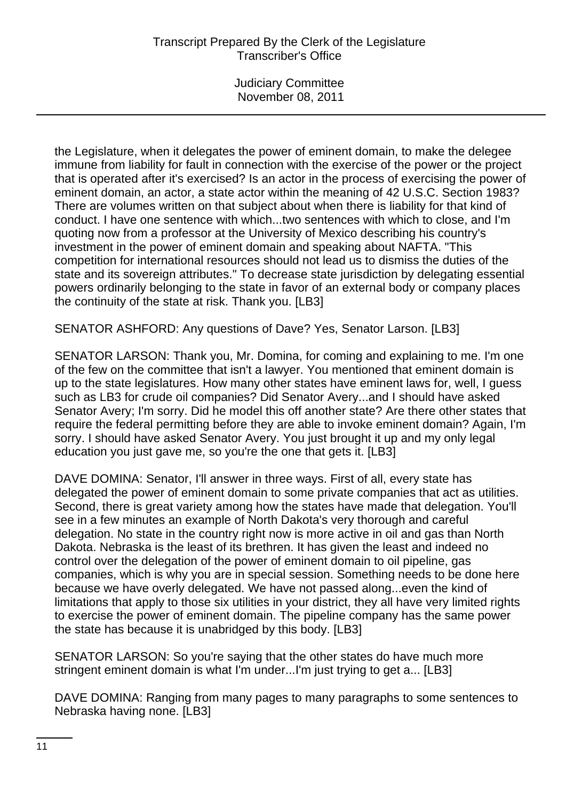Judiciary Committee November 08, 2011

the Legislature, when it delegates the power of eminent domain, to make the delegee immune from liability for fault in connection with the exercise of the power or the project that is operated after it's exercised? Is an actor in the process of exercising the power of eminent domain, an actor, a state actor within the meaning of 42 U.S.C. Section 1983? There are volumes written on that subject about when there is liability for that kind of conduct. I have one sentence with which...two sentences with which to close, and I'm quoting now from a professor at the University of Mexico describing his country's investment in the power of eminent domain and speaking about NAFTA. "This competition for international resources should not lead us to dismiss the duties of the state and its sovereign attributes." To decrease state jurisdiction by delegating essential powers ordinarily belonging to the state in favor of an external body or company places the continuity of the state at risk. Thank you. [LB3]

SENATOR ASHFORD: Any questions of Dave? Yes, Senator Larson. [LB3]

SENATOR LARSON: Thank you, Mr. Domina, for coming and explaining to me. I'm one of the few on the committee that isn't a lawyer. You mentioned that eminent domain is up to the state legislatures. How many other states have eminent laws for, well, I guess such as LB3 for crude oil companies? Did Senator Avery...and I should have asked Senator Avery; I'm sorry. Did he model this off another state? Are there other states that require the federal permitting before they are able to invoke eminent domain? Again, I'm sorry. I should have asked Senator Avery. You just brought it up and my only legal education you just gave me, so you're the one that gets it. [LB3]

DAVE DOMINA: Senator, I'll answer in three ways. First of all, every state has delegated the power of eminent domain to some private companies that act as utilities. Second, there is great variety among how the states have made that delegation. You'll see in a few minutes an example of North Dakota's very thorough and careful delegation. No state in the country right now is more active in oil and gas than North Dakota. Nebraska is the least of its brethren. It has given the least and indeed no control over the delegation of the power of eminent domain to oil pipeline, gas companies, which is why you are in special session. Something needs to be done here because we have overly delegated. We have not passed along...even the kind of limitations that apply to those six utilities in your district, they all have very limited rights to exercise the power of eminent domain. The pipeline company has the same power the state has because it is unabridged by this body. [LB3]

SENATOR LARSON: So you're saying that the other states do have much more stringent eminent domain is what I'm under...I'm just trying to get a... [LB3]

DAVE DOMINA: Ranging from many pages to many paragraphs to some sentences to Nebraska having none. [LB3]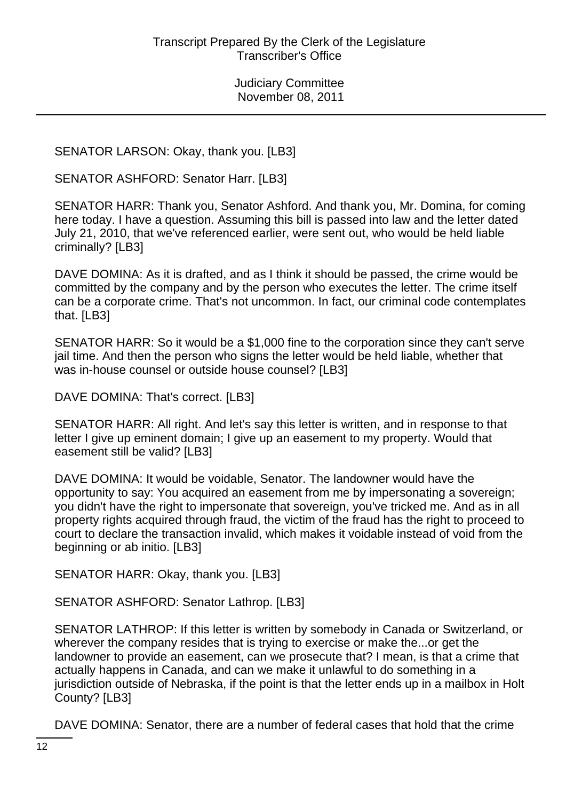SENATOR LARSON: Okay, thank you. [LB3]

SENATOR ASHFORD: Senator Harr. [LB3]

SENATOR HARR: Thank you, Senator Ashford. And thank you, Mr. Domina, for coming here today. I have a question. Assuming this bill is passed into law and the letter dated July 21, 2010, that we've referenced earlier, were sent out, who would be held liable criminally? [LB3]

DAVE DOMINA: As it is drafted, and as I think it should be passed, the crime would be committed by the company and by the person who executes the letter. The crime itself can be a corporate crime. That's not uncommon. In fact, our criminal code contemplates that. [LB3]

SENATOR HARR: So it would be a \$1,000 fine to the corporation since they can't serve jail time. And then the person who signs the letter would be held liable, whether that was in-house counsel or outside house counsel? [LB3]

DAVE DOMINA: That's correct. [LB3]

SENATOR HARR: All right. And let's say this letter is written, and in response to that letter I give up eminent domain; I give up an easement to my property. Would that easement still be valid? [LB3]

DAVE DOMINA: It would be voidable, Senator. The landowner would have the opportunity to say: You acquired an easement from me by impersonating a sovereign; you didn't have the right to impersonate that sovereign, you've tricked me. And as in all property rights acquired through fraud, the victim of the fraud has the right to proceed to court to declare the transaction invalid, which makes it voidable instead of void from the beginning or ab initio. [LB3]

SENATOR HARR: Okay, thank you. [LB3]

SENATOR ASHFORD: Senator Lathrop. [LB3]

SENATOR LATHROP: If this letter is written by somebody in Canada or Switzerland, or wherever the company resides that is trying to exercise or make the...or get the landowner to provide an easement, can we prosecute that? I mean, is that a crime that actually happens in Canada, and can we make it unlawful to do something in a jurisdiction outside of Nebraska, if the point is that the letter ends up in a mailbox in Holt County? [LB3]

DAVE DOMINA: Senator, there are a number of federal cases that hold that the crime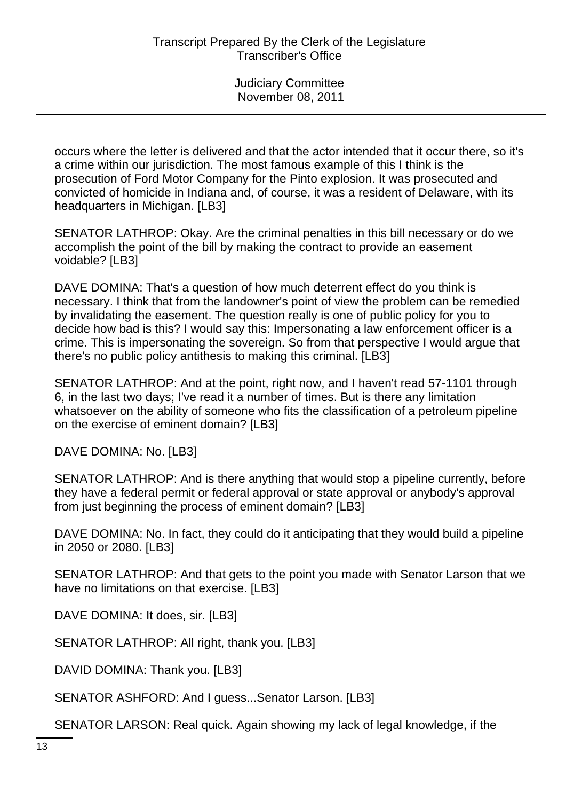occurs where the letter is delivered and that the actor intended that it occur there, so it's a crime within our jurisdiction. The most famous example of this I think is the prosecution of Ford Motor Company for the Pinto explosion. It was prosecuted and convicted of homicide in Indiana and, of course, it was a resident of Delaware, with its headquarters in Michigan. [LB3]

SENATOR LATHROP: Okay. Are the criminal penalties in this bill necessary or do we accomplish the point of the bill by making the contract to provide an easement voidable? [LB3]

DAVE DOMINA: That's a question of how much deterrent effect do you think is necessary. I think that from the landowner's point of view the problem can be remedied by invalidating the easement. The question really is one of public policy for you to decide how bad is this? I would say this: Impersonating a law enforcement officer is a crime. This is impersonating the sovereign. So from that perspective I would argue that there's no public policy antithesis to making this criminal. [LB3]

SENATOR LATHROP: And at the point, right now, and I haven't read 57-1101 through 6, in the last two days; I've read it a number of times. But is there any limitation whatsoever on the ability of someone who fits the classification of a petroleum pipeline on the exercise of eminent domain? [LB3]

DAVE DOMINA: No. [LB3]

SENATOR LATHROP: And is there anything that would stop a pipeline currently, before they have a federal permit or federal approval or state approval or anybody's approval from just beginning the process of eminent domain? [LB3]

DAVE DOMINA: No. In fact, they could do it anticipating that they would build a pipeline in 2050 or 2080. [LB3]

SENATOR LATHROP: And that gets to the point you made with Senator Larson that we have no limitations on that exercise. [LB3]

DAVE DOMINA: It does, sir. [LB3]

SENATOR LATHROP: All right, thank you. [LB3]

DAVID DOMINA: Thank you. [LB3]

SENATOR ASHFORD: And I guess...Senator Larson. [LB3]

SENATOR LARSON: Real quick. Again showing my lack of legal knowledge, if the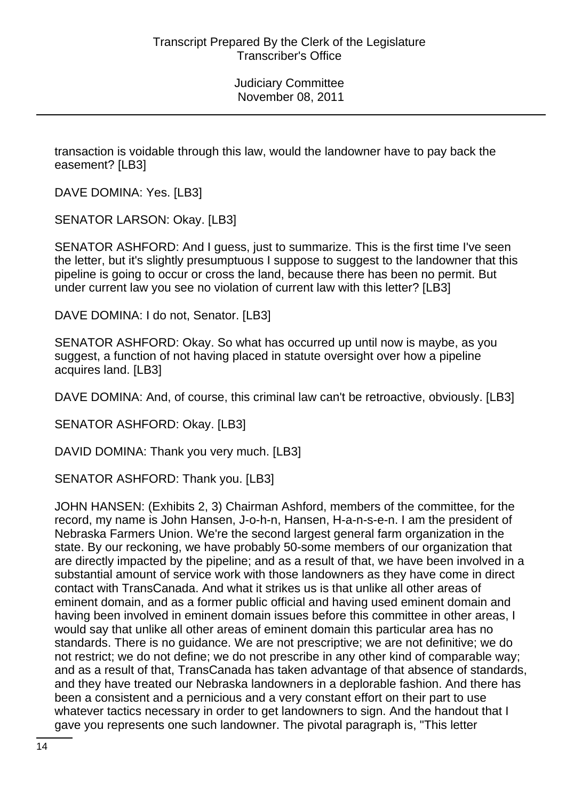transaction is voidable through this law, would the landowner have to pay back the easement? [LB3]

DAVE DOMINA: Yes. [LB3]

SENATOR LARSON: Okay. [LB3]

SENATOR ASHFORD: And I guess, just to summarize. This is the first time I've seen the letter, but it's slightly presumptuous I suppose to suggest to the landowner that this pipeline is going to occur or cross the land, because there has been no permit. But under current law you see no violation of current law with this letter? [LB3]

DAVE DOMINA: I do not, Senator. [LB3]

SENATOR ASHFORD: Okay. So what has occurred up until now is maybe, as you suggest, a function of not having placed in statute oversight over how a pipeline acquires land. [LB3]

DAVE DOMINA: And, of course, this criminal law can't be retroactive, obviously. [LB3]

SENATOR ASHFORD: Okay. [LB3]

DAVID DOMINA: Thank you very much. [LB3]

SENATOR ASHFORD: Thank you. [LB3]

JOHN HANSEN: (Exhibits 2, 3) Chairman Ashford, members of the committee, for the record, my name is John Hansen, J-o-h-n, Hansen, H-a-n-s-e-n. I am the president of Nebraska Farmers Union. We're the second largest general farm organization in the state. By our reckoning, we have probably 50-some members of our organization that are directly impacted by the pipeline; and as a result of that, we have been involved in a substantial amount of service work with those landowners as they have come in direct contact with TransCanada. And what it strikes us is that unlike all other areas of eminent domain, and as a former public official and having used eminent domain and having been involved in eminent domain issues before this committee in other areas, I would say that unlike all other areas of eminent domain this particular area has no standards. There is no guidance. We are not prescriptive; we are not definitive; we do not restrict; we do not define; we do not prescribe in any other kind of comparable way; and as a result of that, TransCanada has taken advantage of that absence of standards, and they have treated our Nebraska landowners in a deplorable fashion. And there has been a consistent and a pernicious and a very constant effort on their part to use whatever tactics necessary in order to get landowners to sign. And the handout that I gave you represents one such landowner. The pivotal paragraph is, "This letter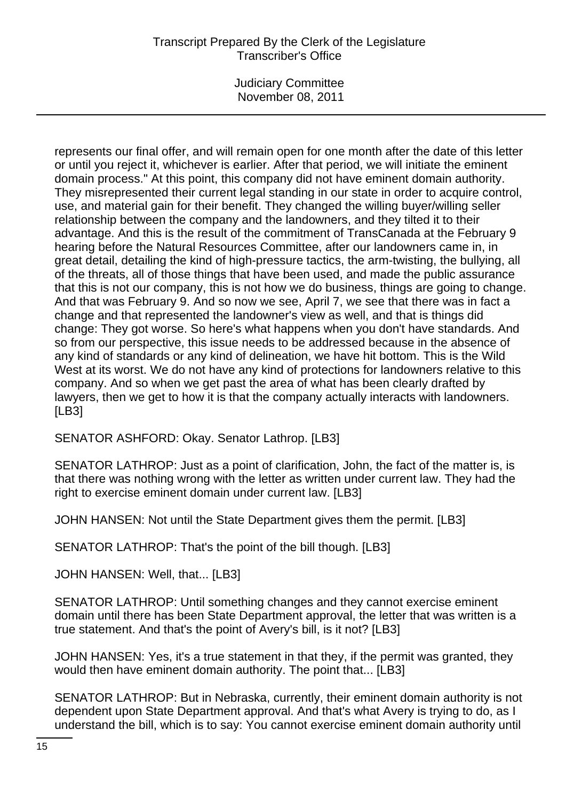Judiciary Committee November 08, 2011

represents our final offer, and will remain open for one month after the date of this letter or until you reject it, whichever is earlier. After that period, we will initiate the eminent domain process." At this point, this company did not have eminent domain authority. They misrepresented their current legal standing in our state in order to acquire control, use, and material gain for their benefit. They changed the willing buyer/willing seller relationship between the company and the landowners, and they tilted it to their advantage. And this is the result of the commitment of TransCanada at the February 9 hearing before the Natural Resources Committee, after our landowners came in, in great detail, detailing the kind of high-pressure tactics, the arm-twisting, the bullying, all of the threats, all of those things that have been used, and made the public assurance that this is not our company, this is not how we do business, things are going to change. And that was February 9. And so now we see, April 7, we see that there was in fact a change and that represented the landowner's view as well, and that is things did change: They got worse. So here's what happens when you don't have standards. And so from our perspective, this issue needs to be addressed because in the absence of any kind of standards or any kind of delineation, we have hit bottom. This is the Wild West at its worst. We do not have any kind of protections for landowners relative to this company. And so when we get past the area of what has been clearly drafted by lawyers, then we get to how it is that the company actually interacts with landowners. [LB3]

SENATOR ASHFORD: Okay. Senator Lathrop. [LB3]

SENATOR LATHROP: Just as a point of clarification, John, the fact of the matter is, is that there was nothing wrong with the letter as written under current law. They had the right to exercise eminent domain under current law. [LB3]

JOHN HANSEN: Not until the State Department gives them the permit. [LB3]

SENATOR LATHROP: That's the point of the bill though. [LB3]

JOHN HANSEN: Well, that... [LB3]

SENATOR LATHROP: Until something changes and they cannot exercise eminent domain until there has been State Department approval, the letter that was written is a true statement. And that's the point of Avery's bill, is it not? [LB3]

JOHN HANSEN: Yes, it's a true statement in that they, if the permit was granted, they would then have eminent domain authority. The point that... [LB3]

SENATOR LATHROP: But in Nebraska, currently, their eminent domain authority is not dependent upon State Department approval. And that's what Avery is trying to do, as I understand the bill, which is to say: You cannot exercise eminent domain authority until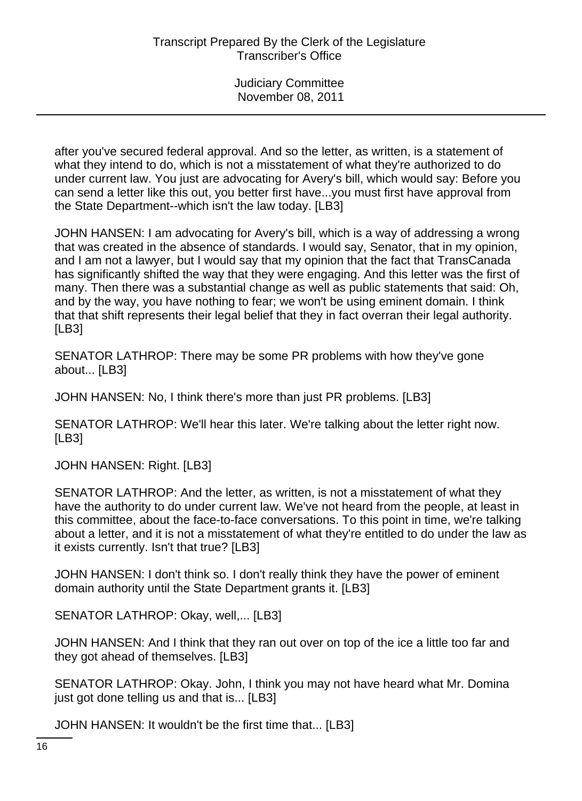after you've secured federal approval. And so the letter, as written, is a statement of what they intend to do, which is not a misstatement of what they're authorized to do under current law. You just are advocating for Avery's bill, which would say: Before you can send a letter like this out, you better first have...you must first have approval from the State Department--which isn't the law today. [LB3]

JOHN HANSEN: I am advocating for Avery's bill, which is a way of addressing a wrong that was created in the absence of standards. I would say, Senator, that in my opinion, and I am not a lawyer, but I would say that my opinion that the fact that TransCanada has significantly shifted the way that they were engaging. And this letter was the first of many. Then there was a substantial change as well as public statements that said: Oh, and by the way, you have nothing to fear; we won't be using eminent domain. I think that that shift represents their legal belief that they in fact overran their legal authority. [LB3]

SENATOR LATHROP: There may be some PR problems with how they've gone about... [LB3]

JOHN HANSEN: No, I think there's more than just PR problems. [LB3]

SENATOR LATHROP: We'll hear this later. We're talking about the letter right now. [LB3]

JOHN HANSEN: Right. [LB3]

SENATOR LATHROP: And the letter, as written, is not a misstatement of what they have the authority to do under current law. We've not heard from the people, at least in this committee, about the face-to-face conversations. To this point in time, we're talking about a letter, and it is not a misstatement of what they're entitled to do under the law as it exists currently. Isn't that true? [LB3]

JOHN HANSEN: I don't think so. I don't really think they have the power of eminent domain authority until the State Department grants it. [LB3]

SENATOR LATHROP: Okay, well,... [LB3]

JOHN HANSEN: And I think that they ran out over on top of the ice a little too far and they got ahead of themselves. [LB3]

SENATOR LATHROP: Okay. John, I think you may not have heard what Mr. Domina just got done telling us and that is... [LB3]

JOHN HANSEN: It wouldn't be the first time that... [LB3]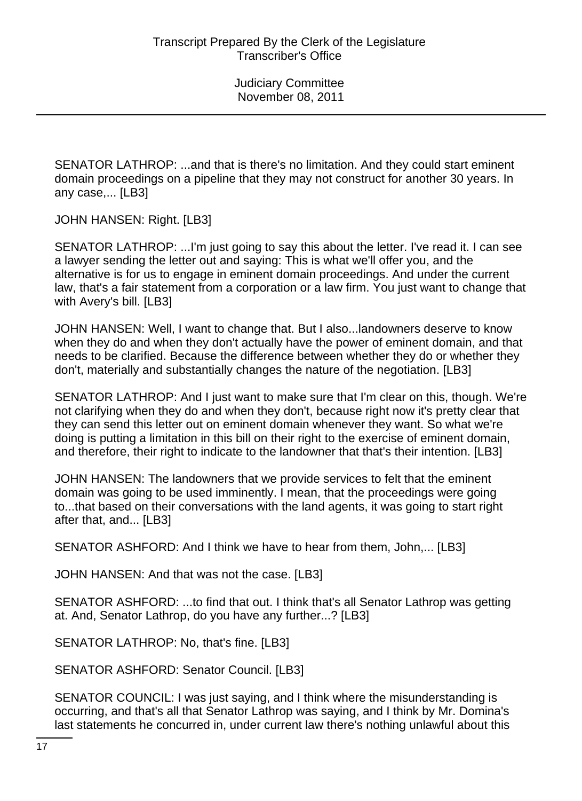SENATOR LATHROP: ...and that is there's no limitation. And they could start eminent domain proceedings on a pipeline that they may not construct for another 30 years. In any case,... [LB3]

JOHN HANSEN: Right. [LB3]

SENATOR LATHROP: ...I'm just going to say this about the letter. I've read it. I can see a lawyer sending the letter out and saying: This is what we'll offer you, and the alternative is for us to engage in eminent domain proceedings. And under the current law, that's a fair statement from a corporation or a law firm. You just want to change that with Avery's bill. [LB3]

JOHN HANSEN: Well, I want to change that. But I also...landowners deserve to know when they do and when they don't actually have the power of eminent domain, and that needs to be clarified. Because the difference between whether they do or whether they don't, materially and substantially changes the nature of the negotiation. [LB3]

SENATOR LATHROP: And I just want to make sure that I'm clear on this, though. We're not clarifying when they do and when they don't, because right now it's pretty clear that they can send this letter out on eminent domain whenever they want. So what we're doing is putting a limitation in this bill on their right to the exercise of eminent domain, and therefore, their right to indicate to the landowner that that's their intention. [LB3]

JOHN HANSEN: The landowners that we provide services to felt that the eminent domain was going to be used imminently. I mean, that the proceedings were going to...that based on their conversations with the land agents, it was going to start right after that, and... [LB3]

SENATOR ASHFORD: And I think we have to hear from them, John,... [LB3]

JOHN HANSEN: And that was not the case. [LB3]

SENATOR ASHFORD: ...to find that out. I think that's all Senator Lathrop was getting at. And, Senator Lathrop, do you have any further...? [LB3]

SENATOR LATHROP: No, that's fine. [LB3]

SENATOR ASHFORD: Senator Council. [LB3]

SENATOR COUNCIL: I was just saying, and I think where the misunderstanding is occurring, and that's all that Senator Lathrop was saying, and I think by Mr. Domina's last statements he concurred in, under current law there's nothing unlawful about this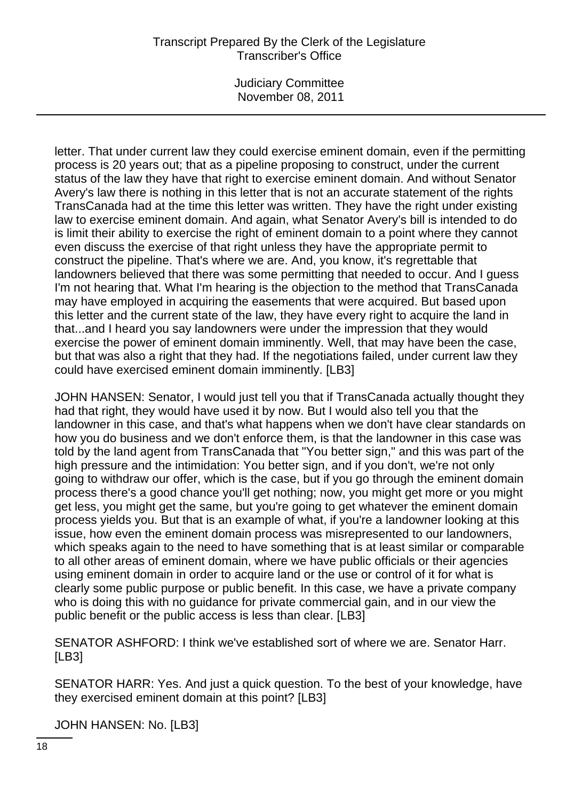Judiciary Committee November 08, 2011

letter. That under current law they could exercise eminent domain, even if the permitting process is 20 years out; that as a pipeline proposing to construct, under the current status of the law they have that right to exercise eminent domain. And without Senator Avery's law there is nothing in this letter that is not an accurate statement of the rights TransCanada had at the time this letter was written. They have the right under existing law to exercise eminent domain. And again, what Senator Avery's bill is intended to do is limit their ability to exercise the right of eminent domain to a point where they cannot even discuss the exercise of that right unless they have the appropriate permit to construct the pipeline. That's where we are. And, you know, it's regrettable that landowners believed that there was some permitting that needed to occur. And I guess I'm not hearing that. What I'm hearing is the objection to the method that TransCanada may have employed in acquiring the easements that were acquired. But based upon this letter and the current state of the law, they have every right to acquire the land in that...and I heard you say landowners were under the impression that they would exercise the power of eminent domain imminently. Well, that may have been the case, but that was also a right that they had. If the negotiations failed, under current law they could have exercised eminent domain imminently. [LB3]

JOHN HANSEN: Senator, I would just tell you that if TransCanada actually thought they had that right, they would have used it by now. But I would also tell you that the landowner in this case, and that's what happens when we don't have clear standards on how you do business and we don't enforce them, is that the landowner in this case was told by the land agent from TransCanada that "You better sign," and this was part of the high pressure and the intimidation: You better sign, and if you don't, we're not only going to withdraw our offer, which is the case, but if you go through the eminent domain process there's a good chance you'll get nothing; now, you might get more or you might get less, you might get the same, but you're going to get whatever the eminent domain process yields you. But that is an example of what, if you're a landowner looking at this issue, how even the eminent domain process was misrepresented to our landowners, which speaks again to the need to have something that is at least similar or comparable to all other areas of eminent domain, where we have public officials or their agencies using eminent domain in order to acquire land or the use or control of it for what is clearly some public purpose or public benefit. In this case, we have a private company who is doing this with no guidance for private commercial gain, and in our view the public benefit or the public access is less than clear. [LB3]

SENATOR ASHFORD: I think we've established sort of where we are. Senator Harr. [LB3]

SENATOR HARR: Yes. And just a quick question. To the best of your knowledge, have they exercised eminent domain at this point? [LB3]

JOHN HANSEN: No. [LB3]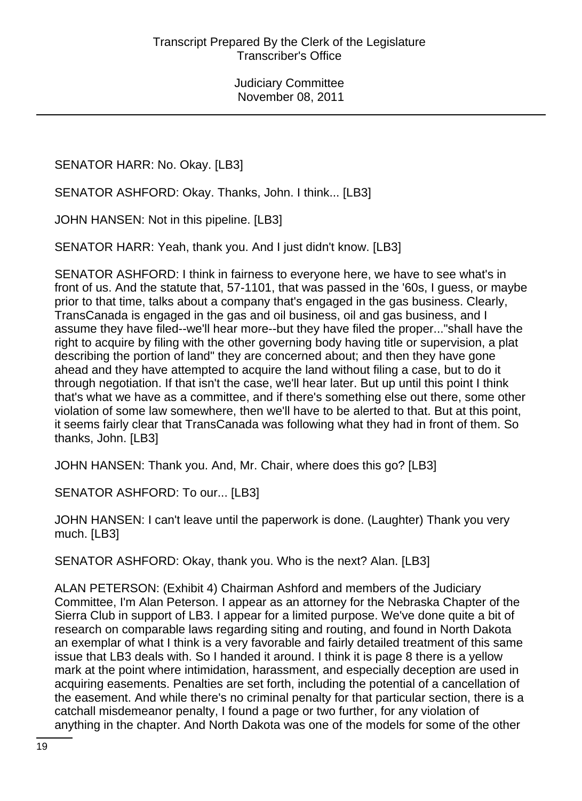SENATOR HARR: No. Okay. [LB3]

SENATOR ASHFORD: Okay. Thanks, John. I think... [LB3]

JOHN HANSEN: Not in this pipeline. [LB3]

SENATOR HARR: Yeah, thank you. And I just didn't know. [LB3]

SENATOR ASHFORD: I think in fairness to everyone here, we have to see what's in front of us. And the statute that, 57-1101, that was passed in the '60s, I guess, or maybe prior to that time, talks about a company that's engaged in the gas business. Clearly, TransCanada is engaged in the gas and oil business, oil and gas business, and I assume they have filed--we'll hear more--but they have filed the proper..."shall have the right to acquire by filing with the other governing body having title or supervision, a plat describing the portion of land" they are concerned about; and then they have gone ahead and they have attempted to acquire the land without filing a case, but to do it through negotiation. If that isn't the case, we'll hear later. But up until this point I think that's what we have as a committee, and if there's something else out there, some other violation of some law somewhere, then we'll have to be alerted to that. But at this point, it seems fairly clear that TransCanada was following what they had in front of them. So thanks, John. [LB3]

JOHN HANSEN: Thank you. And, Mr. Chair, where does this go? [LB3]

SENATOR ASHFORD: To our... [LB3]

JOHN HANSEN: I can't leave until the paperwork is done. (Laughter) Thank you very much. [LB3]

SENATOR ASHFORD: Okay, thank you. Who is the next? Alan. [LB3]

ALAN PETERSON: (Exhibit 4) Chairman Ashford and members of the Judiciary Committee, I'm Alan Peterson. I appear as an attorney for the Nebraska Chapter of the Sierra Club in support of LB3. I appear for a limited purpose. We've done quite a bit of research on comparable laws regarding siting and routing, and found in North Dakota an exemplar of what I think is a very favorable and fairly detailed treatment of this same issue that LB3 deals with. So I handed it around. I think it is page 8 there is a yellow mark at the point where intimidation, harassment, and especially deception are used in acquiring easements. Penalties are set forth, including the potential of a cancellation of the easement. And while there's no criminal penalty for that particular section, there is a catchall misdemeanor penalty, I found a page or two further, for any violation of anything in the chapter. And North Dakota was one of the models for some of the other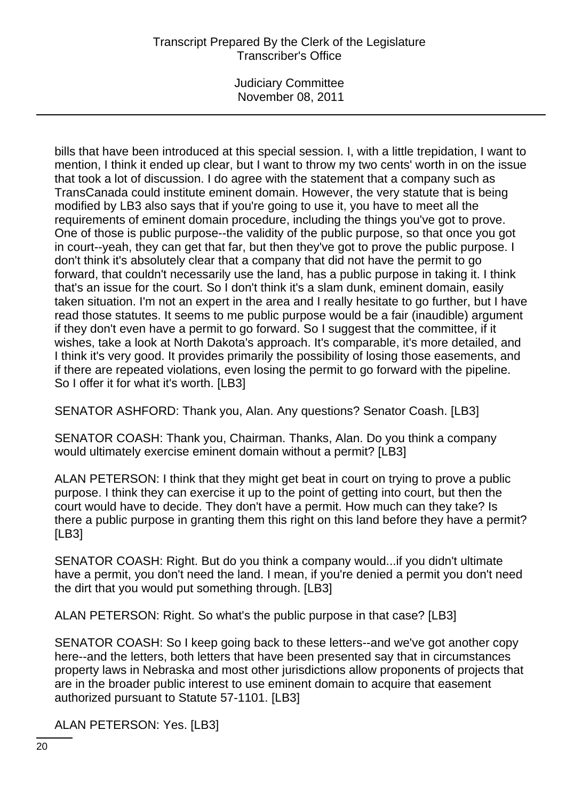Judiciary Committee November 08, 2011

bills that have been introduced at this special session. I, with a little trepidation, I want to mention, I think it ended up clear, but I want to throw my two cents' worth in on the issue that took a lot of discussion. I do agree with the statement that a company such as TransCanada could institute eminent domain. However, the very statute that is being modified by LB3 also says that if you're going to use it, you have to meet all the requirements of eminent domain procedure, including the things you've got to prove. One of those is public purpose--the validity of the public purpose, so that once you got in court--yeah, they can get that far, but then they've got to prove the public purpose. I don't think it's absolutely clear that a company that did not have the permit to go forward, that couldn't necessarily use the land, has a public purpose in taking it. I think that's an issue for the court. So I don't think it's a slam dunk, eminent domain, easily taken situation. I'm not an expert in the area and I really hesitate to go further, but I have read those statutes. It seems to me public purpose would be a fair (inaudible) argument if they don't even have a permit to go forward. So I suggest that the committee, if it wishes, take a look at North Dakota's approach. It's comparable, it's more detailed, and I think it's very good. It provides primarily the possibility of losing those easements, and if there are repeated violations, even losing the permit to go forward with the pipeline. So I offer it for what it's worth. [LB3]

SENATOR ASHFORD: Thank you, Alan. Any questions? Senator Coash. [LB3]

SENATOR COASH: Thank you, Chairman. Thanks, Alan. Do you think a company would ultimately exercise eminent domain without a permit? [LB3]

ALAN PETERSON: I think that they might get beat in court on trying to prove a public purpose. I think they can exercise it up to the point of getting into court, but then the court would have to decide. They don't have a permit. How much can they take? Is there a public purpose in granting them this right on this land before they have a permit? [LB3]

SENATOR COASH: Right. But do you think a company would...if you didn't ultimate have a permit, you don't need the land. I mean, if you're denied a permit you don't need the dirt that you would put something through. [LB3]

ALAN PETERSON: Right. So what's the public purpose in that case? [LB3]

SENATOR COASH: So I keep going back to these letters--and we've got another copy here--and the letters, both letters that have been presented say that in circumstances property laws in Nebraska and most other jurisdictions allow proponents of projects that are in the broader public interest to use eminent domain to acquire that easement authorized pursuant to Statute 57-1101. [LB3]

ALAN PETERSON: Yes. [LB3]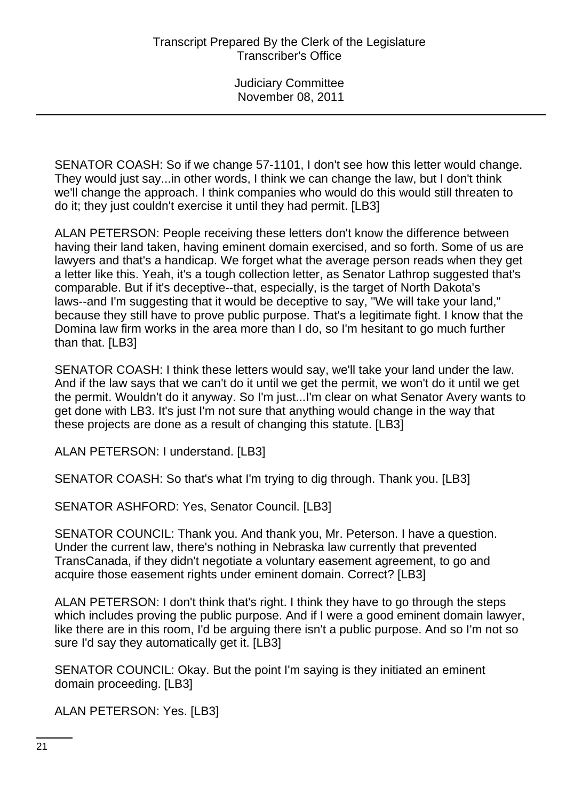SENATOR COASH: So if we change 57-1101, I don't see how this letter would change. They would just say...in other words, I think we can change the law, but I don't think we'll change the approach. I think companies who would do this would still threaten to do it; they just couldn't exercise it until they had permit. [LB3]

ALAN PETERSON: People receiving these letters don't know the difference between having their land taken, having eminent domain exercised, and so forth. Some of us are lawyers and that's a handicap. We forget what the average person reads when they get a letter like this. Yeah, it's a tough collection letter, as Senator Lathrop suggested that's comparable. But if it's deceptive--that, especially, is the target of North Dakota's laws--and I'm suggesting that it would be deceptive to say, "We will take your land," because they still have to prove public purpose. That's a legitimate fight. I know that the Domina law firm works in the area more than I do, so I'm hesitant to go much further than that. [LB3]

SENATOR COASH: I think these letters would say, we'll take your land under the law. And if the law says that we can't do it until we get the permit, we won't do it until we get the permit. Wouldn't do it anyway. So I'm just...I'm clear on what Senator Avery wants to get done with LB3. It's just I'm not sure that anything would change in the way that these projects are done as a result of changing this statute. [LB3]

ALAN PETERSON: I understand. [LB3]

SENATOR COASH: So that's what I'm trying to dig through. Thank you. [LB3]

SENATOR ASHFORD: Yes, Senator Council. [LB3]

SENATOR COUNCIL: Thank you. And thank you, Mr. Peterson. I have a question. Under the current law, there's nothing in Nebraska law currently that prevented TransCanada, if they didn't negotiate a voluntary easement agreement, to go and acquire those easement rights under eminent domain. Correct? [LB3]

ALAN PETERSON: I don't think that's right. I think they have to go through the steps which includes proving the public purpose. And if I were a good eminent domain lawyer, like there are in this room, I'd be arguing there isn't a public purpose. And so I'm not so sure I'd say they automatically get it. [LB3]

SENATOR COUNCIL: Okay. But the point I'm saying is they initiated an eminent domain proceeding. [LB3]

ALAN PETERSON: Yes. [LB3]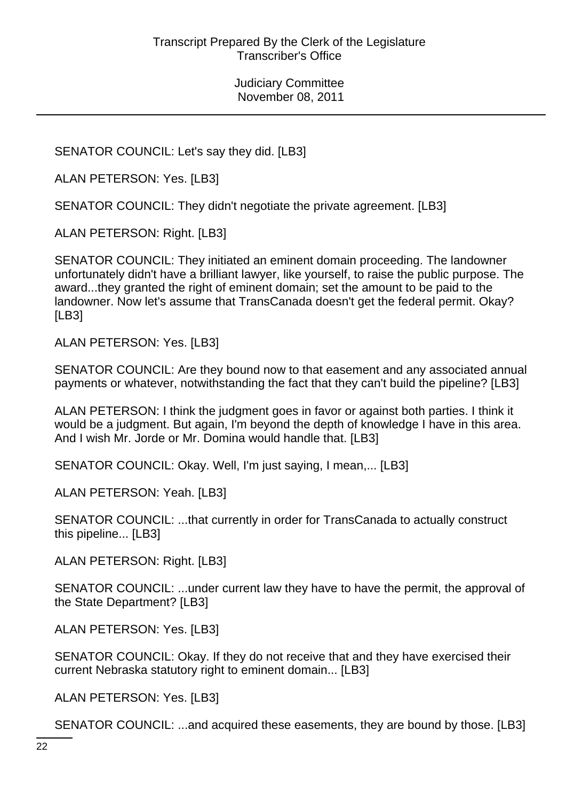SENATOR COUNCIL: Let's say they did. [LB3]

ALAN PETERSON: Yes. [LB3]

SENATOR COUNCIL: They didn't negotiate the private agreement. [LB3]

ALAN PETERSON: Right. [LB3]

SENATOR COUNCIL: They initiated an eminent domain proceeding. The landowner unfortunately didn't have a brilliant lawyer, like yourself, to raise the public purpose. The award...they granted the right of eminent domain; set the amount to be paid to the landowner. Now let's assume that TransCanada doesn't get the federal permit. Okay? [LB3]

ALAN PETERSON: Yes. [LB3]

SENATOR COUNCIL: Are they bound now to that easement and any associated annual payments or whatever, notwithstanding the fact that they can't build the pipeline? [LB3]

ALAN PETERSON: I think the judgment goes in favor or against both parties. I think it would be a judgment. But again, I'm beyond the depth of knowledge I have in this area. And I wish Mr. Jorde or Mr. Domina would handle that. [LB3]

SENATOR COUNCIL: Okay. Well, I'm just saying, I mean,... [LB3]

ALAN PETERSON: Yeah. [LB3]

SENATOR COUNCIL: ...that currently in order for TransCanada to actually construct this pipeline... [LB3]

ALAN PETERSON: Right. [LB3]

SENATOR COUNCIL: ...under current law they have to have the permit, the approval of the State Department? [LB3]

ALAN PETERSON: Yes. [LB3]

SENATOR COUNCIL: Okay. If they do not receive that and they have exercised their current Nebraska statutory right to eminent domain... [LB3]

ALAN PETERSON: Yes. [LB3]

SENATOR COUNCIL: ...and acquired these easements, they are bound by those. [LB3]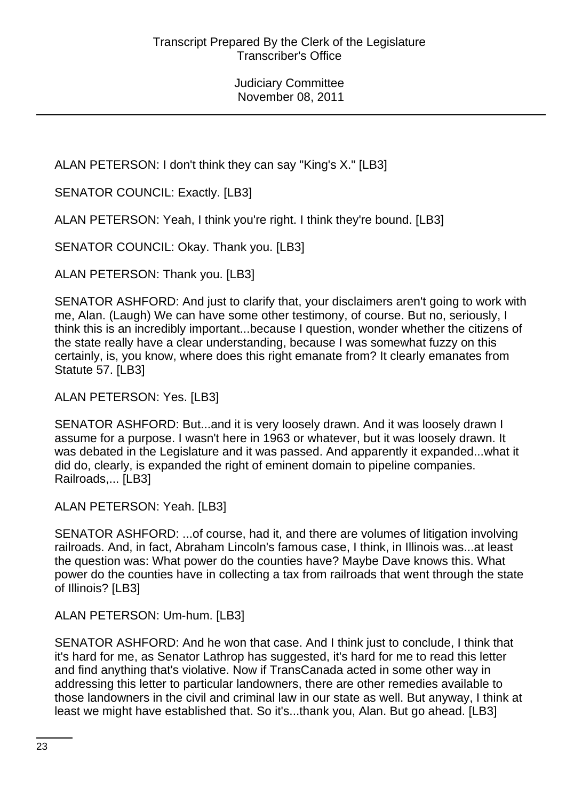ALAN PETERSON: I don't think they can say "King's X." [LB3]

SENATOR COUNCIL: Exactly. [LB3]

ALAN PETERSON: Yeah, I think you're right. I think they're bound. [LB3]

SENATOR COUNCIL: Okay. Thank you. [LB3]

ALAN PETERSON: Thank you. [LB3]

SENATOR ASHFORD: And just to clarify that, your disclaimers aren't going to work with me, Alan. (Laugh) We can have some other testimony, of course. But no, seriously, I think this is an incredibly important...because I question, wonder whether the citizens of the state really have a clear understanding, because I was somewhat fuzzy on this certainly, is, you know, where does this right emanate from? It clearly emanates from Statute 57. [LB3]

ALAN PETERSON: Yes. [LB3]

SENATOR ASHFORD: But...and it is very loosely drawn. And it was loosely drawn I assume for a purpose. I wasn't here in 1963 or whatever, but it was loosely drawn. It was debated in the Legislature and it was passed. And apparently it expanded...what it did do, clearly, is expanded the right of eminent domain to pipeline companies. Railroads,... [LB3]

ALAN PETERSON: Yeah. [LB3]

SENATOR ASHFORD: ...of course, had it, and there are volumes of litigation involving railroads. And, in fact, Abraham Lincoln's famous case, I think, in Illinois was...at least the question was: What power do the counties have? Maybe Dave knows this. What power do the counties have in collecting a tax from railroads that went through the state of Illinois? [LB3]

ALAN PETERSON: Um-hum. [LB3]

SENATOR ASHFORD: And he won that case. And I think just to conclude, I think that it's hard for me, as Senator Lathrop has suggested, it's hard for me to read this letter and find anything that's violative. Now if TransCanada acted in some other way in addressing this letter to particular landowners, there are other remedies available to those landowners in the civil and criminal law in our state as well. But anyway, I think at least we might have established that. So it's...thank you, Alan. But go ahead. [LB3]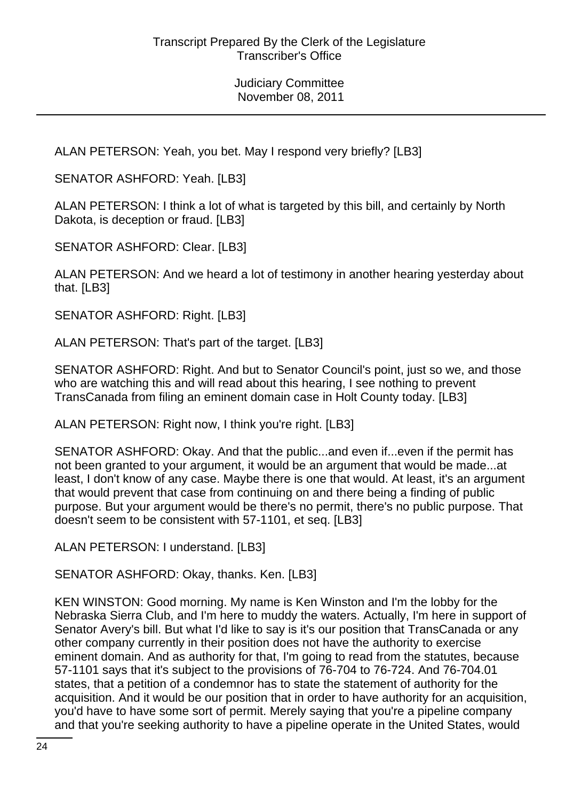ALAN PETERSON: Yeah, you bet. May I respond very briefly? [LB3]

SENATOR ASHFORD: Yeah. [LB3]

ALAN PETERSON: I think a lot of what is targeted by this bill, and certainly by North Dakota, is deception or fraud. [LB3]

SENATOR ASHFORD: Clear. [LB3]

ALAN PETERSON: And we heard a lot of testimony in another hearing yesterday about that. [LB3]

SENATOR ASHFORD: Right. [LB3]

ALAN PETERSON: That's part of the target. [LB3]

SENATOR ASHFORD: Right. And but to Senator Council's point, just so we, and those who are watching this and will read about this hearing, I see nothing to prevent TransCanada from filing an eminent domain case in Holt County today. [LB3]

ALAN PETERSON: Right now, I think you're right. [LB3]

SENATOR ASHFORD: Okay. And that the public...and even if...even if the permit has not been granted to your argument, it would be an argument that would be made...at least, I don't know of any case. Maybe there is one that would. At least, it's an argument that would prevent that case from continuing on and there being a finding of public purpose. But your argument would be there's no permit, there's no public purpose. That doesn't seem to be consistent with 57-1101, et seq. [LB3]

ALAN PETERSON: I understand. [LB3]

SENATOR ASHFORD: Okay, thanks. Ken. [LB3]

KEN WINSTON: Good morning. My name is Ken Winston and I'm the lobby for the Nebraska Sierra Club, and I'm here to muddy the waters. Actually, I'm here in support of Senator Avery's bill. But what I'd like to say is it's our position that TransCanada or any other company currently in their position does not have the authority to exercise eminent domain. And as authority for that, I'm going to read from the statutes, because 57-1101 says that it's subject to the provisions of 76-704 to 76-724. And 76-704.01 states, that a petition of a condemnor has to state the statement of authority for the acquisition. And it would be our position that in order to have authority for an acquisition, you'd have to have some sort of permit. Merely saying that you're a pipeline company and that you're seeking authority to have a pipeline operate in the United States, would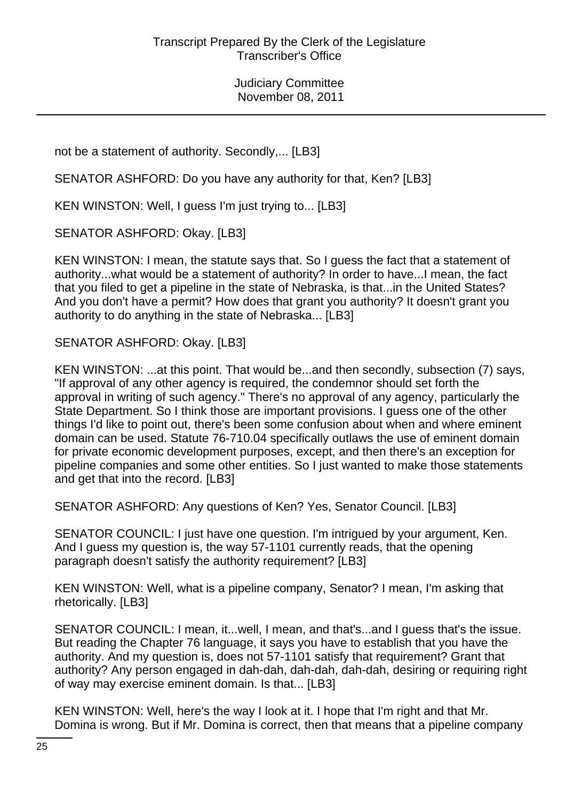not be a statement of authority. Secondly,... [LB3]

SENATOR ASHFORD: Do you have any authority for that, Ken? [LB3]

KEN WINSTON: Well, I guess I'm just trying to... [LB3]

SENATOR ASHFORD: Okay. [LB3]

KEN WINSTON: I mean, the statute says that. So I guess the fact that a statement of authority...what would be a statement of authority? In order to have...I mean, the fact that you filed to get a pipeline in the state of Nebraska, is that...in the United States? And you don't have a permit? How does that grant you authority? It doesn't grant you authority to do anything in the state of Nebraska... [LB3]

SENATOR ASHFORD: Okay. [LB3]

KEN WINSTON: ...at this point. That would be...and then secondly, subsection (7) says, "If approval of any other agency is required, the condemnor should set forth the approval in writing of such agency." There's no approval of any agency, particularly the State Department. So I think those are important provisions. I guess one of the other things I'd like to point out, there's been some confusion about when and where eminent domain can be used. Statute 76-710.04 specifically outlaws the use of eminent domain for private economic development purposes, except, and then there's an exception for pipeline companies and some other entities. So I just wanted to make those statements and get that into the record. [LB3]

SENATOR ASHFORD: Any questions of Ken? Yes, Senator Council. [LB3]

SENATOR COUNCIL: I just have one question. I'm intrigued by your argument, Ken. And I guess my question is, the way 57-1101 currently reads, that the opening paragraph doesn't satisfy the authority requirement? [LB3]

KEN WINSTON: Well, what is a pipeline company, Senator? I mean, I'm asking that rhetorically. [LB3]

SENATOR COUNCIL: I mean, it...well, I mean, and that's...and I guess that's the issue. But reading the Chapter 76 language, it says you have to establish that you have the authority. And my question is, does not 57-1101 satisfy that requirement? Grant that authority? Any person engaged in dah-dah, dah-dah, dah-dah, desiring or requiring right of way may exercise eminent domain. Is that... [LB3]

KEN WINSTON: Well, here's the way I look at it. I hope that I'm right and that Mr. Domina is wrong. But if Mr. Domina is correct, then that means that a pipeline company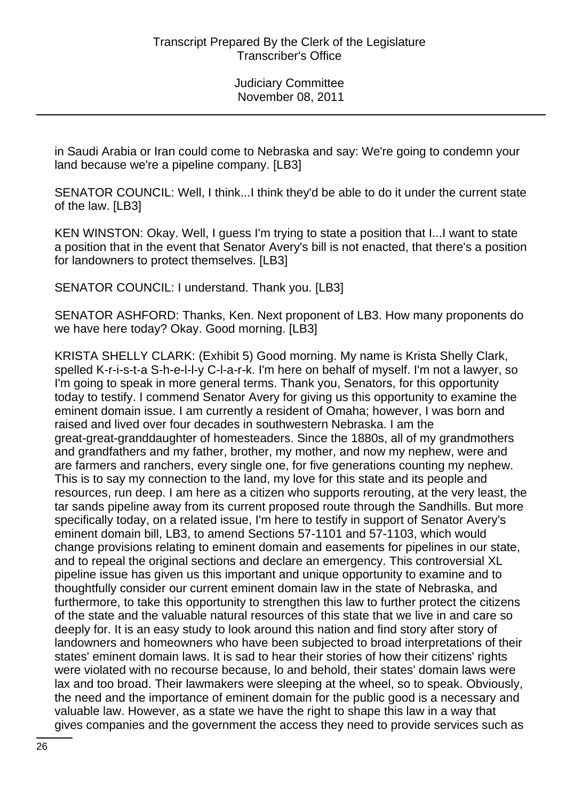in Saudi Arabia or Iran could come to Nebraska and say: We're going to condemn your land because we're a pipeline company. [LB3]

SENATOR COUNCIL: Well, I think...I think they'd be able to do it under the current state of the law. [LB3]

KEN WINSTON: Okay. Well, I guess I'm trying to state a position that I...I want to state a position that in the event that Senator Avery's bill is not enacted, that there's a position for landowners to protect themselves. [LB3]

SENATOR COUNCIL: I understand. Thank you. [LB3]

SENATOR ASHFORD: Thanks, Ken. Next proponent of LB3. How many proponents do we have here today? Okay. Good morning. [LB3]

KRISTA SHELLY CLARK: (Exhibit 5) Good morning. My name is Krista Shelly Clark, spelled K-r-i-s-t-a S-h-e-l-l-y C-l-a-r-k. I'm here on behalf of myself. I'm not a lawyer, so I'm going to speak in more general terms. Thank you, Senators, for this opportunity today to testify. I commend Senator Avery for giving us this opportunity to examine the eminent domain issue. I am currently a resident of Omaha; however, I was born and raised and lived over four decades in southwestern Nebraska. I am the great-great-granddaughter of homesteaders. Since the 1880s, all of my grandmothers and grandfathers and my father, brother, my mother, and now my nephew, were and are farmers and ranchers, every single one, for five generations counting my nephew. This is to say my connection to the land, my love for this state and its people and resources, run deep. I am here as a citizen who supports rerouting, at the very least, the tar sands pipeline away from its current proposed route through the Sandhills. But more specifically today, on a related issue, I'm here to testify in support of Senator Avery's eminent domain bill, LB3, to amend Sections 57-1101 and 57-1103, which would change provisions relating to eminent domain and easements for pipelines in our state, and to repeal the original sections and declare an emergency. This controversial XL pipeline issue has given us this important and unique opportunity to examine and to thoughtfully consider our current eminent domain law in the state of Nebraska, and furthermore, to take this opportunity to strengthen this law to further protect the citizens of the state and the valuable natural resources of this state that we live in and care so deeply for. It is an easy study to look around this nation and find story after story of landowners and homeowners who have been subjected to broad interpretations of their states' eminent domain laws. It is sad to hear their stories of how their citizens' rights were violated with no recourse because, lo and behold, their states' domain laws were lax and too broad. Their lawmakers were sleeping at the wheel, so to speak. Obviously, the need and the importance of eminent domain for the public good is a necessary and valuable law. However, as a state we have the right to shape this law in a way that gives companies and the government the access they need to provide services such as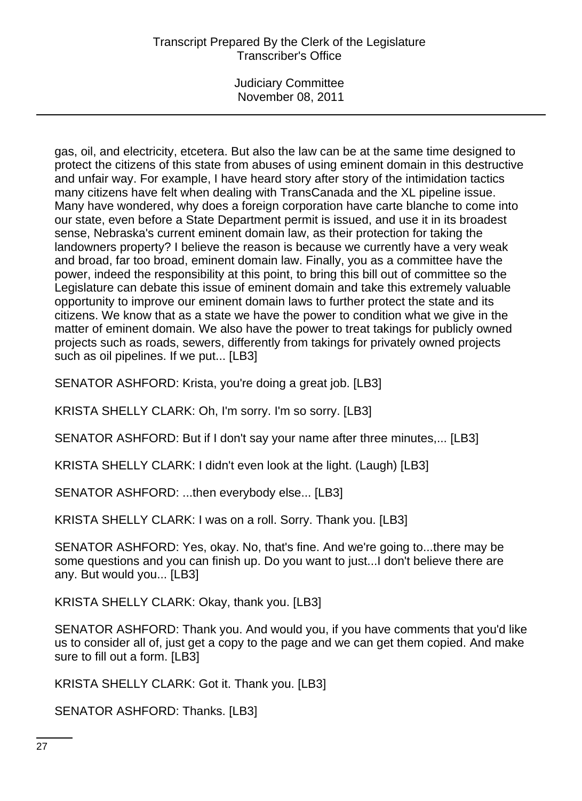Judiciary Committee November 08, 2011

gas, oil, and electricity, etcetera. But also the law can be at the same time designed to protect the citizens of this state from abuses of using eminent domain in this destructive and unfair way. For example, I have heard story after story of the intimidation tactics many citizens have felt when dealing with TransCanada and the XL pipeline issue. Many have wondered, why does a foreign corporation have carte blanche to come into our state, even before a State Department permit is issued, and use it in its broadest sense, Nebraska's current eminent domain law, as their protection for taking the landowners property? I believe the reason is because we currently have a very weak and broad, far too broad, eminent domain law. Finally, you as a committee have the power, indeed the responsibility at this point, to bring this bill out of committee so the Legislature can debate this issue of eminent domain and take this extremely valuable opportunity to improve our eminent domain laws to further protect the state and its citizens. We know that as a state we have the power to condition what we give in the matter of eminent domain. We also have the power to treat takings for publicly owned projects such as roads, sewers, differently from takings for privately owned projects such as oil pipelines. If we put... [LB3]

SENATOR ASHFORD: Krista, you're doing a great job. [LB3]

KRISTA SHELLY CLARK: Oh, I'm sorry. I'm so sorry. [LB3]

SENATOR ASHFORD: But if I don't say your name after three minutes,... [LB3]

KRISTA SHELLY CLARK: I didn't even look at the light. (Laugh) [LB3]

SENATOR ASHFORD: ...then everybody else... [LB3]

KRISTA SHELLY CLARK: I was on a roll. Sorry. Thank you. [LB3]

SENATOR ASHFORD: Yes, okay. No, that's fine. And we're going to...there may be some questions and you can finish up. Do you want to just...I don't believe there are any. But would you... [LB3]

KRISTA SHELLY CLARK: Okay, thank you. [LB3]

SENATOR ASHFORD: Thank you. And would you, if you have comments that you'd like us to consider all of, just get a copy to the page and we can get them copied. And make sure to fill out a form. [LB3]

KRISTA SHELLY CLARK: Got it. Thank you. [LB3]

SENATOR ASHFORD: Thanks. [LB3]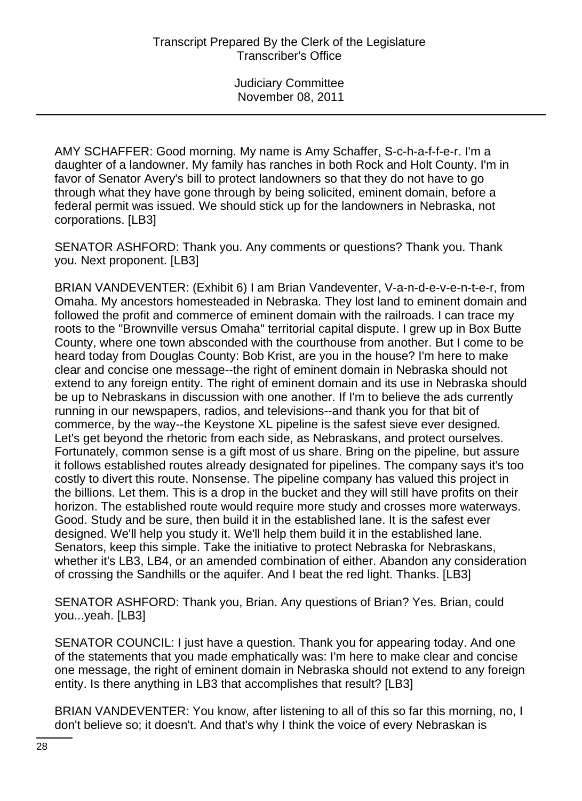AMY SCHAFFER: Good morning. My name is Amy Schaffer, S-c-h-a-f-f-e-r. I'm a daughter of a landowner. My family has ranches in both Rock and Holt County. I'm in favor of Senator Avery's bill to protect landowners so that they do not have to go through what they have gone through by being solicited, eminent domain, before a federal permit was issued. We should stick up for the landowners in Nebraska, not corporations. [LB3]

SENATOR ASHFORD: Thank you. Any comments or questions? Thank you. Thank you. Next proponent. [LB3]

BRIAN VANDEVENTER: (Exhibit 6) I am Brian Vandeventer, V-a-n-d-e-v-e-n-t-e-r, from Omaha. My ancestors homesteaded in Nebraska. They lost land to eminent domain and followed the profit and commerce of eminent domain with the railroads. I can trace my roots to the "Brownville versus Omaha" territorial capital dispute. I grew up in Box Butte County, where one town absconded with the courthouse from another. But I come to be heard today from Douglas County: Bob Krist, are you in the house? I'm here to make clear and concise one message--the right of eminent domain in Nebraska should not extend to any foreign entity. The right of eminent domain and its use in Nebraska should be up to Nebraskans in discussion with one another. If I'm to believe the ads currently running in our newspapers, radios, and televisions--and thank you for that bit of commerce, by the way--the Keystone XL pipeline is the safest sieve ever designed. Let's get beyond the rhetoric from each side, as Nebraskans, and protect ourselves. Fortunately, common sense is a gift most of us share. Bring on the pipeline, but assure it follows established routes already designated for pipelines. The company says it's too costly to divert this route. Nonsense. The pipeline company has valued this project in the billions. Let them. This is a drop in the bucket and they will still have profits on their horizon. The established route would require more study and crosses more waterways. Good. Study and be sure, then build it in the established lane. It is the safest ever designed. We'll help you study it. We'll help them build it in the established lane. Senators, keep this simple. Take the initiative to protect Nebraska for Nebraskans, whether it's LB3, LB4, or an amended combination of either. Abandon any consideration of crossing the Sandhills or the aquifer. And I beat the red light. Thanks. [LB3]

SENATOR ASHFORD: Thank you, Brian. Any questions of Brian? Yes. Brian, could you...yeah. [LB3]

SENATOR COUNCIL: I just have a question. Thank you for appearing today. And one of the statements that you made emphatically was: I'm here to make clear and concise one message, the right of eminent domain in Nebraska should not extend to any foreign entity. Is there anything in LB3 that accomplishes that result? [LB3]

BRIAN VANDEVENTER: You know, after listening to all of this so far this morning, no, I don't believe so; it doesn't. And that's why I think the voice of every Nebraskan is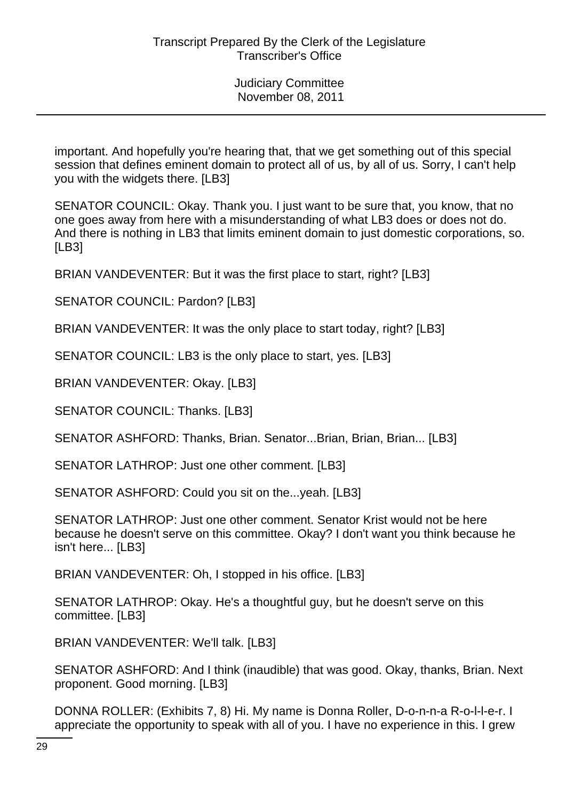important. And hopefully you're hearing that, that we get something out of this special session that defines eminent domain to protect all of us, by all of us. Sorry, I can't help you with the widgets there. [LB3]

SENATOR COUNCIL: Okay. Thank you. I just want to be sure that, you know, that no one goes away from here with a misunderstanding of what LB3 does or does not do. And there is nothing in LB3 that limits eminent domain to just domestic corporations, so. [LB3]

BRIAN VANDEVENTER: But it was the first place to start, right? [LB3]

SENATOR COUNCIL: Pardon? [LB3]

BRIAN VANDEVENTER: It was the only place to start today, right? [LB3]

SENATOR COUNCIL: LB3 is the only place to start, yes. [LB3]

BRIAN VANDEVENTER: Okay. [LB3]

SENATOR COUNCIL: Thanks. [LB3]

SENATOR ASHFORD: Thanks, Brian. Senator...Brian, Brian, Brian... [LB3]

SENATOR LATHROP: Just one other comment. [LB3]

SENATOR ASHFORD: Could you sit on the...yeah. [LB3]

SENATOR LATHROP: Just one other comment. Senator Krist would not be here because he doesn't serve on this committee. Okay? I don't want you think because he isn't here... [LB3]

BRIAN VANDEVENTER: Oh, I stopped in his office. [LB3]

SENATOR LATHROP: Okay. He's a thoughtful guy, but he doesn't serve on this committee. [LB3]

BRIAN VANDEVENTER: We'll talk. [LB3]

SENATOR ASHFORD: And I think (inaudible) that was good. Okay, thanks, Brian. Next proponent. Good morning. [LB3]

DONNA ROLLER: (Exhibits 7, 8) Hi. My name is Donna Roller, D-o-n-n-a R-o-l-l-e-r. I appreciate the opportunity to speak with all of you. I have no experience in this. I grew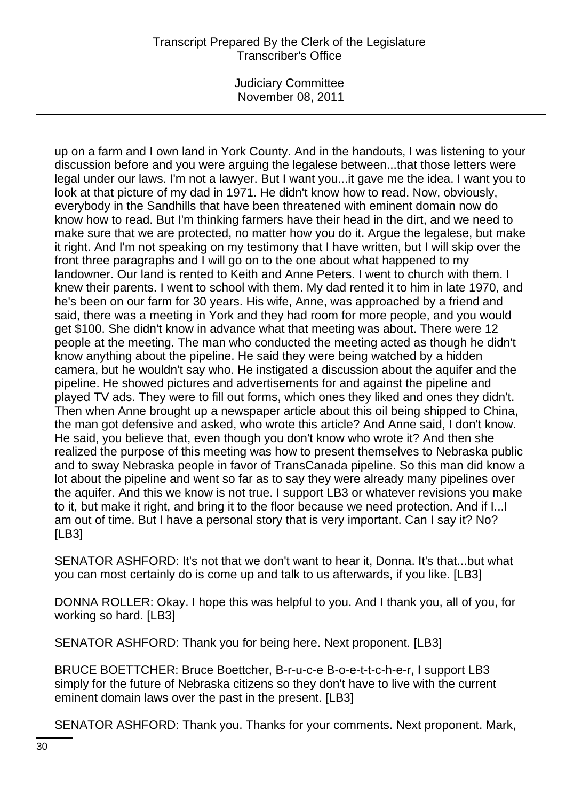Judiciary Committee November 08, 2011

up on a farm and I own land in York County. And in the handouts, I was listening to your discussion before and you were arguing the legalese between...that those letters were legal under our laws. I'm not a lawyer. But I want you...it gave me the idea. I want you to look at that picture of my dad in 1971. He didn't know how to read. Now, obviously, everybody in the Sandhills that have been threatened with eminent domain now do know how to read. But I'm thinking farmers have their head in the dirt, and we need to make sure that we are protected, no matter how you do it. Argue the legalese, but make it right. And I'm not speaking on my testimony that I have written, but I will skip over the front three paragraphs and I will go on to the one about what happened to my landowner. Our land is rented to Keith and Anne Peters. I went to church with them. I knew their parents. I went to school with them. My dad rented it to him in late 1970, and he's been on our farm for 30 years. His wife, Anne, was approached by a friend and said, there was a meeting in York and they had room for more people, and you would get \$100. She didn't know in advance what that meeting was about. There were 12 people at the meeting. The man who conducted the meeting acted as though he didn't know anything about the pipeline. He said they were being watched by a hidden camera, but he wouldn't say who. He instigated a discussion about the aquifer and the pipeline. He showed pictures and advertisements for and against the pipeline and played TV ads. They were to fill out forms, which ones they liked and ones they didn't. Then when Anne brought up a newspaper article about this oil being shipped to China, the man got defensive and asked, who wrote this article? And Anne said, I don't know. He said, you believe that, even though you don't know who wrote it? And then she realized the purpose of this meeting was how to present themselves to Nebraska public and to sway Nebraska people in favor of TransCanada pipeline. So this man did know a lot about the pipeline and went so far as to say they were already many pipelines over the aquifer. And this we know is not true. I support LB3 or whatever revisions you make to it, but make it right, and bring it to the floor because we need protection. And if I...I am out of time. But I have a personal story that is very important. Can I say it? No? [LB3]

SENATOR ASHFORD: It's not that we don't want to hear it, Donna. It's that...but what you can most certainly do is come up and talk to us afterwards, if you like. [LB3]

DONNA ROLLER: Okay. I hope this was helpful to you. And I thank you, all of you, for working so hard. [LB3]

SENATOR ASHFORD: Thank you for being here. Next proponent. [LB3]

BRUCE BOETTCHER: Bruce Boettcher, B-r-u-c-e B-o-e-t-t-c-h-e-r, I support LB3 simply for the future of Nebraska citizens so they don't have to live with the current eminent domain laws over the past in the present. [LB3]

SENATOR ASHFORD: Thank you. Thanks for your comments. Next proponent. Mark,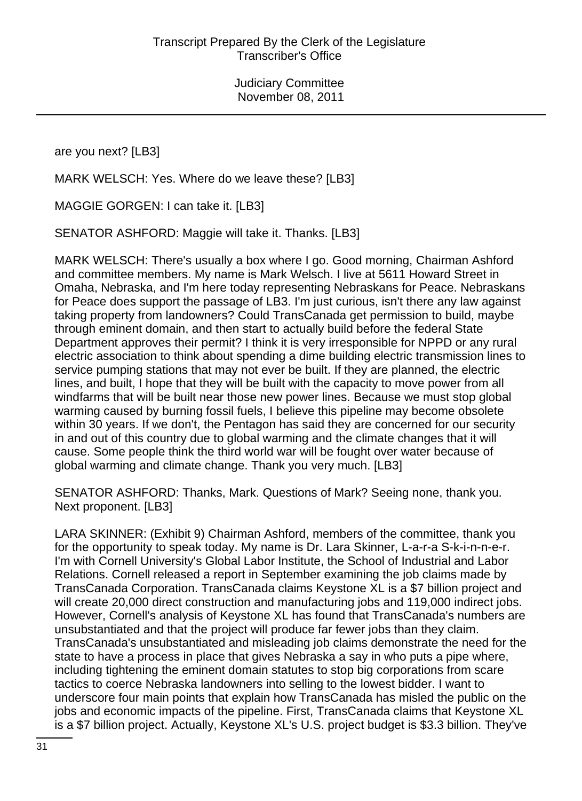are you next? [LB3]

MARK WELSCH: Yes. Where do we leave these? [LB3]

MAGGIE GORGEN: I can take it. [LB3]

SENATOR ASHFORD: Maggie will take it. Thanks. [LB3]

MARK WELSCH: There's usually a box where I go. Good morning, Chairman Ashford and committee members. My name is Mark Welsch. I live at 5611 Howard Street in Omaha, Nebraska, and I'm here today representing Nebraskans for Peace. Nebraskans for Peace does support the passage of LB3. I'm just curious, isn't there any law against taking property from landowners? Could TransCanada get permission to build, maybe through eminent domain, and then start to actually build before the federal State Department approves their permit? I think it is very irresponsible for NPPD or any rural electric association to think about spending a dime building electric transmission lines to service pumping stations that may not ever be built. If they are planned, the electric lines, and built, I hope that they will be built with the capacity to move power from all windfarms that will be built near those new power lines. Because we must stop global warming caused by burning fossil fuels, I believe this pipeline may become obsolete within 30 years. If we don't, the Pentagon has said they are concerned for our security in and out of this country due to global warming and the climate changes that it will cause. Some people think the third world war will be fought over water because of global warming and climate change. Thank you very much. [LB3]

SENATOR ASHFORD: Thanks, Mark. Questions of Mark? Seeing none, thank you. Next proponent. [LB3]

LARA SKINNER: (Exhibit 9) Chairman Ashford, members of the committee, thank you for the opportunity to speak today. My name is Dr. Lara Skinner, L-a-r-a S-k-i-n-n-e-r. I'm with Cornell University's Global Labor Institute, the School of Industrial and Labor Relations. Cornell released a report in September examining the job claims made by TransCanada Corporation. TransCanada claims Keystone XL is a \$7 billion project and will create 20,000 direct construction and manufacturing jobs and 119,000 indirect jobs. However, Cornell's analysis of Keystone XL has found that TransCanada's numbers are unsubstantiated and that the project will produce far fewer jobs than they claim. TransCanada's unsubstantiated and misleading job claims demonstrate the need for the state to have a process in place that gives Nebraska a say in who puts a pipe where, including tightening the eminent domain statutes to stop big corporations from scare tactics to coerce Nebraska landowners into selling to the lowest bidder. I want to underscore four main points that explain how TransCanada has misled the public on the jobs and economic impacts of the pipeline. First, TransCanada claims that Keystone XL is a \$7 billion project. Actually, Keystone XL's U.S. project budget is \$3.3 billion. They've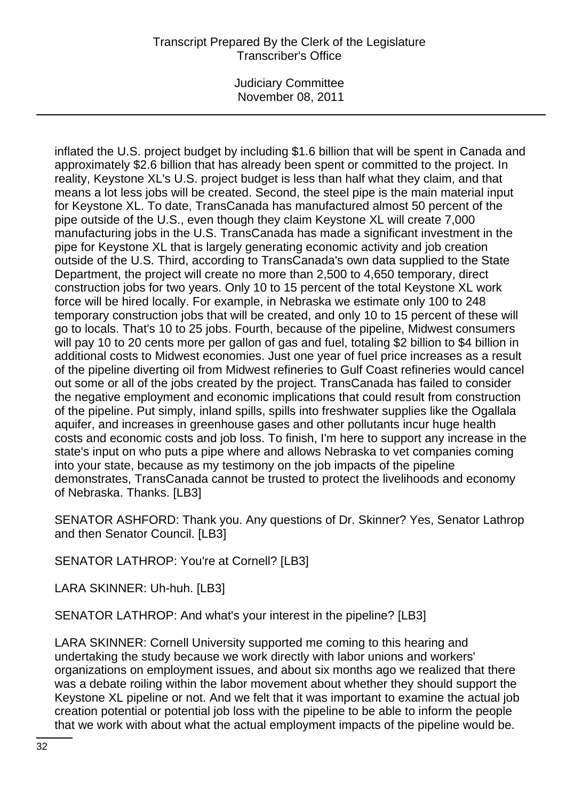Judiciary Committee November 08, 2011

inflated the U.S. project budget by including \$1.6 billion that will be spent in Canada and approximately \$2.6 billion that has already been spent or committed to the project. In reality, Keystone XL's U.S. project budget is less than half what they claim, and that means a lot less jobs will be created. Second, the steel pipe is the main material input for Keystone XL. To date, TransCanada has manufactured almost 50 percent of the pipe outside of the U.S., even though they claim Keystone XL will create 7,000 manufacturing jobs in the U.S. TransCanada has made a significant investment in the pipe for Keystone XL that is largely generating economic activity and job creation outside of the U.S. Third, according to TransCanada's own data supplied to the State Department, the project will create no more than 2,500 to 4,650 temporary, direct construction jobs for two years. Only 10 to 15 percent of the total Keystone XL work force will be hired locally. For example, in Nebraska we estimate only 100 to 248 temporary construction jobs that will be created, and only 10 to 15 percent of these will go to locals. That's 10 to 25 jobs. Fourth, because of the pipeline, Midwest consumers will pay 10 to 20 cents more per gallon of gas and fuel, totaling \$2 billion to \$4 billion in additional costs to Midwest economies. Just one year of fuel price increases as a result of the pipeline diverting oil from Midwest refineries to Gulf Coast refineries would cancel out some or all of the jobs created by the project. TransCanada has failed to consider the negative employment and economic implications that could result from construction of the pipeline. Put simply, inland spills, spills into freshwater supplies like the Ogallala aquifer, and increases in greenhouse gases and other pollutants incur huge health costs and economic costs and job loss. To finish, I'm here to support any increase in the state's input on who puts a pipe where and allows Nebraska to vet companies coming into your state, because as my testimony on the job impacts of the pipeline demonstrates, TransCanada cannot be trusted to protect the livelihoods and economy of Nebraska. Thanks. [LB3]

SENATOR ASHFORD: Thank you. Any questions of Dr. Skinner? Yes, Senator Lathrop and then Senator Council. [LB3]

SENATOR LATHROP: You're at Cornell? [LB3]

LARA SKINNER: Uh-huh. [LB3]

SENATOR LATHROP: And what's your interest in the pipeline? [LB3]

LARA SKINNER: Cornell University supported me coming to this hearing and undertaking the study because we work directly with labor unions and workers' organizations on employment issues, and about six months ago we realized that there was a debate roiling within the labor movement about whether they should support the Keystone XL pipeline or not. And we felt that it was important to examine the actual job creation potential or potential job loss with the pipeline to be able to inform the people that we work with about what the actual employment impacts of the pipeline would be.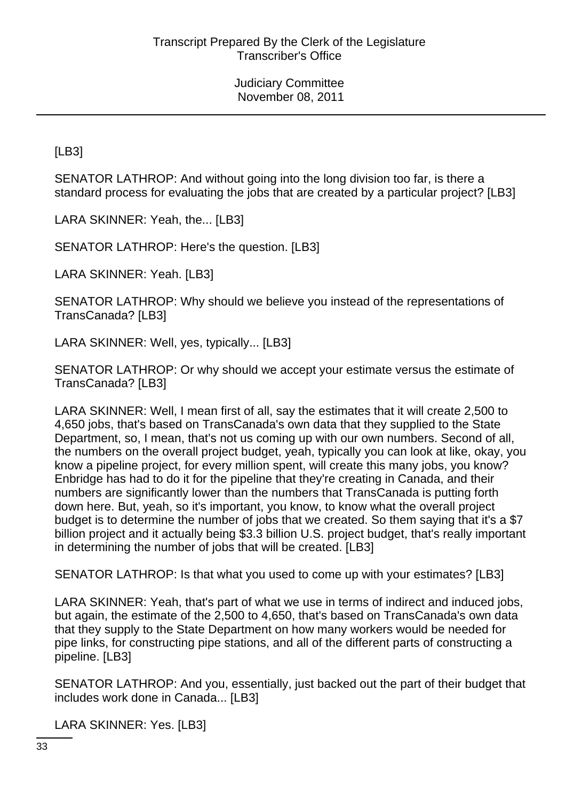[LB3]

SENATOR LATHROP: And without going into the long division too far, is there a standard process for evaluating the jobs that are created by a particular project? [LB3]

LARA SKINNER: Yeah, the... [LB3]

SENATOR LATHROP: Here's the question. [LB3]

LARA SKINNER: Yeah. [LB3]

SENATOR LATHROP: Why should we believe you instead of the representations of TransCanada? [LB3]

LARA SKINNER: Well, yes, typically... [LB3]

SENATOR LATHROP: Or why should we accept your estimate versus the estimate of TransCanada? [LB3]

LARA SKINNER: Well, I mean first of all, say the estimates that it will create 2,500 to 4,650 jobs, that's based on TransCanada's own data that they supplied to the State Department, so, I mean, that's not us coming up with our own numbers. Second of all, the numbers on the overall project budget, yeah, typically you can look at like, okay, you know a pipeline project, for every million spent, will create this many jobs, you know? Enbridge has had to do it for the pipeline that they're creating in Canada, and their numbers are significantly lower than the numbers that TransCanada is putting forth down here. But, yeah, so it's important, you know, to know what the overall project budget is to determine the number of jobs that we created. So them saying that it's a \$7 billion project and it actually being \$3.3 billion U.S. project budget, that's really important in determining the number of jobs that will be created. [LB3]

SENATOR LATHROP: Is that what you used to come up with your estimates? [LB3]

LARA SKINNER: Yeah, that's part of what we use in terms of indirect and induced jobs, but again, the estimate of the 2,500 to 4,650, that's based on TransCanada's own data that they supply to the State Department on how many workers would be needed for pipe links, for constructing pipe stations, and all of the different parts of constructing a pipeline. [LB3]

SENATOR LATHROP: And you, essentially, just backed out the part of their budget that includes work done in Canada... [LB3]

LARA SKINNER: Yes. [LB3]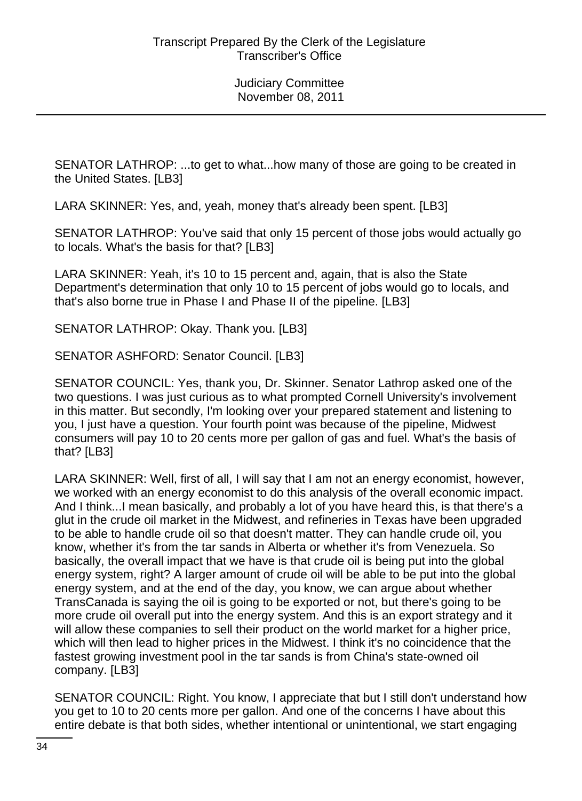SENATOR LATHROP: ...to get to what...how many of those are going to be created in the United States. [LB3]

LARA SKINNER: Yes, and, yeah, money that's already been spent. [LB3]

SENATOR LATHROP: You've said that only 15 percent of those jobs would actually go to locals. What's the basis for that? [LB3]

LARA SKINNER: Yeah, it's 10 to 15 percent and, again, that is also the State Department's determination that only 10 to 15 percent of jobs would go to locals, and that's also borne true in Phase I and Phase II of the pipeline. [LB3]

SENATOR LATHROP: Okay. Thank you. [LB3]

SENATOR ASHFORD: Senator Council. [LB3]

SENATOR COUNCIL: Yes, thank you, Dr. Skinner. Senator Lathrop asked one of the two questions. I was just curious as to what prompted Cornell University's involvement in this matter. But secondly, I'm looking over your prepared statement and listening to you, I just have a question. Your fourth point was because of the pipeline, Midwest consumers will pay 10 to 20 cents more per gallon of gas and fuel. What's the basis of that? [LB3]

LARA SKINNER: Well, first of all, I will say that I am not an energy economist, however, we worked with an energy economist to do this analysis of the overall economic impact. And I think...I mean basically, and probably a lot of you have heard this, is that there's a glut in the crude oil market in the Midwest, and refineries in Texas have been upgraded to be able to handle crude oil so that doesn't matter. They can handle crude oil, you know, whether it's from the tar sands in Alberta or whether it's from Venezuela. So basically, the overall impact that we have is that crude oil is being put into the global energy system, right? A larger amount of crude oil will be able to be put into the global energy system, and at the end of the day, you know, we can argue about whether TransCanada is saying the oil is going to be exported or not, but there's going to be more crude oil overall put into the energy system. And this is an export strategy and it will allow these companies to sell their product on the world market for a higher price, which will then lead to higher prices in the Midwest. I think it's no coincidence that the fastest growing investment pool in the tar sands is from China's state-owned oil company. [LB3]

SENATOR COUNCIL: Right. You know, I appreciate that but I still don't understand how you get to 10 to 20 cents more per gallon. And one of the concerns I have about this entire debate is that both sides, whether intentional or unintentional, we start engaging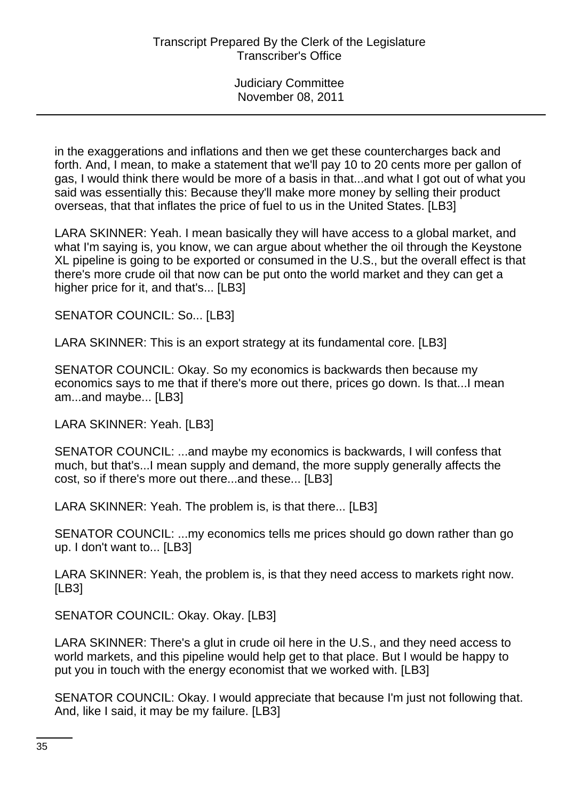in the exaggerations and inflations and then we get these countercharges back and forth. And, I mean, to make a statement that we'll pay 10 to 20 cents more per gallon of gas, I would think there would be more of a basis in that...and what I got out of what you said was essentially this: Because they'll make more money by selling their product overseas, that that inflates the price of fuel to us in the United States. [LB3]

LARA SKINNER: Yeah. I mean basically they will have access to a global market, and what I'm saying is, you know, we can argue about whether the oil through the Keystone XL pipeline is going to be exported or consumed in the U.S., but the overall effect is that there's more crude oil that now can be put onto the world market and they can get a higher price for it, and that's... [LB3]

SENATOR COUNCIL: So... [LB3]

LARA SKINNER: This is an export strategy at its fundamental core. [LB3]

SENATOR COUNCIL: Okay. So my economics is backwards then because my economics says to me that if there's more out there, prices go down. Is that...I mean am...and maybe... [LB3]

LARA SKINNER: Yeah. [LB3]

SENATOR COUNCIL: ...and maybe my economics is backwards, I will confess that much, but that's...I mean supply and demand, the more supply generally affects the cost, so if there's more out there...and these... [LB3]

LARA SKINNER: Yeah. The problem is, is that there... [LB3]

SENATOR COUNCIL: ...my economics tells me prices should go down rather than go up. I don't want to... [LB3]

LARA SKINNER: Yeah, the problem is, is that they need access to markets right now. [LB3]

SENATOR COUNCIL: Okay. Okay. [LB3]

LARA SKINNER: There's a glut in crude oil here in the U.S., and they need access to world markets, and this pipeline would help get to that place. But I would be happy to put you in touch with the energy economist that we worked with. [LB3]

SENATOR COUNCIL: Okay. I would appreciate that because I'm just not following that. And, like I said, it may be my failure. [LB3]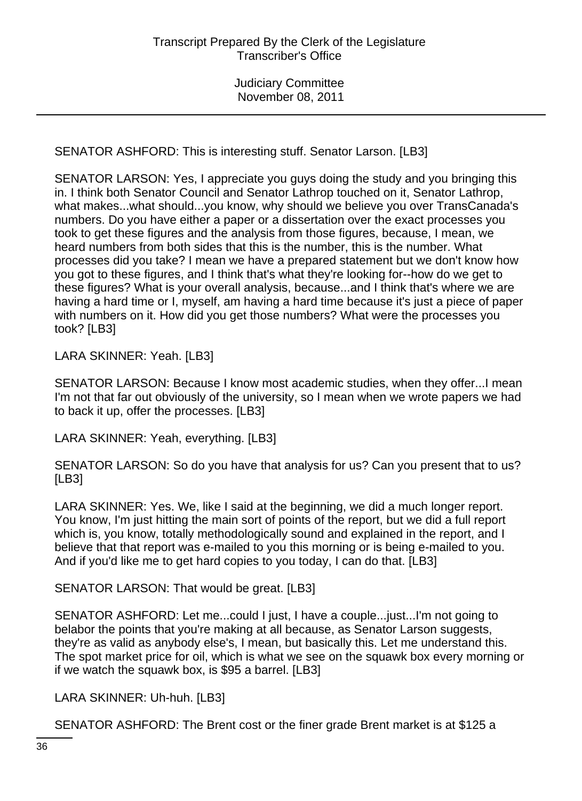SENATOR ASHFORD: This is interesting stuff. Senator Larson. [LB3]

SENATOR LARSON: Yes, I appreciate you guys doing the study and you bringing this in. I think both Senator Council and Senator Lathrop touched on it, Senator Lathrop, what makes...what should...you know, why should we believe you over TransCanada's numbers. Do you have either a paper or a dissertation over the exact processes you took to get these figures and the analysis from those figures, because, I mean, we heard numbers from both sides that this is the number, this is the number. What processes did you take? I mean we have a prepared statement but we don't know how you got to these figures, and I think that's what they're looking for--how do we get to these figures? What is your overall analysis, because...and I think that's where we are having a hard time or I, myself, am having a hard time because it's just a piece of paper with numbers on it. How did you get those numbers? What were the processes you took? [LB3]

LARA SKINNER: Yeah. [LB3]

SENATOR LARSON: Because I know most academic studies, when they offer...I mean I'm not that far out obviously of the university, so I mean when we wrote papers we had to back it up, offer the processes. [LB3]

LARA SKINNER: Yeah, everything. [LB3]

SENATOR LARSON: So do you have that analysis for us? Can you present that to us? [LB3]

LARA SKINNER: Yes. We, like I said at the beginning, we did a much longer report. You know, I'm just hitting the main sort of points of the report, but we did a full report which is, you know, totally methodologically sound and explained in the report, and I believe that that report was e-mailed to you this morning or is being e-mailed to you. And if you'd like me to get hard copies to you today, I can do that. [LB3]

SENATOR LARSON: That would be great. [LB3]

SENATOR ASHFORD: Let me...could I just, I have a couple...just...I'm not going to belabor the points that you're making at all because, as Senator Larson suggests, they're as valid as anybody else's, I mean, but basically this. Let me understand this. The spot market price for oil, which is what we see on the squawk box every morning or if we watch the squawk box, is \$95 a barrel. [LB3]

LARA SKINNER: Uh-huh. [LB3]

SENATOR ASHFORD: The Brent cost or the finer grade Brent market is at \$125 a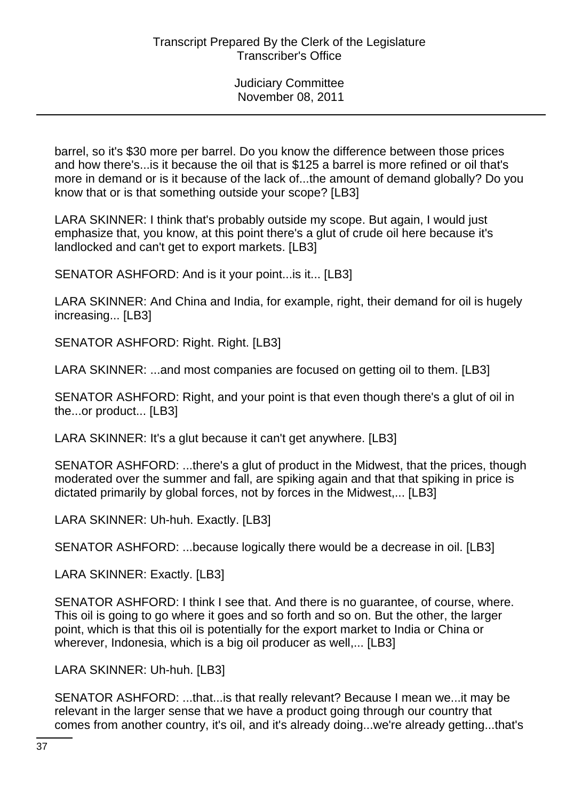barrel, so it's \$30 more per barrel. Do you know the difference between those prices and how there's...is it because the oil that is \$125 a barrel is more refined or oil that's more in demand or is it because of the lack of...the amount of demand globally? Do you know that or is that something outside your scope? [LB3]

LARA SKINNER: I think that's probably outside my scope. But again, I would just emphasize that, you know, at this point there's a glut of crude oil here because it's landlocked and can't get to export markets. [LB3]

SENATOR ASHFORD: And is it your point...is it... [LB3]

LARA SKINNER: And China and India, for example, right, their demand for oil is hugely increasing... [LB3]

SENATOR ASHFORD: Right. Right. [LB3]

LARA SKINNER: ...and most companies are focused on getting oil to them. [LB3]

SENATOR ASHFORD: Right, and your point is that even though there's a glut of oil in the...or product... [LB3]

LARA SKINNER: It's a glut because it can't get anywhere. [LB3]

SENATOR ASHFORD: ...there's a glut of product in the Midwest, that the prices, though moderated over the summer and fall, are spiking again and that that spiking in price is dictated primarily by global forces, not by forces in the Midwest,... [LB3]

LARA SKINNER: Uh-huh. Exactly. [LB3]

SENATOR ASHFORD: ...because logically there would be a decrease in oil. [LB3]

LARA SKINNER: Exactly. [LB3]

SENATOR ASHFORD: I think I see that. And there is no guarantee, of course, where. This oil is going to go where it goes and so forth and so on. But the other, the larger point, which is that this oil is potentially for the export market to India or China or wherever, Indonesia, which is a big oil producer as well,... [LB3]

LARA SKINNER: Uh-huh. [LB3]

SENATOR ASHFORD: ...that...is that really relevant? Because I mean we...it may be relevant in the larger sense that we have a product going through our country that comes from another country, it's oil, and it's already doing...we're already getting...that's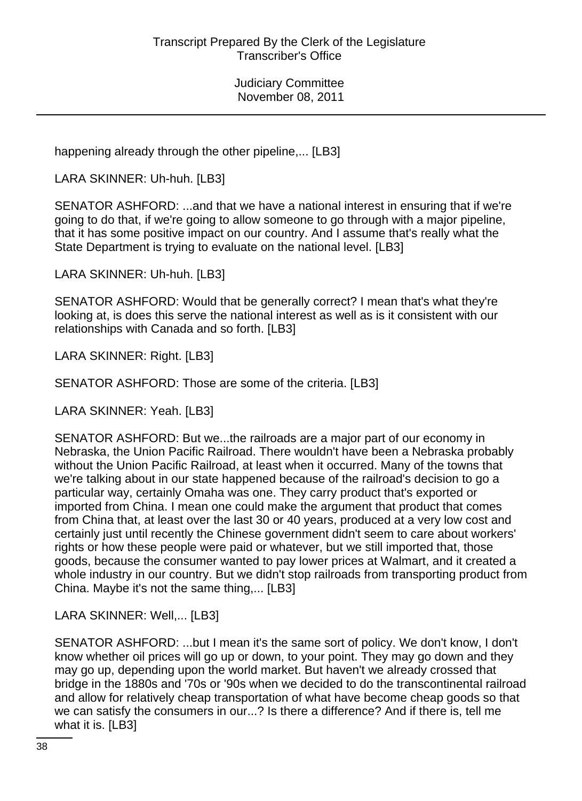happening already through the other pipeline,... [LB3]

LARA SKINNER: Uh-huh. [LB3]

SENATOR ASHFORD: ...and that we have a national interest in ensuring that if we're going to do that, if we're going to allow someone to go through with a major pipeline, that it has some positive impact on our country. And I assume that's really what the State Department is trying to evaluate on the national level. [LB3]

LARA SKINNER: Uh-huh. [LB3]

SENATOR ASHFORD: Would that be generally correct? I mean that's what they're looking at, is does this serve the national interest as well as is it consistent with our relationships with Canada and so forth. [LB3]

LARA SKINNER: Right. [LB3]

SENATOR ASHFORD: Those are some of the criteria. [LB3]

LARA SKINNER: Yeah. [LB3]

SENATOR ASHFORD: But we...the railroads are a major part of our economy in Nebraska, the Union Pacific Railroad. There wouldn't have been a Nebraska probably without the Union Pacific Railroad, at least when it occurred. Many of the towns that we're talking about in our state happened because of the railroad's decision to go a particular way, certainly Omaha was one. They carry product that's exported or imported from China. I mean one could make the argument that product that comes from China that, at least over the last 30 or 40 years, produced at a very low cost and certainly just until recently the Chinese government didn't seem to care about workers' rights or how these people were paid or whatever, but we still imported that, those goods, because the consumer wanted to pay lower prices at Walmart, and it created a whole industry in our country. But we didn't stop railroads from transporting product from China. Maybe it's not the same thing,... [LB3]

LARA SKINNER: Well,... [LB3]

SENATOR ASHFORD: ...but I mean it's the same sort of policy. We don't know, I don't know whether oil prices will go up or down, to your point. They may go down and they may go up, depending upon the world market. But haven't we already crossed that bridge in the 1880s and '70s or '90s when we decided to do the transcontinental railroad and allow for relatively cheap transportation of what have become cheap goods so that we can satisfy the consumers in our...? Is there a difference? And if there is, tell me what it is. [LB3]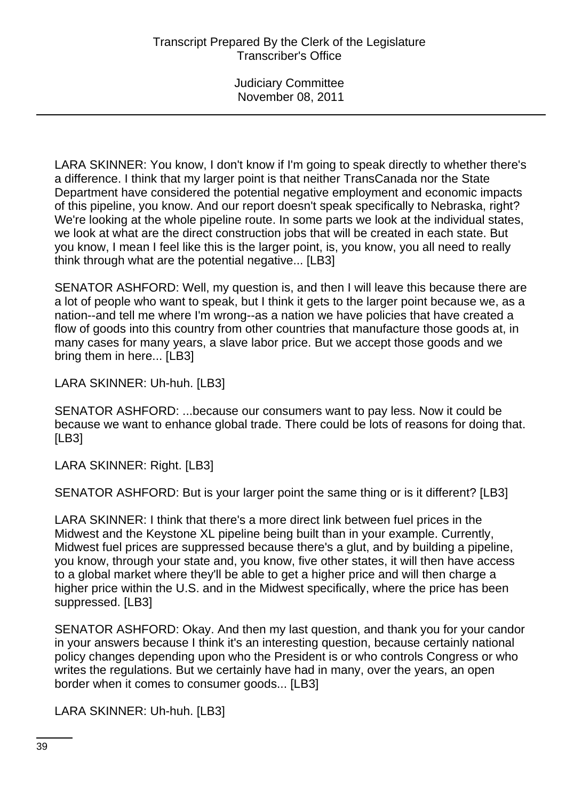LARA SKINNER: You know, I don't know if I'm going to speak directly to whether there's a difference. I think that my larger point is that neither TransCanada nor the State Department have considered the potential negative employment and economic impacts of this pipeline, you know. And our report doesn't speak specifically to Nebraska, right? We're looking at the whole pipeline route. In some parts we look at the individual states, we look at what are the direct construction jobs that will be created in each state. But you know, I mean I feel like this is the larger point, is, you know, you all need to really think through what are the potential negative... [LB3]

SENATOR ASHFORD: Well, my question is, and then I will leave this because there are a lot of people who want to speak, but I think it gets to the larger point because we, as a nation--and tell me where I'm wrong--as a nation we have policies that have created a flow of goods into this country from other countries that manufacture those goods at, in many cases for many years, a slave labor price. But we accept those goods and we bring them in here... [LB3]

LARA SKINNER: Uh-huh. [LB3]

SENATOR ASHFORD: ...because our consumers want to pay less. Now it could be because we want to enhance global trade. There could be lots of reasons for doing that. [LB3]

LARA SKINNER: Right. [LB3]

SENATOR ASHFORD: But is your larger point the same thing or is it different? [LB3]

LARA SKINNER: I think that there's a more direct link between fuel prices in the Midwest and the Keystone XL pipeline being built than in your example. Currently, Midwest fuel prices are suppressed because there's a glut, and by building a pipeline, you know, through your state and, you know, five other states, it will then have access to a global market where they'll be able to get a higher price and will then charge a higher price within the U.S. and in the Midwest specifically, where the price has been suppressed. [LB3]

SENATOR ASHFORD: Okay. And then my last question, and thank you for your candor in your answers because I think it's an interesting question, because certainly national policy changes depending upon who the President is or who controls Congress or who writes the regulations. But we certainly have had in many, over the years, an open border when it comes to consumer goods... [LB3]

LARA SKINNER: Uh-huh. [LB3]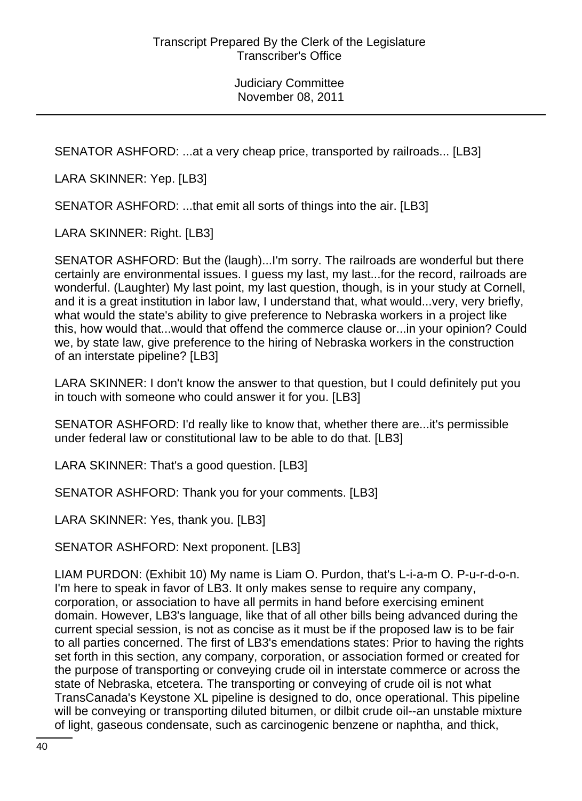SENATOR ASHFORD: ...at a very cheap price, transported by railroads... [LB3]

LARA SKINNER: Yep. [LB3]

SENATOR ASHFORD: ...that emit all sorts of things into the air. [LB3]

LARA SKINNER: Right. [LB3]

SENATOR ASHFORD: But the (laugh)...I'm sorry. The railroads are wonderful but there certainly are environmental issues. I guess my last, my last...for the record, railroads are wonderful. (Laughter) My last point, my last question, though, is in your study at Cornell, and it is a great institution in labor law, I understand that, what would...very, very briefly, what would the state's ability to give preference to Nebraska workers in a project like this, how would that...would that offend the commerce clause or...in your opinion? Could we, by state law, give preference to the hiring of Nebraska workers in the construction of an interstate pipeline? [LB3]

LARA SKINNER: I don't know the answer to that question, but I could definitely put you in touch with someone who could answer it for you. [LB3]

SENATOR ASHFORD: I'd really like to know that, whether there are...it's permissible under federal law or constitutional law to be able to do that. [LB3]

LARA SKINNER: That's a good question. [LB3]

SENATOR ASHFORD: Thank you for your comments. [LB3]

LARA SKINNER: Yes, thank you. [LB3]

SENATOR ASHFORD: Next proponent. [LB3]

LIAM PURDON: (Exhibit 10) My name is Liam O. Purdon, that's L-i-a-m O. P-u-r-d-o-n. I'm here to speak in favor of LB3. It only makes sense to require any company, corporation, or association to have all permits in hand before exercising eminent domain. However, LB3's language, like that of all other bills being advanced during the current special session, is not as concise as it must be if the proposed law is to be fair to all parties concerned. The first of LB3's emendations states: Prior to having the rights set forth in this section, any company, corporation, or association formed or created for the purpose of transporting or conveying crude oil in interstate commerce or across the state of Nebraska, etcetera. The transporting or conveying of crude oil is not what TransCanada's Keystone XL pipeline is designed to do, once operational. This pipeline will be conveying or transporting diluted bitumen, or dilbit crude oil--an unstable mixture of light, gaseous condensate, such as carcinogenic benzene or naphtha, and thick,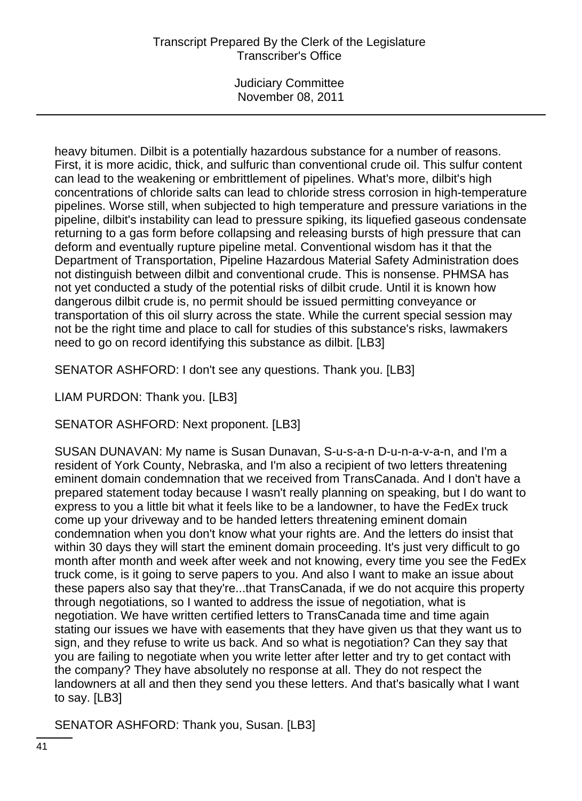## Transcript Prepared By the Clerk of the Legislature Transcriber's Office

Judiciary Committee November 08, 2011

heavy bitumen. Dilbit is a potentially hazardous substance for a number of reasons. First, it is more acidic, thick, and sulfuric than conventional crude oil. This sulfur content can lead to the weakening or embrittlement of pipelines. What's more, dilbit's high concentrations of chloride salts can lead to chloride stress corrosion in high-temperature pipelines. Worse still, when subjected to high temperature and pressure variations in the pipeline, dilbit's instability can lead to pressure spiking, its liquefied gaseous condensate returning to a gas form before collapsing and releasing bursts of high pressure that can deform and eventually rupture pipeline metal. Conventional wisdom has it that the Department of Transportation, Pipeline Hazardous Material Safety Administration does not distinguish between dilbit and conventional crude. This is nonsense. PHMSA has not yet conducted a study of the potential risks of dilbit crude. Until it is known how dangerous dilbit crude is, no permit should be issued permitting conveyance or transportation of this oil slurry across the state. While the current special session may not be the right time and place to call for studies of this substance's risks, lawmakers need to go on record identifying this substance as dilbit. [LB3]

SENATOR ASHFORD: I don't see any questions. Thank you. [LB3]

LIAM PURDON: Thank you. [LB3]

SENATOR ASHFORD: Next proponent. [LB3]

SUSAN DUNAVAN: My name is Susan Dunavan, S-u-s-a-n D-u-n-a-v-a-n, and I'm a resident of York County, Nebraska, and I'm also a recipient of two letters threatening eminent domain condemnation that we received from TransCanada. And I don't have a prepared statement today because I wasn't really planning on speaking, but I do want to express to you a little bit what it feels like to be a landowner, to have the FedEx truck come up your driveway and to be handed letters threatening eminent domain condemnation when you don't know what your rights are. And the letters do insist that within 30 days they will start the eminent domain proceeding. It's just very difficult to go month after month and week after week and not knowing, every time you see the FedEx truck come, is it going to serve papers to you. And also I want to make an issue about these papers also say that they're...that TransCanada, if we do not acquire this property through negotiations, so I wanted to address the issue of negotiation, what is negotiation. We have written certified letters to TransCanada time and time again stating our issues we have with easements that they have given us that they want us to sign, and they refuse to write us back. And so what is negotiation? Can they say that you are failing to negotiate when you write letter after letter and try to get contact with the company? They have absolutely no response at all. They do not respect the landowners at all and then they send you these letters. And that's basically what I want to say. [LB3]

SENATOR ASHFORD: Thank you, Susan. [LB3]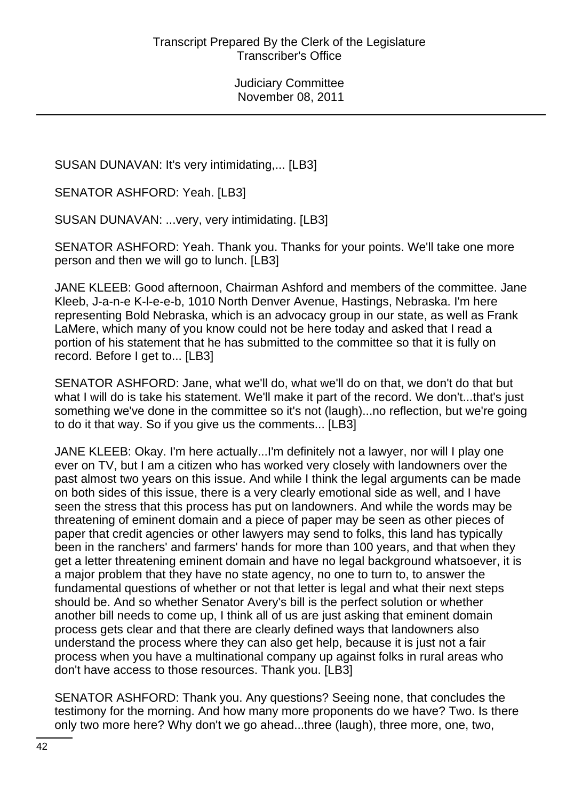SUSAN DUNAVAN: It's very intimidating,... [LB3]

SENATOR ASHFORD: Yeah. [LB3]

SUSAN DUNAVAN: ...very, very intimidating. [LB3]

SENATOR ASHFORD: Yeah. Thank you. Thanks for your points. We'll take one more person and then we will go to lunch. [LB3]

JANE KLEEB: Good afternoon, Chairman Ashford and members of the committee. Jane Kleeb, J-a-n-e K-l-e-e-b, 1010 North Denver Avenue, Hastings, Nebraska. I'm here representing Bold Nebraska, which is an advocacy group in our state, as well as Frank LaMere, which many of you know could not be here today and asked that I read a portion of his statement that he has submitted to the committee so that it is fully on record. Before I get to... [LB3]

SENATOR ASHFORD: Jane, what we'll do, what we'll do on that, we don't do that but what I will do is take his statement. We'll make it part of the record. We don't...that's just something we've done in the committee so it's not (laugh)...no reflection, but we're going to do it that way. So if you give us the comments... [LB3]

JANE KLEEB: Okay. I'm here actually...I'm definitely not a lawyer, nor will I play one ever on TV, but I am a citizen who has worked very closely with landowners over the past almost two years on this issue. And while I think the legal arguments can be made on both sides of this issue, there is a very clearly emotional side as well, and I have seen the stress that this process has put on landowners. And while the words may be threatening of eminent domain and a piece of paper may be seen as other pieces of paper that credit agencies or other lawyers may send to folks, this land has typically been in the ranchers' and farmers' hands for more than 100 years, and that when they get a letter threatening eminent domain and have no legal background whatsoever, it is a major problem that they have no state agency, no one to turn to, to answer the fundamental questions of whether or not that letter is legal and what their next steps should be. And so whether Senator Avery's bill is the perfect solution or whether another bill needs to come up, I think all of us are just asking that eminent domain process gets clear and that there are clearly defined ways that landowners also understand the process where they can also get help, because it is just not a fair process when you have a multinational company up against folks in rural areas who don't have access to those resources. Thank you. [LB3]

SENATOR ASHFORD: Thank you. Any questions? Seeing none, that concludes the testimony for the morning. And how many more proponents do we have? Two. Is there only two more here? Why don't we go ahead...three (laugh), three more, one, two,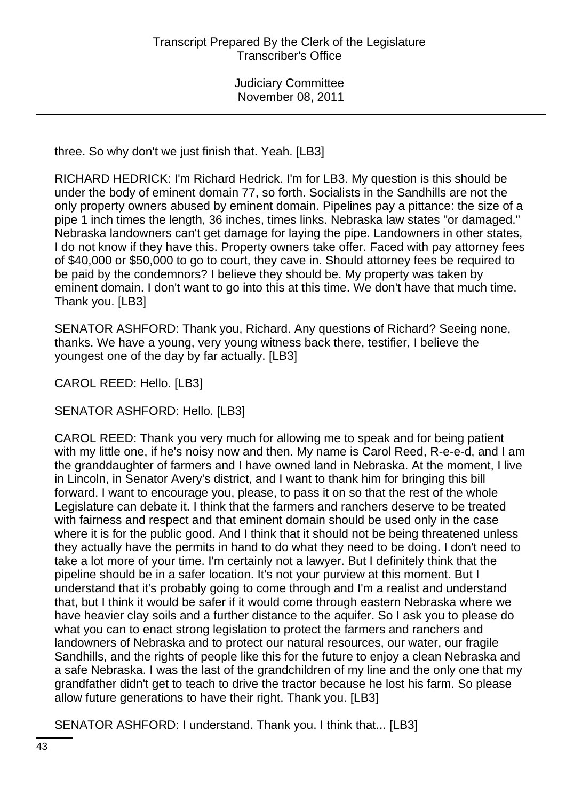three. So why don't we just finish that. Yeah. [LB3]

RICHARD HEDRICK: I'm Richard Hedrick. I'm for LB3. My question is this should be under the body of eminent domain 77, so forth. Socialists in the Sandhills are not the only property owners abused by eminent domain. Pipelines pay a pittance: the size of a pipe 1 inch times the length, 36 inches, times links. Nebraska law states "or damaged." Nebraska landowners can't get damage for laying the pipe. Landowners in other states, I do not know if they have this. Property owners take offer. Faced with pay attorney fees of \$40,000 or \$50,000 to go to court, they cave in. Should attorney fees be required to be paid by the condemnors? I believe they should be. My property was taken by eminent domain. I don't want to go into this at this time. We don't have that much time. Thank you. [LB3]

SENATOR ASHFORD: Thank you, Richard. Any questions of Richard? Seeing none, thanks. We have a young, very young witness back there, testifier, I believe the youngest one of the day by far actually. [LB3]

CAROL REED: Hello. [LB3]

SENATOR ASHFORD: Hello. [LB3]

CAROL REED: Thank you very much for allowing me to speak and for being patient with my little one, if he's noisy now and then. My name is Carol Reed, R-e-e-d, and I am the granddaughter of farmers and I have owned land in Nebraska. At the moment, I live in Lincoln, in Senator Avery's district, and I want to thank him for bringing this bill forward. I want to encourage you, please, to pass it on so that the rest of the whole Legislature can debate it. I think that the farmers and ranchers deserve to be treated with fairness and respect and that eminent domain should be used only in the case where it is for the public good. And I think that it should not be being threatened unless they actually have the permits in hand to do what they need to be doing. I don't need to take a lot more of your time. I'm certainly not a lawyer. But I definitely think that the pipeline should be in a safer location. It's not your purview at this moment. But I understand that it's probably going to come through and I'm a realist and understand that, but I think it would be safer if it would come through eastern Nebraska where we have heavier clay soils and a further distance to the aquifer. So I ask you to please do what you can to enact strong legislation to protect the farmers and ranchers and landowners of Nebraska and to protect our natural resources, our water, our fragile Sandhills, and the rights of people like this for the future to enjoy a clean Nebraska and a safe Nebraska. I was the last of the grandchildren of my line and the only one that my grandfather didn't get to teach to drive the tractor because he lost his farm. So please allow future generations to have their right. Thank you. [LB3]

SENATOR ASHFORD: I understand. Thank you. I think that... [LB3]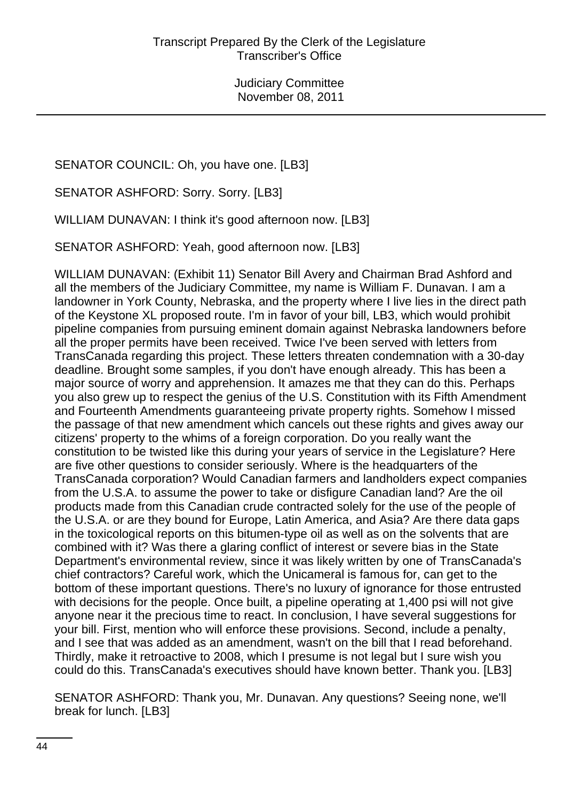SENATOR COUNCIL: Oh, you have one. [LB3]

SENATOR ASHFORD: Sorry. Sorry. [LB3]

WILLIAM DUNAVAN: I think it's good afternoon now. [LB3]

SENATOR ASHFORD: Yeah, good afternoon now. [LB3]

WILLIAM DUNAVAN: (Exhibit 11) Senator Bill Avery and Chairman Brad Ashford and all the members of the Judiciary Committee, my name is William F. Dunavan. I am a landowner in York County, Nebraska, and the property where I live lies in the direct path of the Keystone XL proposed route. I'm in favor of your bill, LB3, which would prohibit pipeline companies from pursuing eminent domain against Nebraska landowners before all the proper permits have been received. Twice I've been served with letters from TransCanada regarding this project. These letters threaten condemnation with a 30-day deadline. Brought some samples, if you don't have enough already. This has been a major source of worry and apprehension. It amazes me that they can do this. Perhaps you also grew up to respect the genius of the U.S. Constitution with its Fifth Amendment and Fourteenth Amendments guaranteeing private property rights. Somehow I missed the passage of that new amendment which cancels out these rights and gives away our citizens' property to the whims of a foreign corporation. Do you really want the constitution to be twisted like this during your years of service in the Legislature? Here are five other questions to consider seriously. Where is the headquarters of the TransCanada corporation? Would Canadian farmers and landholders expect companies from the U.S.A. to assume the power to take or disfigure Canadian land? Are the oil products made from this Canadian crude contracted solely for the use of the people of the U.S.A. or are they bound for Europe, Latin America, and Asia? Are there data gaps in the toxicological reports on this bitumen-type oil as well as on the solvents that are combined with it? Was there a glaring conflict of interest or severe bias in the State Department's environmental review, since it was likely written by one of TransCanada's chief contractors? Careful work, which the Unicameral is famous for, can get to the bottom of these important questions. There's no luxury of ignorance for those entrusted with decisions for the people. Once built, a pipeline operating at 1,400 psi will not give anyone near it the precious time to react. In conclusion, I have several suggestions for your bill. First, mention who will enforce these provisions. Second, include a penalty, and I see that was added as an amendment, wasn't on the bill that I read beforehand. Thirdly, make it retroactive to 2008, which I presume is not legal but I sure wish you could do this. TransCanada's executives should have known better. Thank you. [LB3]

SENATOR ASHFORD: Thank you, Mr. Dunavan. Any questions? Seeing none, we'll break for lunch. [LB3]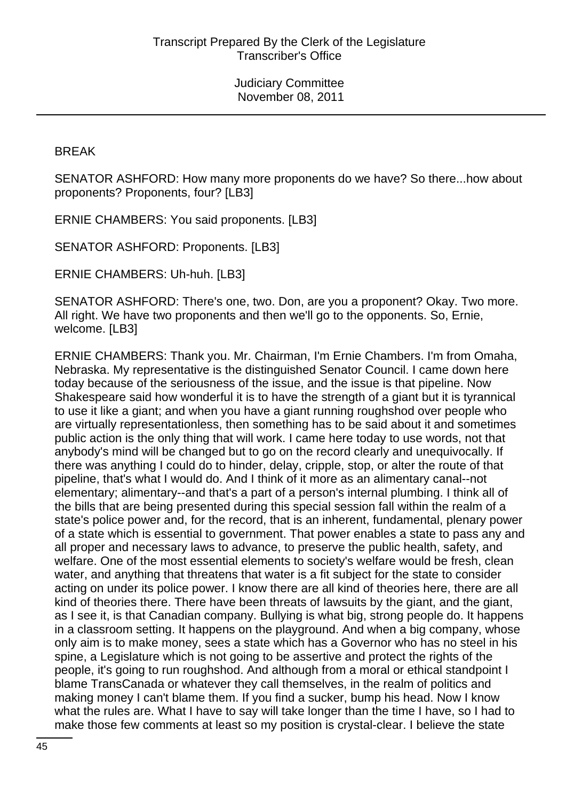BREAK

SENATOR ASHFORD: How many more proponents do we have? So there...how about proponents? Proponents, four? [LB3]

ERNIE CHAMBERS: You said proponents. [LB3]

SENATOR ASHFORD: Proponents. [LB3]

ERNIE CHAMBERS: Uh-huh. [LB3]

SENATOR ASHFORD: There's one, two. Don, are you a proponent? Okay. Two more. All right. We have two proponents and then we'll go to the opponents. So, Ernie, welcome. [LB3]

ERNIE CHAMBERS: Thank you. Mr. Chairman, I'm Ernie Chambers. I'm from Omaha, Nebraska. My representative is the distinguished Senator Council. I came down here today because of the seriousness of the issue, and the issue is that pipeline. Now Shakespeare said how wonderful it is to have the strength of a giant but it is tyrannical to use it like a giant; and when you have a giant running roughshod over people who are virtually representationless, then something has to be said about it and sometimes public action is the only thing that will work. I came here today to use words, not that anybody's mind will be changed but to go on the record clearly and unequivocally. If there was anything I could do to hinder, delay, cripple, stop, or alter the route of that pipeline, that's what I would do. And I think of it more as an alimentary canal--not elementary; alimentary--and that's a part of a person's internal plumbing. I think all of the bills that are being presented during this special session fall within the realm of a state's police power and, for the record, that is an inherent, fundamental, plenary power of a state which is essential to government. That power enables a state to pass any and all proper and necessary laws to advance, to preserve the public health, safety, and welfare. One of the most essential elements to society's welfare would be fresh, clean water, and anything that threatens that water is a fit subject for the state to consider acting on under its police power. I know there are all kind of theories here, there are all kind of theories there. There have been threats of lawsuits by the giant, and the giant, as I see it, is that Canadian company. Bullying is what big, strong people do. It happens in a classroom setting. It happens on the playground. And when a big company, whose only aim is to make money, sees a state which has a Governor who has no steel in his spine, a Legislature which is not going to be assertive and protect the rights of the people, it's going to run roughshod. And although from a moral or ethical standpoint I blame TransCanada or whatever they call themselves, in the realm of politics and making money I can't blame them. If you find a sucker, bump his head. Now I know what the rules are. What I have to say will take longer than the time I have, so I had to make those few comments at least so my position is crystal-clear. I believe the state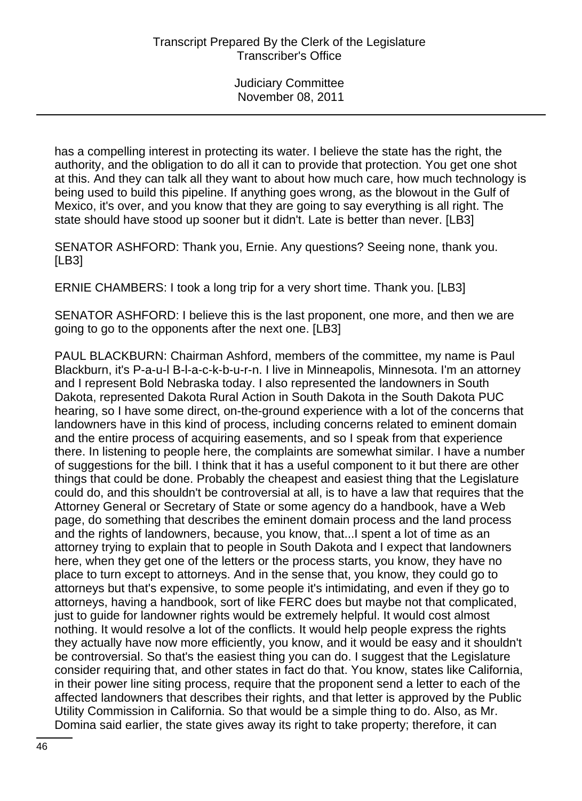has a compelling interest in protecting its water. I believe the state has the right, the authority, and the obligation to do all it can to provide that protection. You get one shot at this. And they can talk all they want to about how much care, how much technology is being used to build this pipeline. If anything goes wrong, as the blowout in the Gulf of Mexico, it's over, and you know that they are going to say everything is all right. The state should have stood up sooner but it didn't. Late is better than never. [LB3]

SENATOR ASHFORD: Thank you, Ernie. Any questions? Seeing none, thank you. [LB3]

ERNIE CHAMBERS: I took a long trip for a very short time. Thank you. [LB3]

SENATOR ASHFORD: I believe this is the last proponent, one more, and then we are going to go to the opponents after the next one. [LB3]

PAUL BLACKBURN: Chairman Ashford, members of the committee, my name is Paul Blackburn, it's P-a-u-l B-l-a-c-k-b-u-r-n. I live in Minneapolis, Minnesota. I'm an attorney and I represent Bold Nebraska today. I also represented the landowners in South Dakota, represented Dakota Rural Action in South Dakota in the South Dakota PUC hearing, so I have some direct, on-the-ground experience with a lot of the concerns that landowners have in this kind of process, including concerns related to eminent domain and the entire process of acquiring easements, and so I speak from that experience there. In listening to people here, the complaints are somewhat similar. I have a number of suggestions for the bill. I think that it has a useful component to it but there are other things that could be done. Probably the cheapest and easiest thing that the Legislature could do, and this shouldn't be controversial at all, is to have a law that requires that the Attorney General or Secretary of State or some agency do a handbook, have a Web page, do something that describes the eminent domain process and the land process and the rights of landowners, because, you know, that...I spent a lot of time as an attorney trying to explain that to people in South Dakota and I expect that landowners here, when they get one of the letters or the process starts, you know, they have no place to turn except to attorneys. And in the sense that, you know, they could go to attorneys but that's expensive, to some people it's intimidating, and even if they go to attorneys, having a handbook, sort of like FERC does but maybe not that complicated, just to guide for landowner rights would be extremely helpful. It would cost almost nothing. It would resolve a lot of the conflicts. It would help people express the rights they actually have now more efficiently, you know, and it would be easy and it shouldn't be controversial. So that's the easiest thing you can do. I suggest that the Legislature consider requiring that, and other states in fact do that. You know, states like California, in their power line siting process, require that the proponent send a letter to each of the affected landowners that describes their rights, and that letter is approved by the Public Utility Commission in California. So that would be a simple thing to do. Also, as Mr. Domina said earlier, the state gives away its right to take property; therefore, it can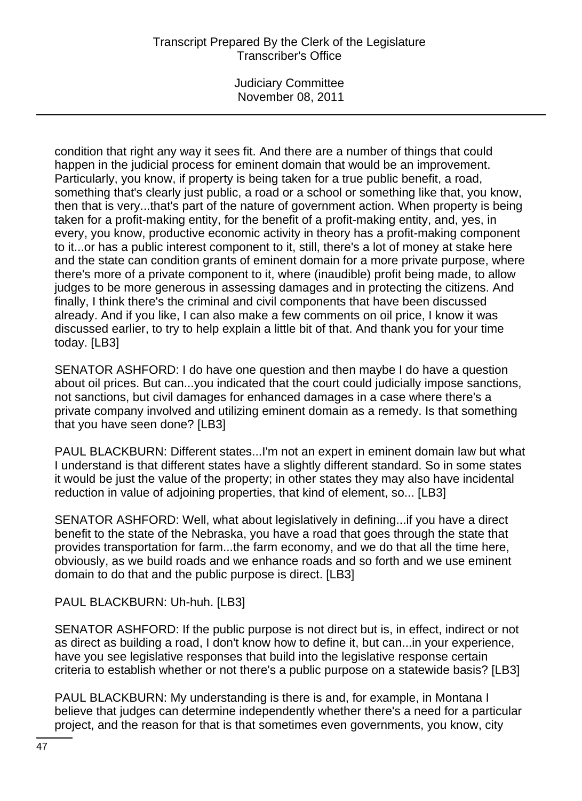# Transcript Prepared By the Clerk of the Legislature Transcriber's Office

Judiciary Committee November 08, 2011

condition that right any way it sees fit. And there are a number of things that could happen in the judicial process for eminent domain that would be an improvement. Particularly, you know, if property is being taken for a true public benefit, a road, something that's clearly just public, a road or a school or something like that, you know, then that is very...that's part of the nature of government action. When property is being taken for a profit-making entity, for the benefit of a profit-making entity, and, yes, in every, you know, productive economic activity in theory has a profit-making component to it...or has a public interest component to it, still, there's a lot of money at stake here and the state can condition grants of eminent domain for a more private purpose, where there's more of a private component to it, where (inaudible) profit being made, to allow judges to be more generous in assessing damages and in protecting the citizens. And finally, I think there's the criminal and civil components that have been discussed already. And if you like, I can also make a few comments on oil price, I know it was discussed earlier, to try to help explain a little bit of that. And thank you for your time today. [LB3]

SENATOR ASHFORD: I do have one question and then maybe I do have a question about oil prices. But can...you indicated that the court could judicially impose sanctions, not sanctions, but civil damages for enhanced damages in a case where there's a private company involved and utilizing eminent domain as a remedy. Is that something that you have seen done? [LB3]

PAUL BLACKBURN: Different states...I'm not an expert in eminent domain law but what I understand is that different states have a slightly different standard. So in some states it would be just the value of the property; in other states they may also have incidental reduction in value of adjoining properties, that kind of element, so... [LB3]

SENATOR ASHFORD: Well, what about legislatively in defining...if you have a direct benefit to the state of the Nebraska, you have a road that goes through the state that provides transportation for farm...the farm economy, and we do that all the time here, obviously, as we build roads and we enhance roads and so forth and we use eminent domain to do that and the public purpose is direct. [LB3]

# PAUL BLACKBURN: Uh-huh. [LB3]

SENATOR ASHFORD: If the public purpose is not direct but is, in effect, indirect or not as direct as building a road, I don't know how to define it, but can...in your experience, have you see legislative responses that build into the legislative response certain criteria to establish whether or not there's a public purpose on a statewide basis? [LB3]

PAUL BLACKBURN: My understanding is there is and, for example, in Montana I believe that judges can determine independently whether there's a need for a particular project, and the reason for that is that sometimes even governments, you know, city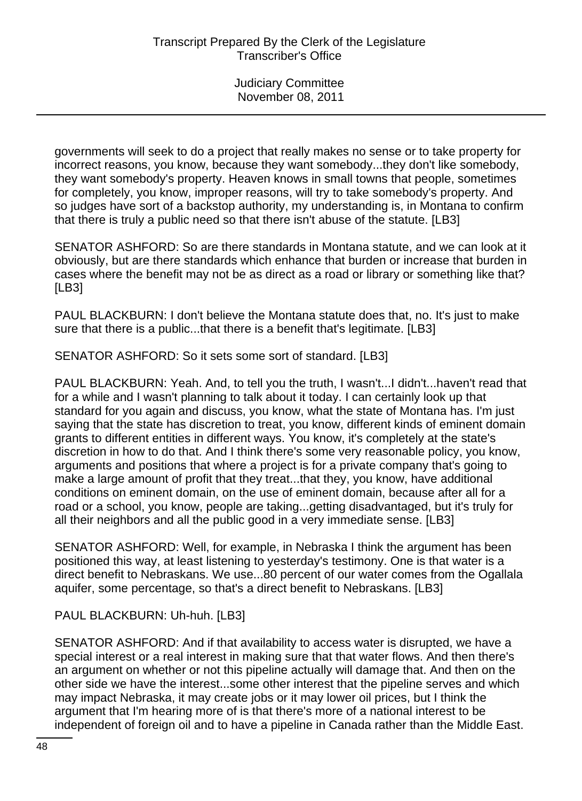governments will seek to do a project that really makes no sense or to take property for incorrect reasons, you know, because they want somebody...they don't like somebody, they want somebody's property. Heaven knows in small towns that people, sometimes for completely, you know, improper reasons, will try to take somebody's property. And so judges have sort of a backstop authority, my understanding is, in Montana to confirm that there is truly a public need so that there isn't abuse of the statute. [LB3]

SENATOR ASHFORD: So are there standards in Montana statute, and we can look at it obviously, but are there standards which enhance that burden or increase that burden in cases where the benefit may not be as direct as a road or library or something like that? [LB3]

PAUL BLACKBURN: I don't believe the Montana statute does that, no. It's just to make sure that there is a public...that there is a benefit that's legitimate. [LB3]

SENATOR ASHFORD: So it sets some sort of standard. [LB3]

PAUL BLACKBURN: Yeah. And, to tell you the truth, I wasn't...I didn't...haven't read that for a while and I wasn't planning to talk about it today. I can certainly look up that standard for you again and discuss, you know, what the state of Montana has. I'm just saying that the state has discretion to treat, you know, different kinds of eminent domain grants to different entities in different ways. You know, it's completely at the state's discretion in how to do that. And I think there's some very reasonable policy, you know, arguments and positions that where a project is for a private company that's going to make a large amount of profit that they treat...that they, you know, have additional conditions on eminent domain, on the use of eminent domain, because after all for a road or a school, you know, people are taking...getting disadvantaged, but it's truly for all their neighbors and all the public good in a very immediate sense. [LB3]

SENATOR ASHFORD: Well, for example, in Nebraska I think the argument has been positioned this way, at least listening to yesterday's testimony. One is that water is a direct benefit to Nebraskans. We use...80 percent of our water comes from the Ogallala aquifer, some percentage, so that's a direct benefit to Nebraskans. [LB3]

PAUL BLACKBURN: Uh-huh. [LB3]

SENATOR ASHFORD: And if that availability to access water is disrupted, we have a special interest or a real interest in making sure that that water flows. And then there's an argument on whether or not this pipeline actually will damage that. And then on the other side we have the interest...some other interest that the pipeline serves and which may impact Nebraska, it may create jobs or it may lower oil prices, but I think the argument that I'm hearing more of is that there's more of a national interest to be independent of foreign oil and to have a pipeline in Canada rather than the Middle East.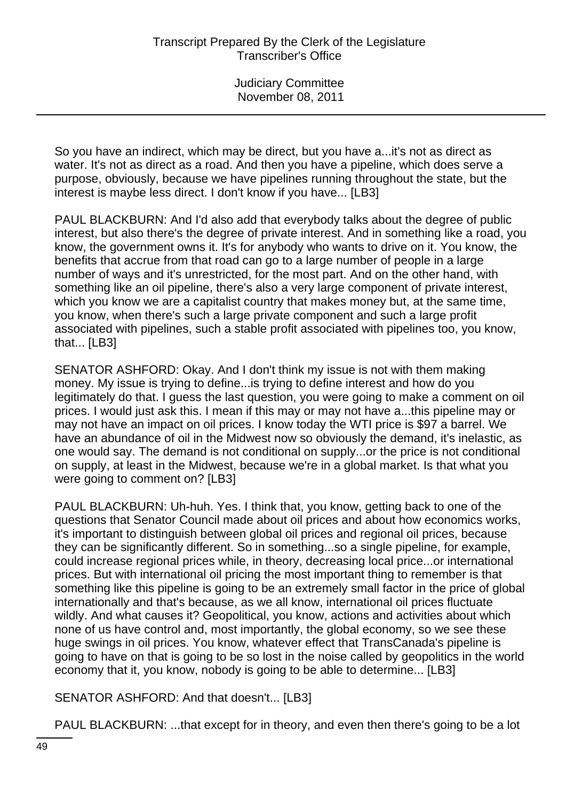So you have an indirect, which may be direct, but you have a...it's not as direct as water. It's not as direct as a road. And then you have a pipeline, which does serve a purpose, obviously, because we have pipelines running throughout the state, but the interest is maybe less direct. I don't know if you have... [LB3]

PAUL BLACKBURN: And I'd also add that everybody talks about the degree of public interest, but also there's the degree of private interest. And in something like a road, you know, the government owns it. It's for anybody who wants to drive on it. You know, the benefits that accrue from that road can go to a large number of people in a large number of ways and it's unrestricted, for the most part. And on the other hand, with something like an oil pipeline, there's also a very large component of private interest, which you know we are a capitalist country that makes money but, at the same time, you know, when there's such a large private component and such a large profit associated with pipelines, such a stable profit associated with pipelines too, you know, that... [LB3]

SENATOR ASHFORD: Okay. And I don't think my issue is not with them making money. My issue is trying to define...is trying to define interest and how do you legitimately do that. I guess the last question, you were going to make a comment on oil prices. I would just ask this. I mean if this may or may not have a...this pipeline may or may not have an impact on oil prices. I know today the WTI price is \$97 a barrel. We have an abundance of oil in the Midwest now so obviously the demand, it's inelastic, as one would say. The demand is not conditional on supply...or the price is not conditional on supply, at least in the Midwest, because we're in a global market. Is that what you were going to comment on? [LB3]

PAUL BLACKBURN: Uh-huh. Yes. I think that, you know, getting back to one of the questions that Senator Council made about oil prices and about how economics works, it's important to distinguish between global oil prices and regional oil prices, because they can be significantly different. So in something...so a single pipeline, for example, could increase regional prices while, in theory, decreasing local price...or international prices. But with international oil pricing the most important thing to remember is that something like this pipeline is going to be an extremely small factor in the price of global internationally and that's because, as we all know, international oil prices fluctuate wildly. And what causes it? Geopolitical, you know, actions and activities about which none of us have control and, most importantly, the global economy, so we see these huge swings in oil prices. You know, whatever effect that TransCanada's pipeline is going to have on that is going to be so lost in the noise called by geopolitics in the world economy that it, you know, nobody is going to be able to determine... [LB3]

SENATOR ASHFORD: And that doesn't... [LB3]

PAUL BLACKBURN: ...that except for in theory, and even then there's going to be a lot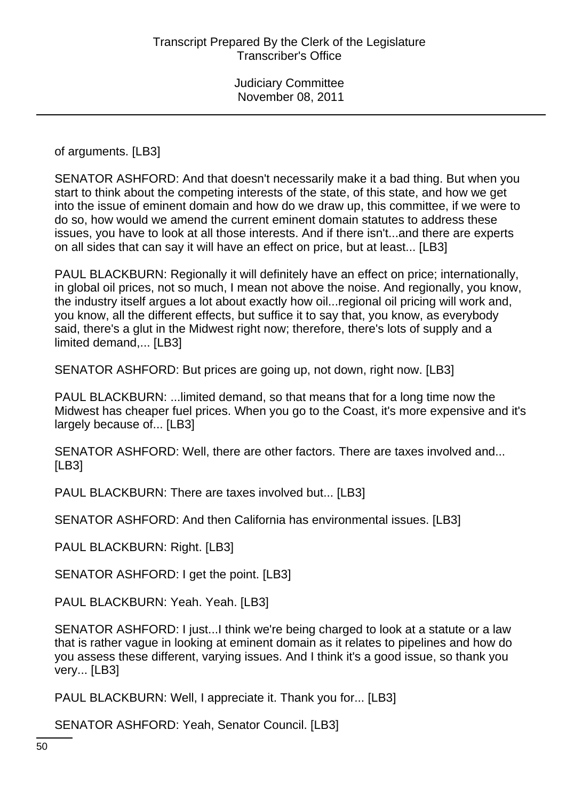of arguments. [LB3]

SENATOR ASHFORD: And that doesn't necessarily make it a bad thing. But when you start to think about the competing interests of the state, of this state, and how we get into the issue of eminent domain and how do we draw up, this committee, if we were to do so, how would we amend the current eminent domain statutes to address these issues, you have to look at all those interests. And if there isn't...and there are experts on all sides that can say it will have an effect on price, but at least... [LB3]

PAUL BLACKBURN: Regionally it will definitely have an effect on price; internationally, in global oil prices, not so much, I mean not above the noise. And regionally, you know, the industry itself argues a lot about exactly how oil...regional oil pricing will work and, you know, all the different effects, but suffice it to say that, you know, as everybody said, there's a glut in the Midwest right now; therefore, there's lots of supply and a limited demand,... [LB3]

SENATOR ASHFORD: But prices are going up, not down, right now. [LB3]

PAUL BLACKBURN: ...limited demand, so that means that for a long time now the Midwest has cheaper fuel prices. When you go to the Coast, it's more expensive and it's largely because of... [LB3]

SENATOR ASHFORD: Well, there are other factors. There are taxes involved and... [LB3]

PAUL BLACKBURN: There are taxes involved but... [LB3]

SENATOR ASHFORD: And then California has environmental issues. [LB3]

PAUL BLACKBURN: Right. [LB3]

SENATOR ASHFORD: I get the point. [LB3]

PAUL BLACKBURN: Yeah. Yeah. [LB3]

SENATOR ASHFORD: I just...I think we're being charged to look at a statute or a law that is rather vague in looking at eminent domain as it relates to pipelines and how do you assess these different, varying issues. And I think it's a good issue, so thank you very... [LB3]

PAUL BLACKBURN: Well, I appreciate it. Thank you for... [LB3]

SENATOR ASHFORD: Yeah, Senator Council. [LB3]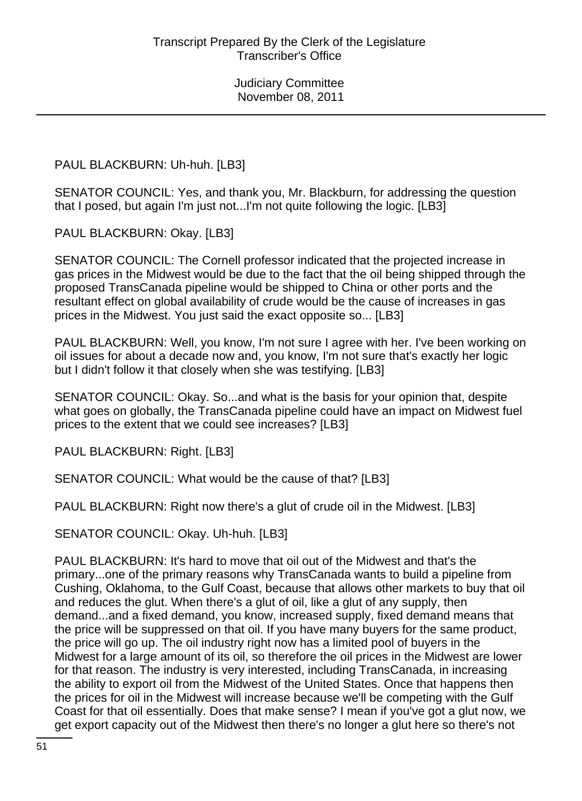PAUL BLACKBURN: Uh-huh. [LB3]

SENATOR COUNCIL: Yes, and thank you, Mr. Blackburn, for addressing the question that I posed, but again I'm just not...I'm not quite following the logic. [LB3]

PAUL BLACKBURN: Okay. [LB3]

SENATOR COUNCIL: The Cornell professor indicated that the projected increase in gas prices in the Midwest would be due to the fact that the oil being shipped through the proposed TransCanada pipeline would be shipped to China or other ports and the resultant effect on global availability of crude would be the cause of increases in gas prices in the Midwest. You just said the exact opposite so... [LB3]

PAUL BLACKBURN: Well, you know, I'm not sure I agree with her. I've been working on oil issues for about a decade now and, you know, I'm not sure that's exactly her logic but I didn't follow it that closely when she was testifying. [LB3]

SENATOR COUNCIL: Okay. So...and what is the basis for your opinion that, despite what goes on globally, the TransCanada pipeline could have an impact on Midwest fuel prices to the extent that we could see increases? [LB3]

PAUL BLACKBURN: Right. [LB3]

SENATOR COUNCIL: What would be the cause of that? [LB3]

PAUL BLACKBURN: Right now there's a glut of crude oil in the Midwest. [LB3]

SENATOR COUNCIL: Okay. Uh-huh. [LB3]

PAUL BLACKBURN: It's hard to move that oil out of the Midwest and that's the primary...one of the primary reasons why TransCanada wants to build a pipeline from Cushing, Oklahoma, to the Gulf Coast, because that allows other markets to buy that oil and reduces the glut. When there's a glut of oil, like a glut of any supply, then demand...and a fixed demand, you know, increased supply, fixed demand means that the price will be suppressed on that oil. If you have many buyers for the same product, the price will go up. The oil industry right now has a limited pool of buyers in the Midwest for a large amount of its oil, so therefore the oil prices in the Midwest are lower for that reason. The industry is very interested, including TransCanada, in increasing the ability to export oil from the Midwest of the United States. Once that happens then the prices for oil in the Midwest will increase because we'll be competing with the Gulf Coast for that oil essentially. Does that make sense? I mean if you've got a glut now, we get export capacity out of the Midwest then there's no longer a glut here so there's not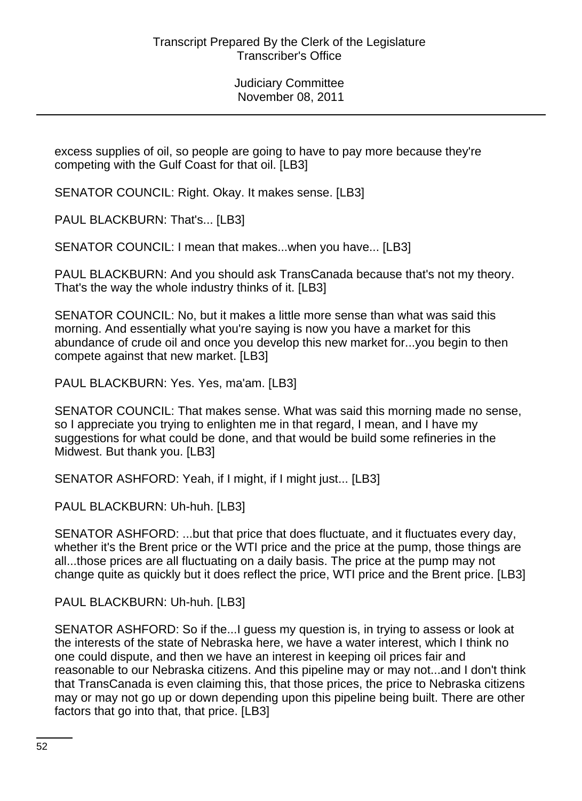excess supplies of oil, so people are going to have to pay more because they're competing with the Gulf Coast for that oil. [LB3]

SENATOR COUNCIL: Right. Okay. It makes sense. [LB3]

PAUL BLACKBURN: That's... [LB3]

SENATOR COUNCIL: I mean that makes...when you have... [LB3]

PAUL BLACKBURN: And you should ask TransCanada because that's not my theory. That's the way the whole industry thinks of it. [LB3]

SENATOR COUNCIL: No, but it makes a little more sense than what was said this morning. And essentially what you're saying is now you have a market for this abundance of crude oil and once you develop this new market for...you begin to then compete against that new market. [LB3]

PAUL BLACKBURN: Yes. Yes, ma'am. [LB3]

SENATOR COUNCIL: That makes sense. What was said this morning made no sense, so I appreciate you trying to enlighten me in that regard, I mean, and I have my suggestions for what could be done, and that would be build some refineries in the Midwest. But thank you. [LB3]

SENATOR ASHFORD: Yeah, if I might, if I might just... [LB3]

PAUL BLACKBURN: Uh-huh. [LB3]

SENATOR ASHFORD: ...but that price that does fluctuate, and it fluctuates every day, whether it's the Brent price or the WTI price and the price at the pump, those things are all...those prices are all fluctuating on a daily basis. The price at the pump may not change quite as quickly but it does reflect the price, WTI price and the Brent price. [LB3]

PAUL BLACKBURN: Uh-huh. [LB3]

SENATOR ASHFORD: So if the...I guess my question is, in trying to assess or look at the interests of the state of Nebraska here, we have a water interest, which I think no one could dispute, and then we have an interest in keeping oil prices fair and reasonable to our Nebraska citizens. And this pipeline may or may not...and I don't think that TransCanada is even claiming this, that those prices, the price to Nebraska citizens may or may not go up or down depending upon this pipeline being built. There are other factors that go into that, that price. [LB3]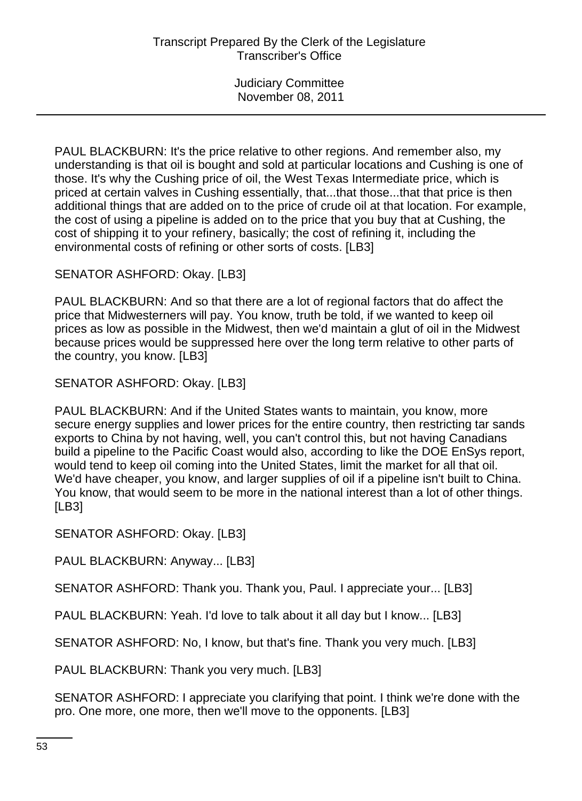PAUL BLACKBURN: It's the price relative to other regions. And remember also, my understanding is that oil is bought and sold at particular locations and Cushing is one of those. It's why the Cushing price of oil, the West Texas Intermediate price, which is priced at certain valves in Cushing essentially, that...that those...that that price is then additional things that are added on to the price of crude oil at that location. For example, the cost of using a pipeline is added on to the price that you buy that at Cushing, the cost of shipping it to your refinery, basically; the cost of refining it, including the environmental costs of refining or other sorts of costs. [LB3]

SENATOR ASHFORD: Okay. [LB3]

PAUL BLACKBURN: And so that there are a lot of regional factors that do affect the price that Midwesterners will pay. You know, truth be told, if we wanted to keep oil prices as low as possible in the Midwest, then we'd maintain a glut of oil in the Midwest because prices would be suppressed here over the long term relative to other parts of the country, you know. [LB3]

SENATOR ASHFORD: Okay. [LB3]

PAUL BLACKBURN: And if the United States wants to maintain, you know, more secure energy supplies and lower prices for the entire country, then restricting tar sands exports to China by not having, well, you can't control this, but not having Canadians build a pipeline to the Pacific Coast would also, according to like the DOE EnSys report, would tend to keep oil coming into the United States, limit the market for all that oil. We'd have cheaper, you know, and larger supplies of oil if a pipeline isn't built to China. You know, that would seem to be more in the national interest than a lot of other things. [LB3]

SENATOR ASHFORD: Okay. [LB3]

PAUL BLACKBURN: Anyway... [LB3]

SENATOR ASHFORD: Thank you. Thank you, Paul. I appreciate your... [LB3]

PAUL BLACKBURN: Yeah. I'd love to talk about it all day but I know... [LB3]

SENATOR ASHFORD: No, I know, but that's fine. Thank you very much. [LB3]

PAUL BLACKBURN: Thank you very much. [LB3]

SENATOR ASHFORD: I appreciate you clarifying that point. I think we're done with the pro. One more, one more, then we'll move to the opponents. [LB3]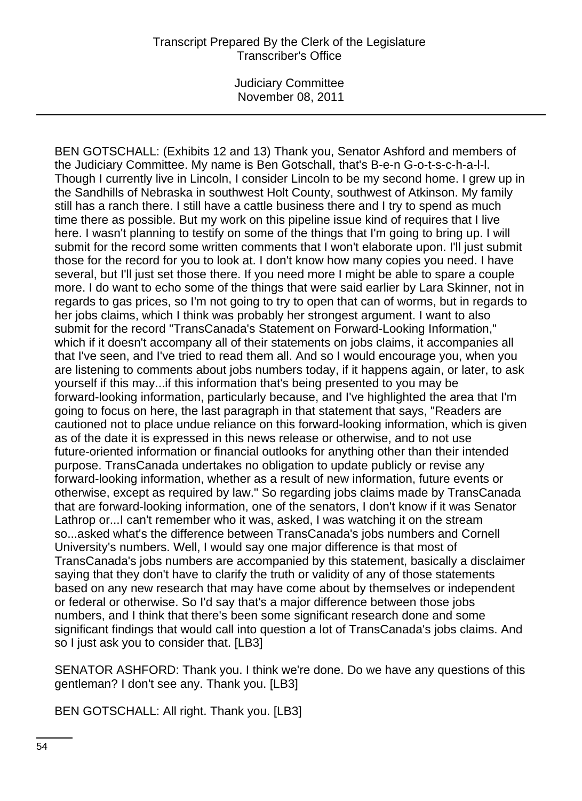### Transcript Prepared By the Clerk of the Legislature Transcriber's Office

Judiciary Committee November 08, 2011

BEN GOTSCHALL: (Exhibits 12 and 13) Thank you, Senator Ashford and members of the Judiciary Committee. My name is Ben Gotschall, that's B-e-n G-o-t-s-c-h-a-l-l. Though I currently live in Lincoln, I consider Lincoln to be my second home. I grew up in the Sandhills of Nebraska in southwest Holt County, southwest of Atkinson. My family still has a ranch there. I still have a cattle business there and I try to spend as much time there as possible. But my work on this pipeline issue kind of requires that I live here. I wasn't planning to testify on some of the things that I'm going to bring up. I will submit for the record some written comments that I won't elaborate upon. I'll just submit those for the record for you to look at. I don't know how many copies you need. I have several, but I'll just set those there. If you need more I might be able to spare a couple more. I do want to echo some of the things that were said earlier by Lara Skinner, not in regards to gas prices, so I'm not going to try to open that can of worms, but in regards to her jobs claims, which I think was probably her strongest argument. I want to also submit for the record "TransCanada's Statement on Forward-Looking Information," which if it doesn't accompany all of their statements on jobs claims, it accompanies all that I've seen, and I've tried to read them all. And so I would encourage you, when you are listening to comments about jobs numbers today, if it happens again, or later, to ask yourself if this may...if this information that's being presented to you may be forward-looking information, particularly because, and I've highlighted the area that I'm going to focus on here, the last paragraph in that statement that says, "Readers are cautioned not to place undue reliance on this forward-looking information, which is given as of the date it is expressed in this news release or otherwise, and to not use future-oriented information or financial outlooks for anything other than their intended purpose. TransCanada undertakes no obligation to update publicly or revise any forward-looking information, whether as a result of new information, future events or otherwise, except as required by law." So regarding jobs claims made by TransCanada that are forward-looking information, one of the senators, I don't know if it was Senator Lathrop or...I can't remember who it was, asked, I was watching it on the stream so...asked what's the difference between TransCanada's jobs numbers and Cornell University's numbers. Well, I would say one major difference is that most of TransCanada's jobs numbers are accompanied by this statement, basically a disclaimer saying that they don't have to clarify the truth or validity of any of those statements based on any new research that may have come about by themselves or independent or federal or otherwise. So I'd say that's a major difference between those jobs numbers, and I think that there's been some significant research done and some significant findings that would call into question a lot of TransCanada's jobs claims. And so I just ask you to consider that. [LB3]

SENATOR ASHFORD: Thank you. I think we're done. Do we have any questions of this gentleman? I don't see any. Thank you. [LB3]

BEN GOTSCHALL: All right. Thank you. [LB3]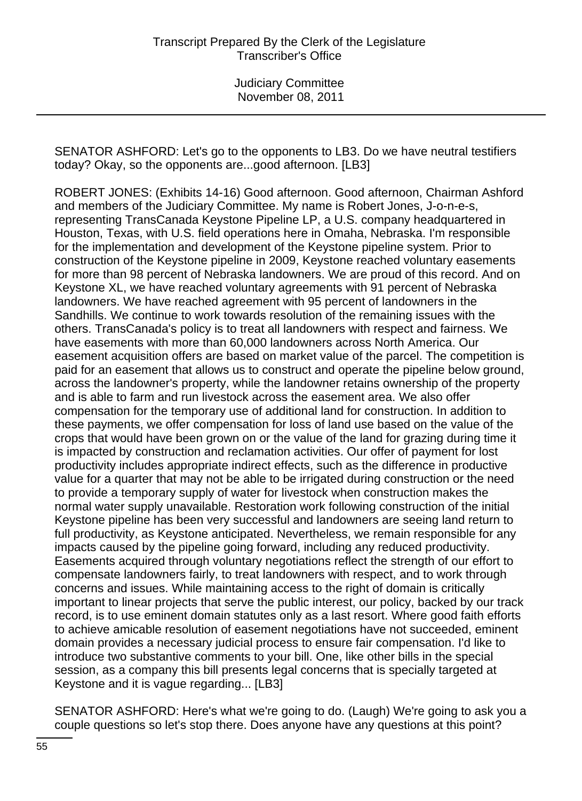SENATOR ASHFORD: Let's go to the opponents to LB3. Do we have neutral testifiers today? Okay, so the opponents are...good afternoon. [LB3]

ROBERT JONES: (Exhibits 14-16) Good afternoon. Good afternoon, Chairman Ashford and members of the Judiciary Committee. My name is Robert Jones, J-o-n-e-s, representing TransCanada Keystone Pipeline LP, a U.S. company headquartered in Houston, Texas, with U.S. field operations here in Omaha, Nebraska. I'm responsible for the implementation and development of the Keystone pipeline system. Prior to construction of the Keystone pipeline in 2009, Keystone reached voluntary easements for more than 98 percent of Nebraska landowners. We are proud of this record. And on Keystone XL, we have reached voluntary agreements with 91 percent of Nebraska landowners. We have reached agreement with 95 percent of landowners in the Sandhills. We continue to work towards resolution of the remaining issues with the others. TransCanada's policy is to treat all landowners with respect and fairness. We have easements with more than 60,000 landowners across North America. Our easement acquisition offers are based on market value of the parcel. The competition is paid for an easement that allows us to construct and operate the pipeline below ground, across the landowner's property, while the landowner retains ownership of the property and is able to farm and run livestock across the easement area. We also offer compensation for the temporary use of additional land for construction. In addition to these payments, we offer compensation for loss of land use based on the value of the crops that would have been grown on or the value of the land for grazing during time it is impacted by construction and reclamation activities. Our offer of payment for lost productivity includes appropriate indirect effects, such as the difference in productive value for a quarter that may not be able to be irrigated during construction or the need to provide a temporary supply of water for livestock when construction makes the normal water supply unavailable. Restoration work following construction of the initial Keystone pipeline has been very successful and landowners are seeing land return to full productivity, as Keystone anticipated. Nevertheless, we remain responsible for any impacts caused by the pipeline going forward, including any reduced productivity. Easements acquired through voluntary negotiations reflect the strength of our effort to compensate landowners fairly, to treat landowners with respect, and to work through concerns and issues. While maintaining access to the right of domain is critically important to linear projects that serve the public interest, our policy, backed by our track record, is to use eminent domain statutes only as a last resort. Where good faith efforts to achieve amicable resolution of easement negotiations have not succeeded, eminent domain provides a necessary judicial process to ensure fair compensation. I'd like to introduce two substantive comments to your bill. One, like other bills in the special session, as a company this bill presents legal concerns that is specially targeted at Keystone and it is vague regarding... [LB3]

SENATOR ASHFORD: Here's what we're going to do. (Laugh) We're going to ask you a couple questions so let's stop there. Does anyone have any questions at this point?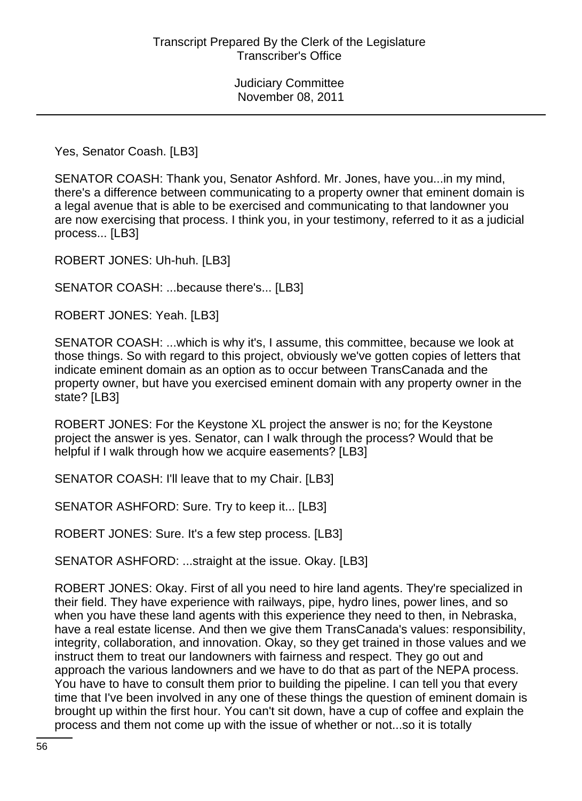Yes, Senator Coash. [LB3]

SENATOR COASH: Thank you, Senator Ashford. Mr. Jones, have you...in my mind, there's a difference between communicating to a property owner that eminent domain is a legal avenue that is able to be exercised and communicating to that landowner you are now exercising that process. I think you, in your testimony, referred to it as a judicial process... [LB3]

ROBERT JONES: Uh-huh. [LB3]

SENATOR COASH: ...because there's... [LB3]

ROBERT JONES: Yeah. [LB3]

SENATOR COASH: ...which is why it's, I assume, this committee, because we look at those things. So with regard to this project, obviously we've gotten copies of letters that indicate eminent domain as an option as to occur between TransCanada and the property owner, but have you exercised eminent domain with any property owner in the state? [LB3]

ROBERT JONES: For the Keystone XL project the answer is no; for the Keystone project the answer is yes. Senator, can I walk through the process? Would that be helpful if I walk through how we acquire easements? [LB3]

SENATOR COASH: I'll leave that to my Chair. [LB3]

SENATOR ASHFORD: Sure. Try to keep it... [LB3]

ROBERT JONES: Sure. It's a few step process. [LB3]

SENATOR ASHFORD: ...straight at the issue. Okay. [LB3]

ROBERT JONES: Okay. First of all you need to hire land agents. They're specialized in their field. They have experience with railways, pipe, hydro lines, power lines, and so when you have these land agents with this experience they need to then, in Nebraska, have a real estate license. And then we give them TransCanada's values: responsibility, integrity, collaboration, and innovation. Okay, so they get trained in those values and we instruct them to treat our landowners with fairness and respect. They go out and approach the various landowners and we have to do that as part of the NEPA process. You have to have to consult them prior to building the pipeline. I can tell you that every time that I've been involved in any one of these things the question of eminent domain is brought up within the first hour. You can't sit down, have a cup of coffee and explain the process and them not come up with the issue of whether or not...so it is totally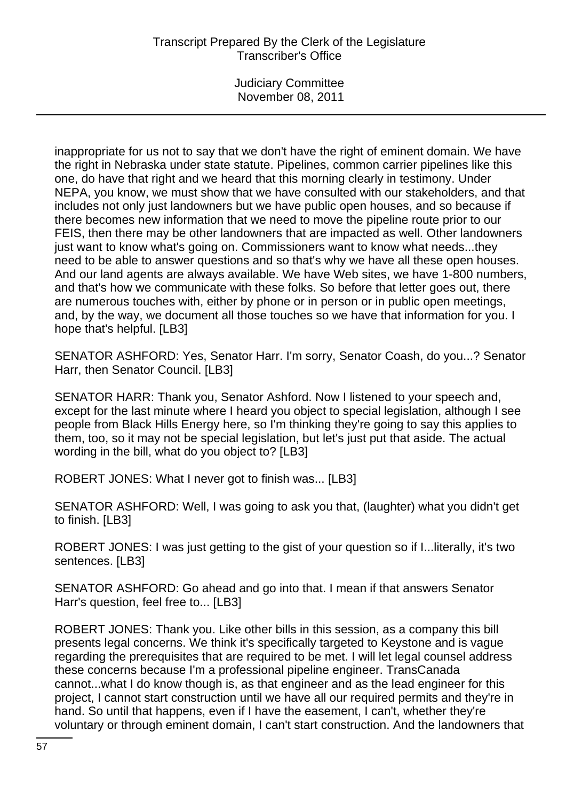# Transcript Prepared By the Clerk of the Legislature Transcriber's Office

Judiciary Committee November 08, 2011

inappropriate for us not to say that we don't have the right of eminent domain. We have the right in Nebraska under state statute. Pipelines, common carrier pipelines like this one, do have that right and we heard that this morning clearly in testimony. Under NEPA, you know, we must show that we have consulted with our stakeholders, and that includes not only just landowners but we have public open houses, and so because if there becomes new information that we need to move the pipeline route prior to our FEIS, then there may be other landowners that are impacted as well. Other landowners just want to know what's going on. Commissioners want to know what needs...they need to be able to answer questions and so that's why we have all these open houses. And our land agents are always available. We have Web sites, we have 1-800 numbers, and that's how we communicate with these folks. So before that letter goes out, there are numerous touches with, either by phone or in person or in public open meetings, and, by the way, we document all those touches so we have that information for you. I hope that's helpful. [LB3]

SENATOR ASHFORD: Yes, Senator Harr. I'm sorry, Senator Coash, do you...? Senator Harr, then Senator Council. [LB3]

SENATOR HARR: Thank you, Senator Ashford. Now I listened to your speech and, except for the last minute where I heard you object to special legislation, although I see people from Black Hills Energy here, so I'm thinking they're going to say this applies to them, too, so it may not be special legislation, but let's just put that aside. The actual wording in the bill, what do you object to? [LB3]

ROBERT JONES: What I never got to finish was... [LB3]

SENATOR ASHFORD: Well, I was going to ask you that, (laughter) what you didn't get to finish. [LB3]

ROBERT JONES: I was just getting to the gist of your question so if I...literally, it's two sentences. [LB3]

SENATOR ASHFORD: Go ahead and go into that. I mean if that answers Senator Harr's question, feel free to... [LB3]

ROBERT JONES: Thank you. Like other bills in this session, as a company this bill presents legal concerns. We think it's specifically targeted to Keystone and is vague regarding the prerequisites that are required to be met. I will let legal counsel address these concerns because I'm a professional pipeline engineer. TransCanada cannot...what I do know though is, as that engineer and as the lead engineer for this project, I cannot start construction until we have all our required permits and they're in hand. So until that happens, even if I have the easement, I can't, whether they're voluntary or through eminent domain, I can't start construction. And the landowners that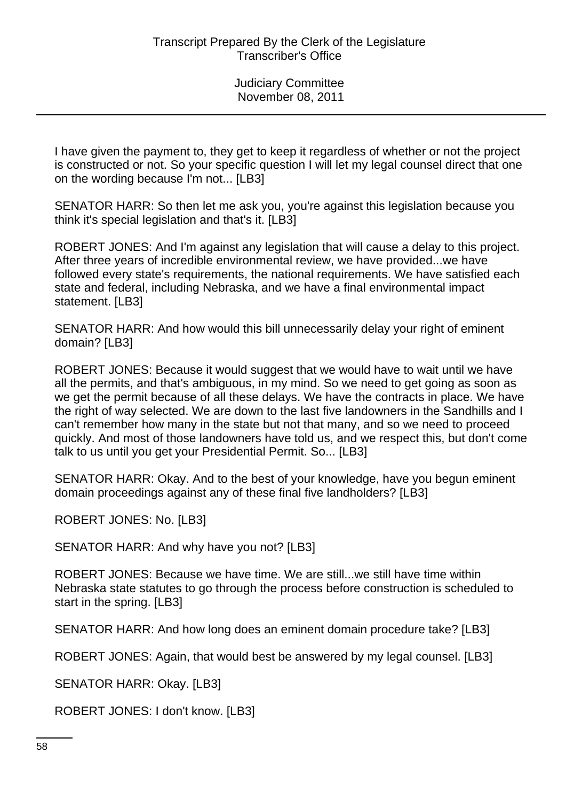I have given the payment to, they get to keep it regardless of whether or not the project is constructed or not. So your specific question I will let my legal counsel direct that one on the wording because I'm not... [LB3]

SENATOR HARR: So then let me ask you, you're against this legislation because you think it's special legislation and that's it. [LB3]

ROBERT JONES: And I'm against any legislation that will cause a delay to this project. After three years of incredible environmental review, we have provided...we have followed every state's requirements, the national requirements. We have satisfied each state and federal, including Nebraska, and we have a final environmental impact statement. [LB3]

SENATOR HARR: And how would this bill unnecessarily delay your right of eminent domain? [LB3]

ROBERT JONES: Because it would suggest that we would have to wait until we have all the permits, and that's ambiguous, in my mind. So we need to get going as soon as we get the permit because of all these delays. We have the contracts in place. We have the right of way selected. We are down to the last five landowners in the Sandhills and I can't remember how many in the state but not that many, and so we need to proceed quickly. And most of those landowners have told us, and we respect this, but don't come talk to us until you get your Presidential Permit. So... [LB3]

SENATOR HARR: Okay. And to the best of your knowledge, have you begun eminent domain proceedings against any of these final five landholders? [LB3]

ROBERT JONES: No. [LB3]

SENATOR HARR: And why have you not? [LB3]

ROBERT JONES: Because we have time. We are still...we still have time within Nebraska state statutes to go through the process before construction is scheduled to start in the spring. [LB3]

SENATOR HARR: And how long does an eminent domain procedure take? [LB3]

ROBERT JONES: Again, that would best be answered by my legal counsel. [LB3]

SENATOR HARR: Okay. [LB3]

ROBERT JONES: I don't know. [LB3]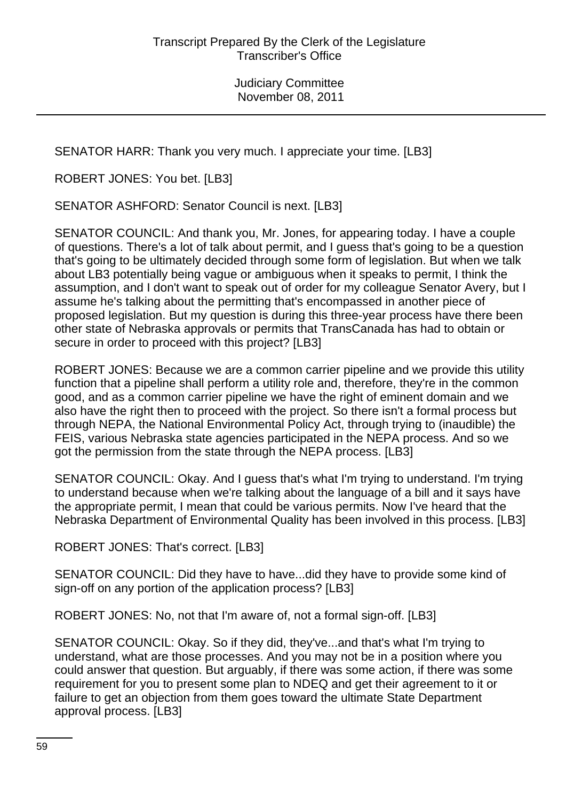SENATOR HARR: Thank you very much. I appreciate your time. [LB3]

ROBERT JONES: You bet. [LB3]

SENATOR ASHFORD: Senator Council is next. [LB3]

SENATOR COUNCIL: And thank you, Mr. Jones, for appearing today. I have a couple of questions. There's a lot of talk about permit, and I guess that's going to be a question that's going to be ultimately decided through some form of legislation. But when we talk about LB3 potentially being vague or ambiguous when it speaks to permit, I think the assumption, and I don't want to speak out of order for my colleague Senator Avery, but I assume he's talking about the permitting that's encompassed in another piece of proposed legislation. But my question is during this three-year process have there been other state of Nebraska approvals or permits that TransCanada has had to obtain or secure in order to proceed with this project? [LB3]

ROBERT JONES: Because we are a common carrier pipeline and we provide this utility function that a pipeline shall perform a utility role and, therefore, they're in the common good, and as a common carrier pipeline we have the right of eminent domain and we also have the right then to proceed with the project. So there isn't a formal process but through NEPA, the National Environmental Policy Act, through trying to (inaudible) the FEIS, various Nebraska state agencies participated in the NEPA process. And so we got the permission from the state through the NEPA process. [LB3]

SENATOR COUNCIL: Okay. And I guess that's what I'm trying to understand. I'm trying to understand because when we're talking about the language of a bill and it says have the appropriate permit, I mean that could be various permits. Now I've heard that the Nebraska Department of Environmental Quality has been involved in this process. [LB3]

ROBERT JONES: That's correct. [LB3]

SENATOR COUNCIL: Did they have to have...did they have to provide some kind of sign-off on any portion of the application process? [LB3]

ROBERT JONES: No, not that I'm aware of, not a formal sign-off. [LB3]

SENATOR COUNCIL: Okay. So if they did, they've...and that's what I'm trying to understand, what are those processes. And you may not be in a position where you could answer that question. But arguably, if there was some action, if there was some requirement for you to present some plan to NDEQ and get their agreement to it or failure to get an objection from them goes toward the ultimate State Department approval process. [LB3]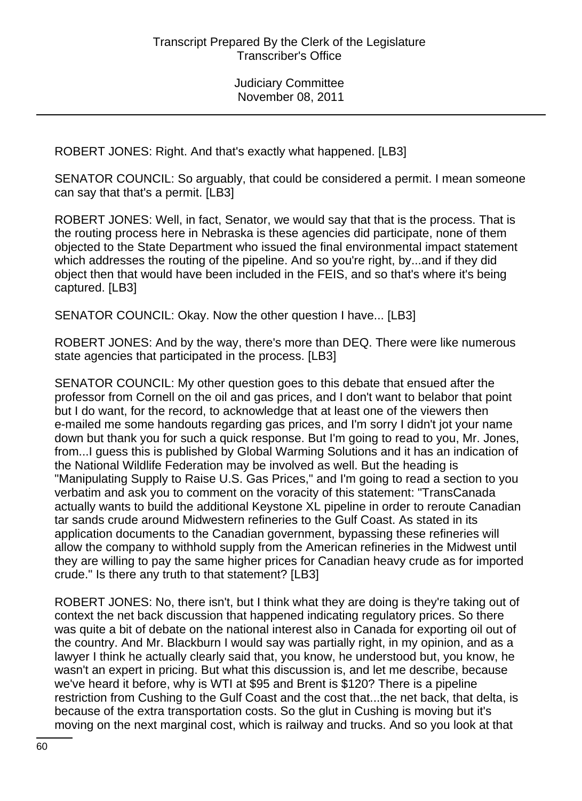ROBERT JONES: Right. And that's exactly what happened. [LB3]

SENATOR COUNCIL: So arguably, that could be considered a permit. I mean someone can say that that's a permit. [LB3]

ROBERT JONES: Well, in fact, Senator, we would say that that is the process. That is the routing process here in Nebraska is these agencies did participate, none of them objected to the State Department who issued the final environmental impact statement which addresses the routing of the pipeline. And so you're right, by...and if they did object then that would have been included in the FEIS, and so that's where it's being captured. [LB3]

SENATOR COUNCIL: Okay. Now the other question I have... [LB3]

ROBERT JONES: And by the way, there's more than DEQ. There were like numerous state agencies that participated in the process. [LB3]

SENATOR COUNCIL: My other question goes to this debate that ensued after the professor from Cornell on the oil and gas prices, and I don't want to belabor that point but I do want, for the record, to acknowledge that at least one of the viewers then e-mailed me some handouts regarding gas prices, and I'm sorry I didn't jot your name down but thank you for such a quick response. But I'm going to read to you, Mr. Jones, from...I guess this is published by Global Warming Solutions and it has an indication of the National Wildlife Federation may be involved as well. But the heading is "Manipulating Supply to Raise U.S. Gas Prices," and I'm going to read a section to you verbatim and ask you to comment on the voracity of this statement: "TransCanada actually wants to build the additional Keystone XL pipeline in order to reroute Canadian tar sands crude around Midwestern refineries to the Gulf Coast. As stated in its application documents to the Canadian government, bypassing these refineries will allow the company to withhold supply from the American refineries in the Midwest until they are willing to pay the same higher prices for Canadian heavy crude as for imported crude." Is there any truth to that statement? [LB3]

ROBERT JONES: No, there isn't, but I think what they are doing is they're taking out of context the net back discussion that happened indicating regulatory prices. So there was quite a bit of debate on the national interest also in Canada for exporting oil out of the country. And Mr. Blackburn I would say was partially right, in my opinion, and as a lawyer I think he actually clearly said that, you know, he understood but, you know, he wasn't an expert in pricing. But what this discussion is, and let me describe, because we've heard it before, why is WTI at \$95 and Brent is \$120? There is a pipeline restriction from Cushing to the Gulf Coast and the cost that...the net back, that delta, is because of the extra transportation costs. So the glut in Cushing is moving but it's moving on the next marginal cost, which is railway and trucks. And so you look at that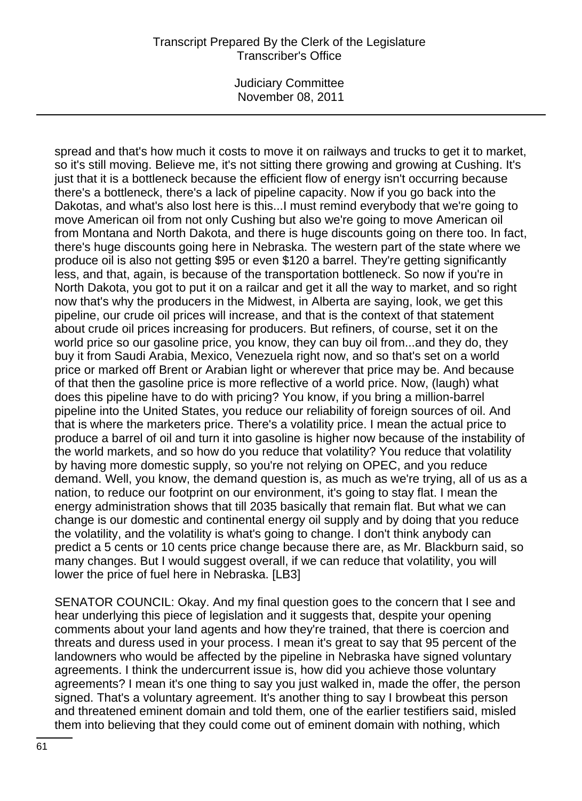#### Transcript Prepared By the Clerk of the Legislature Transcriber's Office

Judiciary Committee November 08, 2011

spread and that's how much it costs to move it on railways and trucks to get it to market, so it's still moving. Believe me, it's not sitting there growing and growing at Cushing. It's just that it is a bottleneck because the efficient flow of energy isn't occurring because there's a bottleneck, there's a lack of pipeline capacity. Now if you go back into the Dakotas, and what's also lost here is this...I must remind everybody that we're going to move American oil from not only Cushing but also we're going to move American oil from Montana and North Dakota, and there is huge discounts going on there too. In fact, there's huge discounts going here in Nebraska. The western part of the state where we produce oil is also not getting \$95 or even \$120 a barrel. They're getting significantly less, and that, again, is because of the transportation bottleneck. So now if you're in North Dakota, you got to put it on a railcar and get it all the way to market, and so right now that's why the producers in the Midwest, in Alberta are saying, look, we get this pipeline, our crude oil prices will increase, and that is the context of that statement about crude oil prices increasing for producers. But refiners, of course, set it on the world price so our gasoline price, you know, they can buy oil from...and they do, they buy it from Saudi Arabia, Mexico, Venezuela right now, and so that's set on a world price or marked off Brent or Arabian light or wherever that price may be. And because of that then the gasoline price is more reflective of a world price. Now, (laugh) what does this pipeline have to do with pricing? You know, if you bring a million-barrel pipeline into the United States, you reduce our reliability of foreign sources of oil. And that is where the marketers price. There's a volatility price. I mean the actual price to produce a barrel of oil and turn it into gasoline is higher now because of the instability of the world markets, and so how do you reduce that volatility? You reduce that volatility by having more domestic supply, so you're not relying on OPEC, and you reduce demand. Well, you know, the demand question is, as much as we're trying, all of us as a nation, to reduce our footprint on our environment, it's going to stay flat. I mean the energy administration shows that till 2035 basically that remain flat. But what we can change is our domestic and continental energy oil supply and by doing that you reduce the volatility, and the volatility is what's going to change. I don't think anybody can predict a 5 cents or 10 cents price change because there are, as Mr. Blackburn said, so many changes. But I would suggest overall, if we can reduce that volatility, you will lower the price of fuel here in Nebraska. [LB3]

SENATOR COUNCIL: Okay. And my final question goes to the concern that I see and hear underlying this piece of legislation and it suggests that, despite your opening comments about your land agents and how they're trained, that there is coercion and threats and duress used in your process. I mean it's great to say that 95 percent of the landowners who would be affected by the pipeline in Nebraska have signed voluntary agreements. I think the undercurrent issue is, how did you achieve those voluntary agreements? I mean it's one thing to say you just walked in, made the offer, the person signed. That's a voluntary agreement. It's another thing to say I browbeat this person and threatened eminent domain and told them, one of the earlier testifiers said, misled them into believing that they could come out of eminent domain with nothing, which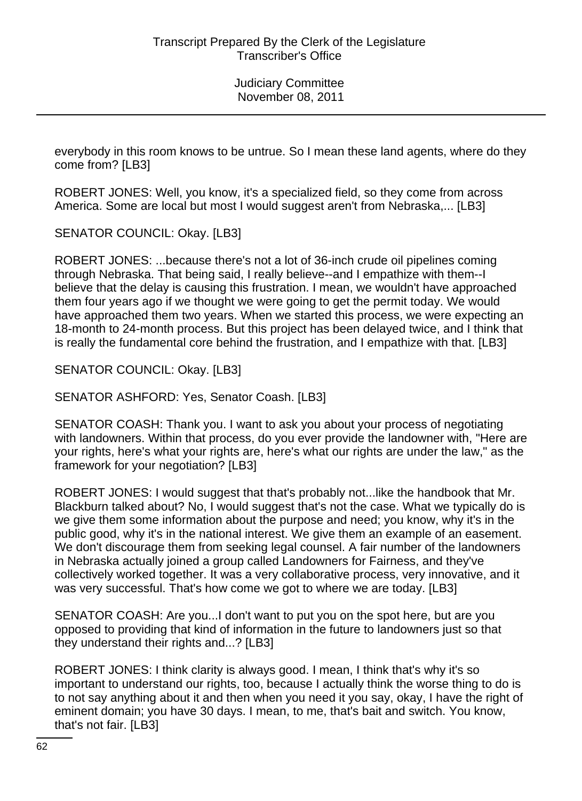everybody in this room knows to be untrue. So I mean these land agents, where do they come from? [LB3]

ROBERT JONES: Well, you know, it's a specialized field, so they come from across America. Some are local but most I would suggest aren't from Nebraska,... [LB3]

SENATOR COUNCIL: Okay. [LB3]

ROBERT JONES: ...because there's not a lot of 36-inch crude oil pipelines coming through Nebraska. That being said, I really believe--and I empathize with them--I believe that the delay is causing this frustration. I mean, we wouldn't have approached them four years ago if we thought we were going to get the permit today. We would have approached them two years. When we started this process, we were expecting an 18-month to 24-month process. But this project has been delayed twice, and I think that is really the fundamental core behind the frustration, and I empathize with that. [LB3]

SENATOR COUNCIL: Okay. [LB3]

SENATOR ASHFORD: Yes, Senator Coash. [LB3]

SENATOR COASH: Thank you. I want to ask you about your process of negotiating with landowners. Within that process, do you ever provide the landowner with, "Here are your rights, here's what your rights are, here's what our rights are under the law," as the framework for your negotiation? [LB3]

ROBERT JONES: I would suggest that that's probably not...like the handbook that Mr. Blackburn talked about? No, I would suggest that's not the case. What we typically do is we give them some information about the purpose and need; you know, why it's in the public good, why it's in the national interest. We give them an example of an easement. We don't discourage them from seeking legal counsel. A fair number of the landowners in Nebraska actually joined a group called Landowners for Fairness, and they've collectively worked together. It was a very collaborative process, very innovative, and it was very successful. That's how come we got to where we are today. [LB3]

SENATOR COASH: Are you...I don't want to put you on the spot here, but are you opposed to providing that kind of information in the future to landowners just so that they understand their rights and...? [LB3]

ROBERT JONES: I think clarity is always good. I mean, I think that's why it's so important to understand our rights, too, because I actually think the worse thing to do is to not say anything about it and then when you need it you say, okay, I have the right of eminent domain; you have 30 days. I mean, to me, that's bait and switch. You know, that's not fair. [LB3]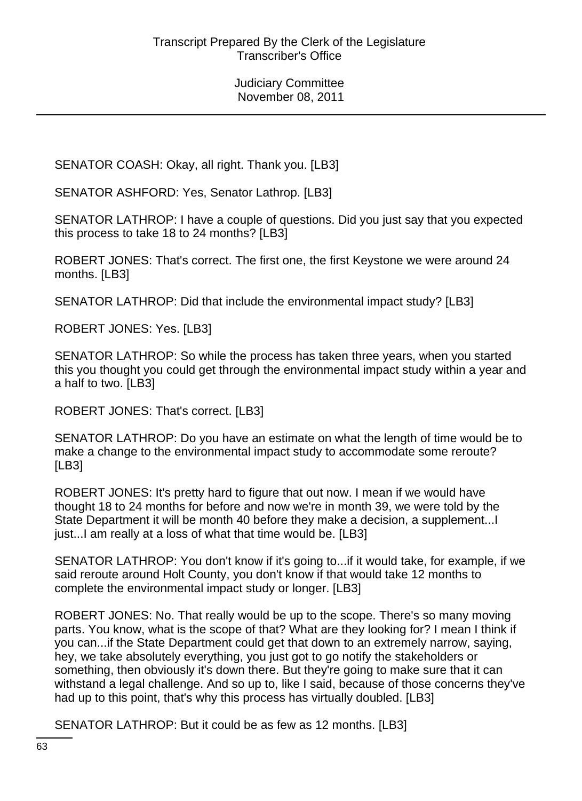SENATOR COASH: Okay, all right. Thank you. [LB3]

SENATOR ASHFORD: Yes, Senator Lathrop. [LB3]

SENATOR LATHROP: I have a couple of questions. Did you just say that you expected this process to take 18 to 24 months? [LB3]

ROBERT JONES: That's correct. The first one, the first Keystone we were around 24 months. [LB3]

SENATOR LATHROP: Did that include the environmental impact study? [LB3]

ROBERT JONES: Yes. [LB3]

SENATOR LATHROP: So while the process has taken three years, when you started this you thought you could get through the environmental impact study within a year and a half to two. [LB3]

ROBERT JONES: That's correct. [LB3]

SENATOR LATHROP: Do you have an estimate on what the length of time would be to make a change to the environmental impact study to accommodate some reroute? [LB3]

ROBERT JONES: It's pretty hard to figure that out now. I mean if we would have thought 18 to 24 months for before and now we're in month 39, we were told by the State Department it will be month 40 before they make a decision, a supplement...I just...I am really at a loss of what that time would be. [LB3]

SENATOR LATHROP: You don't know if it's going to...if it would take, for example, if we said reroute around Holt County, you don't know if that would take 12 months to complete the environmental impact study or longer. [LB3]

ROBERT JONES: No. That really would be up to the scope. There's so many moving parts. You know, what is the scope of that? What are they looking for? I mean I think if you can...if the State Department could get that down to an extremely narrow, saying, hey, we take absolutely everything, you just got to go notify the stakeholders or something, then obviously it's down there. But they're going to make sure that it can withstand a legal challenge. And so up to, like I said, because of those concerns they've had up to this point, that's why this process has virtually doubled. [LB3]

SENATOR LATHROP: But it could be as few as 12 months. [LB3]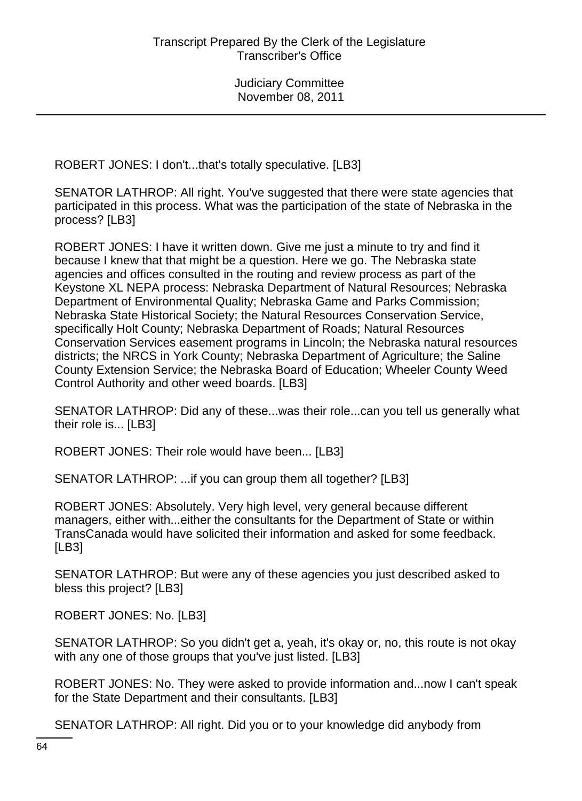ROBERT JONES: I don't...that's totally speculative. [LB3]

SENATOR LATHROP: All right. You've suggested that there were state agencies that participated in this process. What was the participation of the state of Nebraska in the process? [LB3]

ROBERT JONES: I have it written down. Give me just a minute to try and find it because I knew that that might be a question. Here we go. The Nebraska state agencies and offices consulted in the routing and review process as part of the Keystone XL NEPA process: Nebraska Department of Natural Resources; Nebraska Department of Environmental Quality; Nebraska Game and Parks Commission; Nebraska State Historical Society; the Natural Resources Conservation Service, specifically Holt County; Nebraska Department of Roads; Natural Resources Conservation Services easement programs in Lincoln; the Nebraska natural resources districts; the NRCS in York County; Nebraska Department of Agriculture; the Saline County Extension Service; the Nebraska Board of Education; Wheeler County Weed Control Authority and other weed boards. [LB3]

SENATOR LATHROP: Did any of these...was their role...can you tell us generally what their role is... [LB3]

ROBERT JONES: Their role would have been... [LB3]

SENATOR LATHROP: ...if you can group them all together? [LB3]

ROBERT JONES: Absolutely. Very high level, very general because different managers, either with...either the consultants for the Department of State or within TransCanada would have solicited their information and asked for some feedback. [LB3]

SENATOR LATHROP: But were any of these agencies you just described asked to bless this project? [LB3]

ROBERT JONES: No. [LB3]

SENATOR LATHROP: So you didn't get a, yeah, it's okay or, no, this route is not okay with any one of those groups that you've just listed. [LB3]

ROBERT JONES: No. They were asked to provide information and...now I can't speak for the State Department and their consultants. [LB3]

SENATOR LATHROP: All right. Did you or to your knowledge did anybody from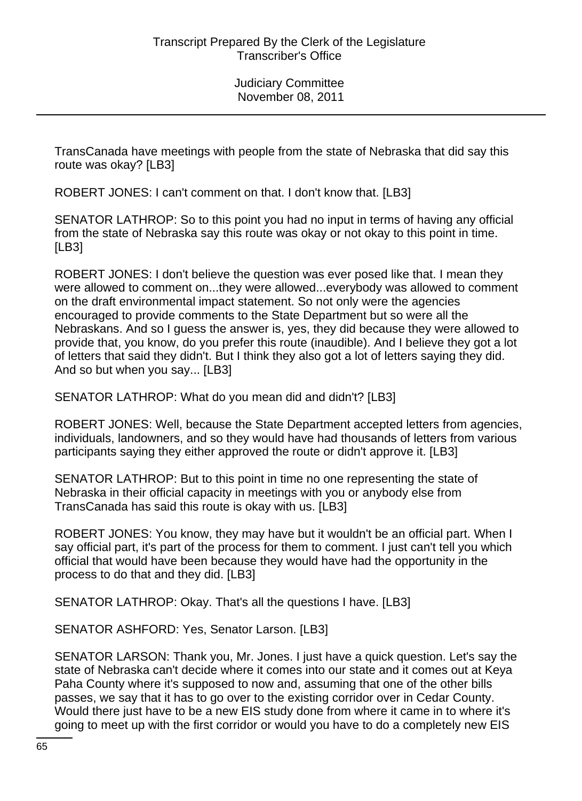TransCanada have meetings with people from the state of Nebraska that did say this route was okay? [LB3]

ROBERT JONES: I can't comment on that. I don't know that. [LB3]

SENATOR LATHROP: So to this point you had no input in terms of having any official from the state of Nebraska say this route was okay or not okay to this point in time. [LB3]

ROBERT JONES: I don't believe the question was ever posed like that. I mean they were allowed to comment on...they were allowed...everybody was allowed to comment on the draft environmental impact statement. So not only were the agencies encouraged to provide comments to the State Department but so were all the Nebraskans. And so I guess the answer is, yes, they did because they were allowed to provide that, you know, do you prefer this route (inaudible). And I believe they got a lot of letters that said they didn't. But I think they also got a lot of letters saying they did. And so but when you say... [LB3]

SENATOR LATHROP: What do you mean did and didn't? [LB3]

ROBERT JONES: Well, because the State Department accepted letters from agencies, individuals, landowners, and so they would have had thousands of letters from various participants saying they either approved the route or didn't approve it. [LB3]

SENATOR LATHROP: But to this point in time no one representing the state of Nebraska in their official capacity in meetings with you or anybody else from TransCanada has said this route is okay with us. [LB3]

ROBERT JONES: You know, they may have but it wouldn't be an official part. When I say official part, it's part of the process for them to comment. I just can't tell you which official that would have been because they would have had the opportunity in the process to do that and they did. [LB3]

SENATOR LATHROP: Okay. That's all the questions I have. [LB3]

SENATOR ASHFORD: Yes, Senator Larson. [LB3]

SENATOR LARSON: Thank you, Mr. Jones. I just have a quick question. Let's say the state of Nebraska can't decide where it comes into our state and it comes out at Keya Paha County where it's supposed to now and, assuming that one of the other bills passes, we say that it has to go over to the existing corridor over in Cedar County. Would there just have to be a new EIS study done from where it came in to where it's going to meet up with the first corridor or would you have to do a completely new EIS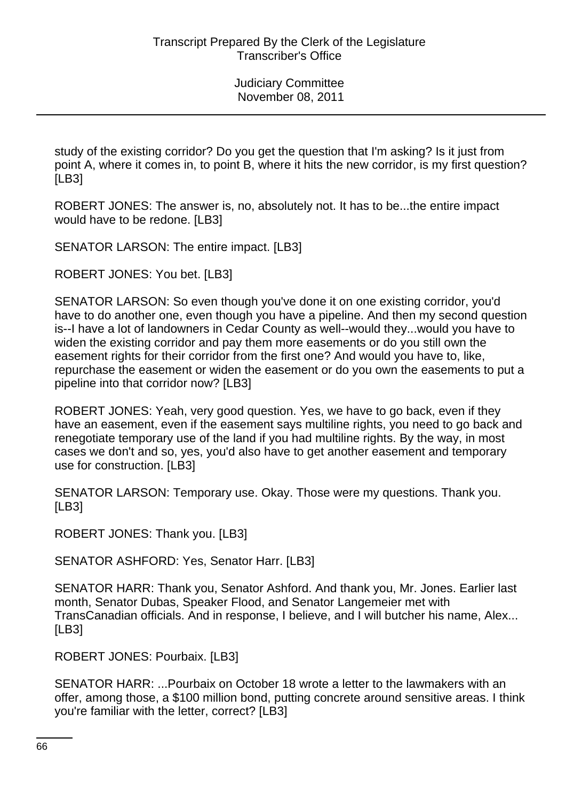study of the existing corridor? Do you get the question that I'm asking? Is it just from point A, where it comes in, to point B, where it hits the new corridor, is my first question? [LB3]

ROBERT JONES: The answer is, no, absolutely not. It has to be...the entire impact would have to be redone. [LB3]

SENATOR LARSON: The entire impact. [LB3]

ROBERT JONES: You bet. [LB3]

SENATOR LARSON: So even though you've done it on one existing corridor, you'd have to do another one, even though you have a pipeline. And then my second question is--I have a lot of landowners in Cedar County as well--would they...would you have to widen the existing corridor and pay them more easements or do you still own the easement rights for their corridor from the first one? And would you have to, like, repurchase the easement or widen the easement or do you own the easements to put a pipeline into that corridor now? [LB3]

ROBERT JONES: Yeah, very good question. Yes, we have to go back, even if they have an easement, even if the easement says multiline rights, you need to go back and renegotiate temporary use of the land if you had multiline rights. By the way, in most cases we don't and so, yes, you'd also have to get another easement and temporary use for construction. [LB3]

SENATOR LARSON: Temporary use. Okay. Those were my questions. Thank you. [LB3]

ROBERT JONES: Thank you. [LB3]

SENATOR ASHFORD: Yes, Senator Harr. [LB3]

SENATOR HARR: Thank you, Senator Ashford. And thank you, Mr. Jones. Earlier last month, Senator Dubas, Speaker Flood, and Senator Langemeier met with TransCanadian officials. And in response, I believe, and I will butcher his name, Alex... [LB3]

ROBERT JONES: Pourbaix. [LB3]

SENATOR HARR: ...Pourbaix on October 18 wrote a letter to the lawmakers with an offer, among those, a \$100 million bond, putting concrete around sensitive areas. I think you're familiar with the letter, correct? [LB3]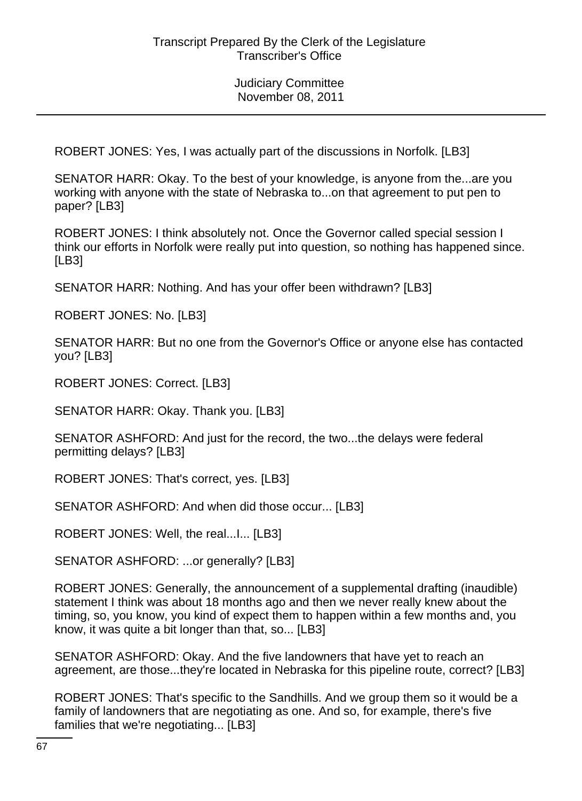ROBERT JONES: Yes, I was actually part of the discussions in Norfolk. [LB3]

SENATOR HARR: Okay. To the best of your knowledge, is anyone from the...are you working with anyone with the state of Nebraska to...on that agreement to put pen to paper? [LB3]

ROBERT JONES: I think absolutely not. Once the Governor called special session I think our efforts in Norfolk were really put into question, so nothing has happened since. [LB3]

SENATOR HARR: Nothing. And has your offer been withdrawn? [LB3]

ROBERT JONES: No. [LB3]

SENATOR HARR: But no one from the Governor's Office or anyone else has contacted you? [LB3]

ROBERT JONES: Correct. [LB3]

SENATOR HARR: Okay. Thank you. [LB3]

SENATOR ASHFORD: And just for the record, the two...the delays were federal permitting delays? [LB3]

ROBERT JONES: That's correct, yes. [LB3]

SENATOR ASHFORD: And when did those occur... [LB3]

ROBERT JONES: Well, the real...I... [LB3]

SENATOR ASHFORD: ...or generally? [LB3]

ROBERT JONES: Generally, the announcement of a supplemental drafting (inaudible) statement I think was about 18 months ago and then we never really knew about the timing, so, you know, you kind of expect them to happen within a few months and, you know, it was quite a bit longer than that, so... [LB3]

SENATOR ASHFORD: Okay. And the five landowners that have yet to reach an agreement, are those...they're located in Nebraska for this pipeline route, correct? [LB3]

ROBERT JONES: That's specific to the Sandhills. And we group them so it would be a family of landowners that are negotiating as one. And so, for example, there's five families that we're negotiating... [LB3]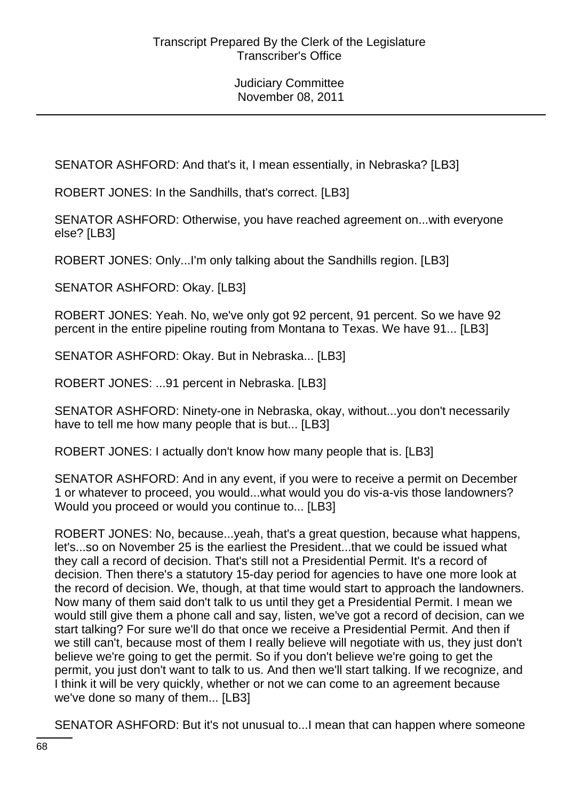SENATOR ASHFORD: And that's it, I mean essentially, in Nebraska? [LB3]

ROBERT JONES: In the Sandhills, that's correct. [LB3]

SENATOR ASHFORD: Otherwise, you have reached agreement on...with everyone else? [LB3]

ROBERT JONES: Only...I'm only talking about the Sandhills region. [LB3]

SENATOR ASHFORD: Okay. [LB3]

ROBERT JONES: Yeah. No, we've only got 92 percent, 91 percent. So we have 92 percent in the entire pipeline routing from Montana to Texas. We have 91... [LB3]

SENATOR ASHFORD: Okay. But in Nebraska... [LB3]

ROBERT JONES: ...91 percent in Nebraska. [LB3]

SENATOR ASHFORD: Ninety-one in Nebraska, okay, without...you don't necessarily have to tell me how many people that is but... [LB3]

ROBERT JONES: I actually don't know how many people that is. [LB3]

SENATOR ASHFORD: And in any event, if you were to receive a permit on December 1 or whatever to proceed, you would...what would you do vis-a-vis those landowners? Would you proceed or would you continue to... [LB3]

ROBERT JONES: No, because...yeah, that's a great question, because what happens, let's...so on November 25 is the earliest the President...that we could be issued what they call a record of decision. That's still not a Presidential Permit. It's a record of decision. Then there's a statutory 15-day period for agencies to have one more look at the record of decision. We, though, at that time would start to approach the landowners. Now many of them said don't talk to us until they get a Presidential Permit. I mean we would still give them a phone call and say, listen, we've got a record of decision, can we start talking? For sure we'll do that once we receive a Presidential Permit. And then if we still can't, because most of them I really believe will negotiate with us, they just don't believe we're going to get the permit. So if you don't believe we're going to get the permit, you just don't want to talk to us. And then we'll start talking. If we recognize, and I think it will be very quickly, whether or not we can come to an agreement because we've done so many of them... [LB3]

SENATOR ASHFORD: But it's not unusual to...I mean that can happen where someone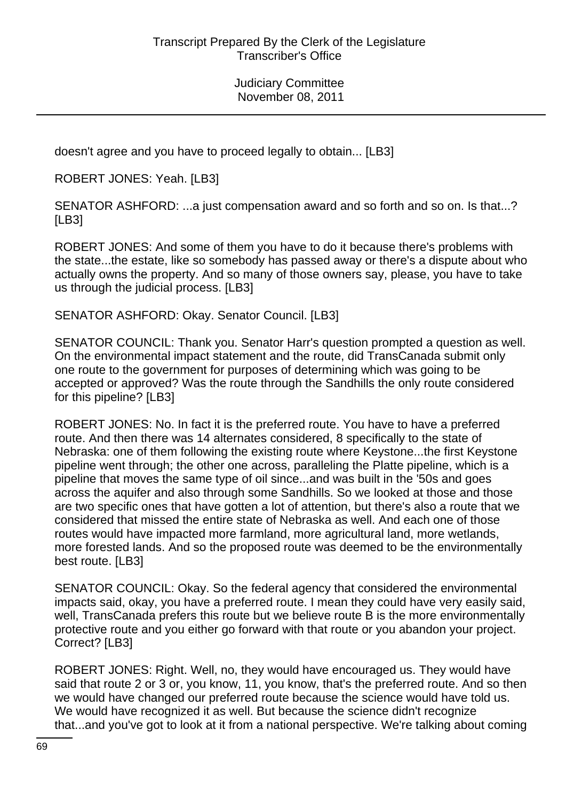doesn't agree and you have to proceed legally to obtain... [LB3]

ROBERT JONES: Yeah. [LB3]

SENATOR ASHFORD: ...a just compensation award and so forth and so on. Is that...? [LB3]

ROBERT JONES: And some of them you have to do it because there's problems with the state...the estate, like so somebody has passed away or there's a dispute about who actually owns the property. And so many of those owners say, please, you have to take us through the judicial process. [LB3]

SENATOR ASHFORD: Okay. Senator Council. [LB3]

SENATOR COUNCIL: Thank you. Senator Harr's question prompted a question as well. On the environmental impact statement and the route, did TransCanada submit only one route to the government for purposes of determining which was going to be accepted or approved? Was the route through the Sandhills the only route considered for this pipeline? [LB3]

ROBERT JONES: No. In fact it is the preferred route. You have to have a preferred route. And then there was 14 alternates considered, 8 specifically to the state of Nebraska: one of them following the existing route where Keystone...the first Keystone pipeline went through; the other one across, paralleling the Platte pipeline, which is a pipeline that moves the same type of oil since...and was built in the '50s and goes across the aquifer and also through some Sandhills. So we looked at those and those are two specific ones that have gotten a lot of attention, but there's also a route that we considered that missed the entire state of Nebraska as well. And each one of those routes would have impacted more farmland, more agricultural land, more wetlands, more forested lands. And so the proposed route was deemed to be the environmentally best route. [LB3]

SENATOR COUNCIL: Okay. So the federal agency that considered the environmental impacts said, okay, you have a preferred route. I mean they could have very easily said, well, TransCanada prefers this route but we believe route B is the more environmentally protective route and you either go forward with that route or you abandon your project. Correct? [LB3]

ROBERT JONES: Right. Well, no, they would have encouraged us. They would have said that route 2 or 3 or, you know, 11, you know, that's the preferred route. And so then we would have changed our preferred route because the science would have told us. We would have recognized it as well. But because the science didn't recognize that...and you've got to look at it from a national perspective. We're talking about coming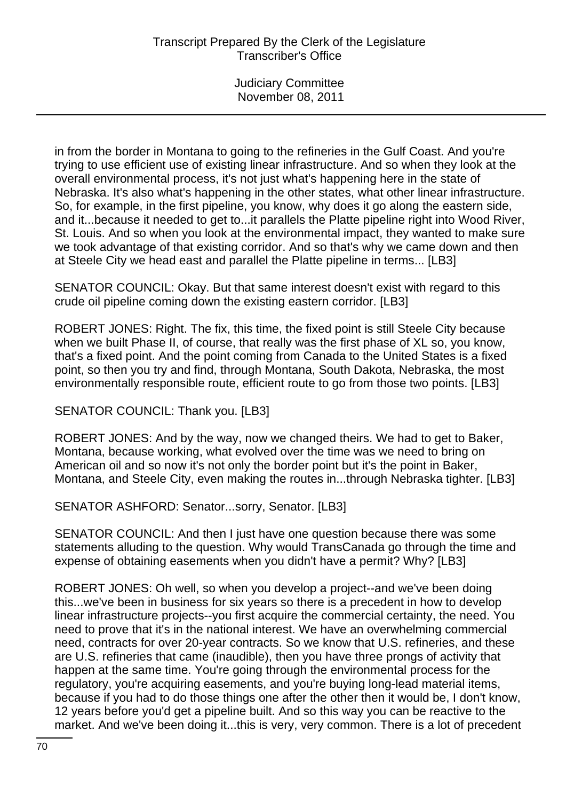in from the border in Montana to going to the refineries in the Gulf Coast. And you're trying to use efficient use of existing linear infrastructure. And so when they look at the overall environmental process, it's not just what's happening here in the state of Nebraska. It's also what's happening in the other states, what other linear infrastructure. So, for example, in the first pipeline, you know, why does it go along the eastern side, and it...because it needed to get to...it parallels the Platte pipeline right into Wood River, St. Louis. And so when you look at the environmental impact, they wanted to make sure we took advantage of that existing corridor. And so that's why we came down and then at Steele City we head east and parallel the Platte pipeline in terms... [LB3]

SENATOR COUNCIL: Okay. But that same interest doesn't exist with regard to this crude oil pipeline coming down the existing eastern corridor. [LB3]

ROBERT JONES: Right. The fix, this time, the fixed point is still Steele City because when we built Phase II, of course, that really was the first phase of XL so, you know, that's a fixed point. And the point coming from Canada to the United States is a fixed point, so then you try and find, through Montana, South Dakota, Nebraska, the most environmentally responsible route, efficient route to go from those two points. [LB3]

# SENATOR COUNCIL: Thank you. [LB3]

ROBERT JONES: And by the way, now we changed theirs. We had to get to Baker, Montana, because working, what evolved over the time was we need to bring on American oil and so now it's not only the border point but it's the point in Baker, Montana, and Steele City, even making the routes in...through Nebraska tighter. [LB3]

SENATOR ASHFORD: Senator...sorry, Senator. [LB3]

SENATOR COUNCIL: And then I just have one question because there was some statements alluding to the question. Why would TransCanada go through the time and expense of obtaining easements when you didn't have a permit? Why? [LB3]

ROBERT JONES: Oh well, so when you develop a project--and we've been doing this...we've been in business for six years so there is a precedent in how to develop linear infrastructure projects--you first acquire the commercial certainty, the need. You need to prove that it's in the national interest. We have an overwhelming commercial need, contracts for over 20-year contracts. So we know that U.S. refineries, and these are U.S. refineries that came (inaudible), then you have three prongs of activity that happen at the same time. You're going through the environmental process for the regulatory, you're acquiring easements, and you're buying long-lead material items, because if you had to do those things one after the other then it would be, I don't know, 12 years before you'd get a pipeline built. And so this way you can be reactive to the market. And we've been doing it...this is very, very common. There is a lot of precedent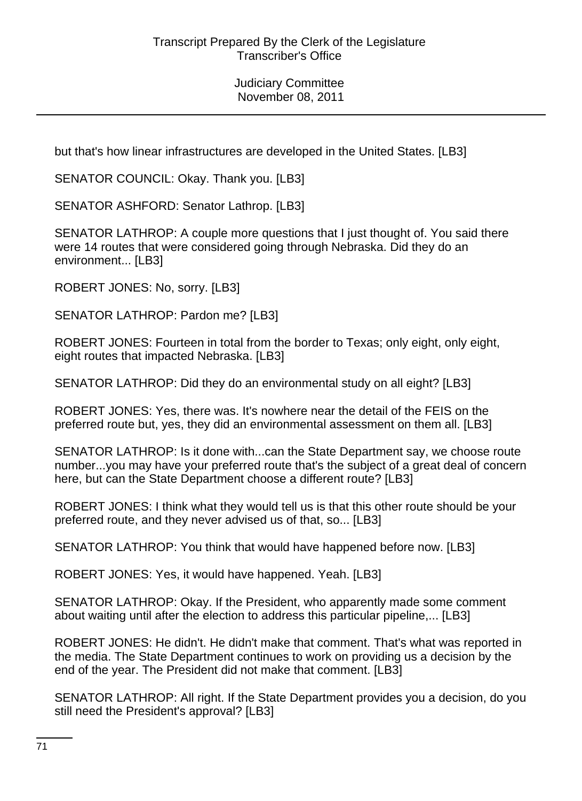but that's how linear infrastructures are developed in the United States. [LB3]

SENATOR COUNCIL: Okay. Thank you. [LB3]

SENATOR ASHFORD: Senator Lathrop. [LB3]

SENATOR LATHROP: A couple more questions that I just thought of. You said there were 14 routes that were considered going through Nebraska. Did they do an environment... [LB3]

ROBERT JONES: No, sorry. [LB3]

SENATOR LATHROP: Pardon me? [LB3]

ROBERT JONES: Fourteen in total from the border to Texas; only eight, only eight, eight routes that impacted Nebraska. [LB3]

SENATOR LATHROP: Did they do an environmental study on all eight? [LB3]

ROBERT JONES: Yes, there was. It's nowhere near the detail of the FEIS on the preferred route but, yes, they did an environmental assessment on them all. [LB3]

SENATOR LATHROP: Is it done with...can the State Department say, we choose route number...you may have your preferred route that's the subject of a great deal of concern here, but can the State Department choose a different route? [LB3]

ROBERT JONES: I think what they would tell us is that this other route should be your preferred route, and they never advised us of that, so... [LB3]

SENATOR LATHROP: You think that would have happened before now. [LB3]

ROBERT JONES: Yes, it would have happened. Yeah. [LB3]

SENATOR LATHROP: Okay. If the President, who apparently made some comment about waiting until after the election to address this particular pipeline,... [LB3]

ROBERT JONES: He didn't. He didn't make that comment. That's what was reported in the media. The State Department continues to work on providing us a decision by the end of the year. The President did not make that comment. [LB3]

SENATOR LATHROP: All right. If the State Department provides you a decision, do you still need the President's approval? [LB3]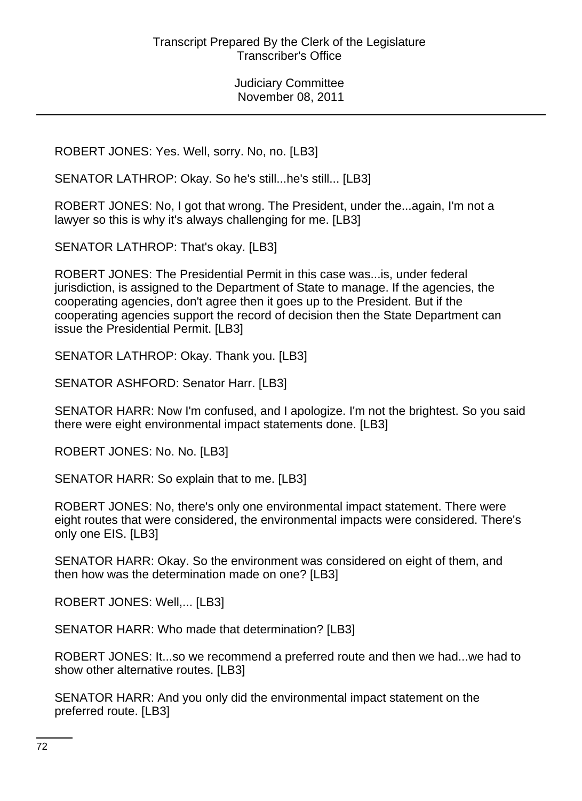ROBERT JONES: Yes. Well, sorry. No, no. [LB3]

SENATOR LATHROP: Okay. So he's still...he's still... [LB3]

ROBERT JONES: No, I got that wrong. The President, under the...again, I'm not a lawyer so this is why it's always challenging for me. [LB3]

SENATOR LATHROP: That's okay. [LB3]

ROBERT JONES: The Presidential Permit in this case was...is, under federal jurisdiction, is assigned to the Department of State to manage. If the agencies, the cooperating agencies, don't agree then it goes up to the President. But if the cooperating agencies support the record of decision then the State Department can issue the Presidential Permit. [LB3]

SENATOR LATHROP: Okay. Thank you. [LB3]

SENATOR ASHFORD: Senator Harr. [LB3]

SENATOR HARR: Now I'm confused, and I apologize. I'm not the brightest. So you said there were eight environmental impact statements done. [LB3]

ROBERT JONES: No. No. [LB3]

SENATOR HARR: So explain that to me. [LB3]

ROBERT JONES: No, there's only one environmental impact statement. There were eight routes that were considered, the environmental impacts were considered. There's only one EIS. [LB3]

SENATOR HARR: Okay. So the environment was considered on eight of them, and then how was the determination made on one? [LB3]

ROBERT JONES: Well,... [LB3]

SENATOR HARR: Who made that determination? [LB3]

ROBERT JONES: It...so we recommend a preferred route and then we had...we had to show other alternative routes. [LB3]

SENATOR HARR: And you only did the environmental impact statement on the preferred route. [LB3]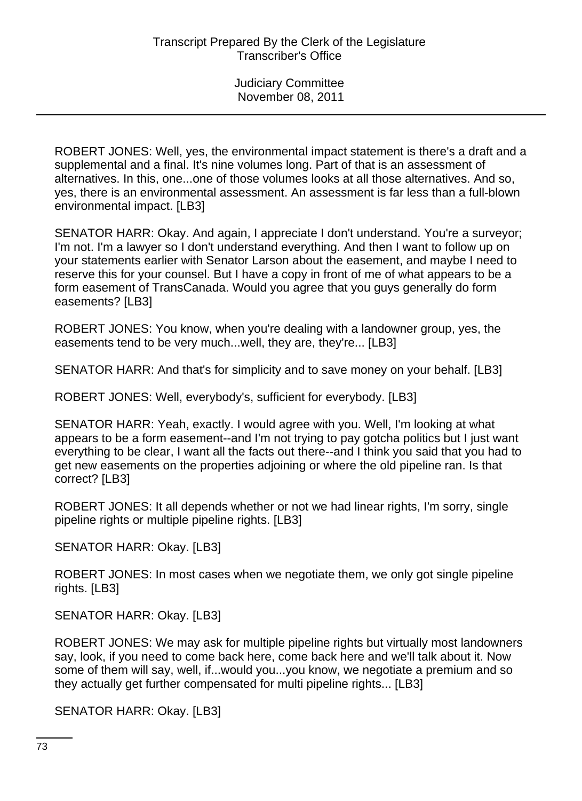ROBERT JONES: Well, yes, the environmental impact statement is there's a draft and a supplemental and a final. It's nine volumes long. Part of that is an assessment of alternatives. In this, one...one of those volumes looks at all those alternatives. And so, yes, there is an environmental assessment. An assessment is far less than a full-blown environmental impact. [LB3]

SENATOR HARR: Okay. And again, I appreciate I don't understand. You're a surveyor; I'm not. I'm a lawyer so I don't understand everything. And then I want to follow up on your statements earlier with Senator Larson about the easement, and maybe I need to reserve this for your counsel. But I have a copy in front of me of what appears to be a form easement of TransCanada. Would you agree that you guys generally do form easements? [LB3]

ROBERT JONES: You know, when you're dealing with a landowner group, yes, the easements tend to be very much...well, they are, they're... [LB3]

SENATOR HARR: And that's for simplicity and to save money on your behalf. [LB3]

ROBERT JONES: Well, everybody's, sufficient for everybody. [LB3]

SENATOR HARR: Yeah, exactly. I would agree with you. Well, I'm looking at what appears to be a form easement--and I'm not trying to pay gotcha politics but I just want everything to be clear, I want all the facts out there--and I think you said that you had to get new easements on the properties adjoining or where the old pipeline ran. Is that correct? [LB3]

ROBERT JONES: It all depends whether or not we had linear rights, I'm sorry, single pipeline rights or multiple pipeline rights. [LB3]

SENATOR HARR: Okay. [LB3]

ROBERT JONES: In most cases when we negotiate them, we only got single pipeline rights. [LB3]

SENATOR HARR: Okay. [LB3]

ROBERT JONES: We may ask for multiple pipeline rights but virtually most landowners say, look, if you need to come back here, come back here and we'll talk about it. Now some of them will say, well, if...would you...you know, we negotiate a premium and so they actually get further compensated for multi pipeline rights... [LB3]

SENATOR HARR: Okay. [LB3]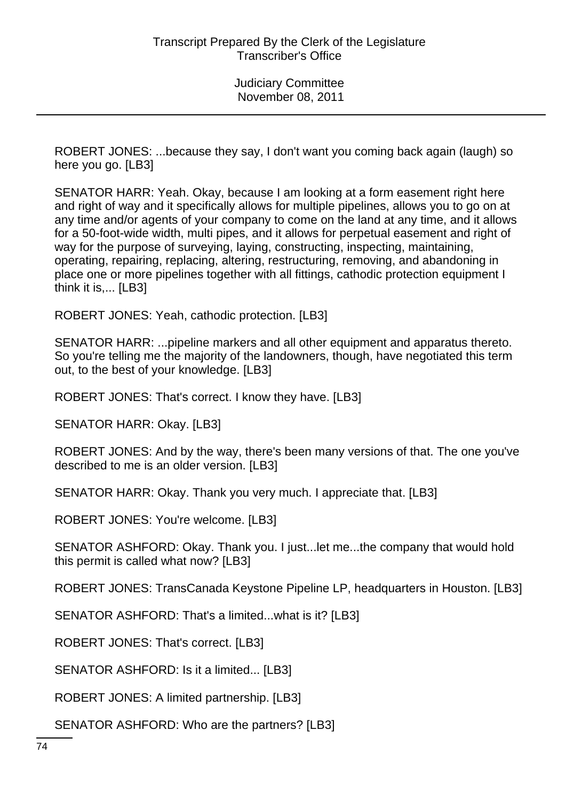ROBERT JONES: ...because they say, I don't want you coming back again (laugh) so here you go. [LB3]

SENATOR HARR: Yeah. Okay, because I am looking at a form easement right here and right of way and it specifically allows for multiple pipelines, allows you to go on at any time and/or agents of your company to come on the land at any time, and it allows for a 50-foot-wide width, multi pipes, and it allows for perpetual easement and right of way for the purpose of surveying, laying, constructing, inspecting, maintaining, operating, repairing, replacing, altering, restructuring, removing, and abandoning in place one or more pipelines together with all fittings, cathodic protection equipment I think it is,... [LB3]

ROBERT JONES: Yeah, cathodic protection. [LB3]

SENATOR HARR: ...pipeline markers and all other equipment and apparatus thereto. So you're telling me the majority of the landowners, though, have negotiated this term out, to the best of your knowledge. [LB3]

ROBERT JONES: That's correct. I know they have. [LB3]

SENATOR HARR: Okay. [LB3]

ROBERT JONES: And by the way, there's been many versions of that. The one you've described to me is an older version. [LB3]

SENATOR HARR: Okay. Thank you very much. I appreciate that. [LB3]

ROBERT JONES: You're welcome. [LB3]

SENATOR ASHFORD: Okay. Thank you. I just...let me...the company that would hold this permit is called what now? [LB3]

ROBERT JONES: TransCanada Keystone Pipeline LP, headquarters in Houston. [LB3]

SENATOR ASHFORD: That's a limited...what is it? [LB3]

ROBERT JONES: That's correct. [LB3]

SENATOR ASHFORD: Is it a limited... [LB3]

ROBERT JONES: A limited partnership. [LB3]

SENATOR ASHFORD: Who are the partners? [LB3]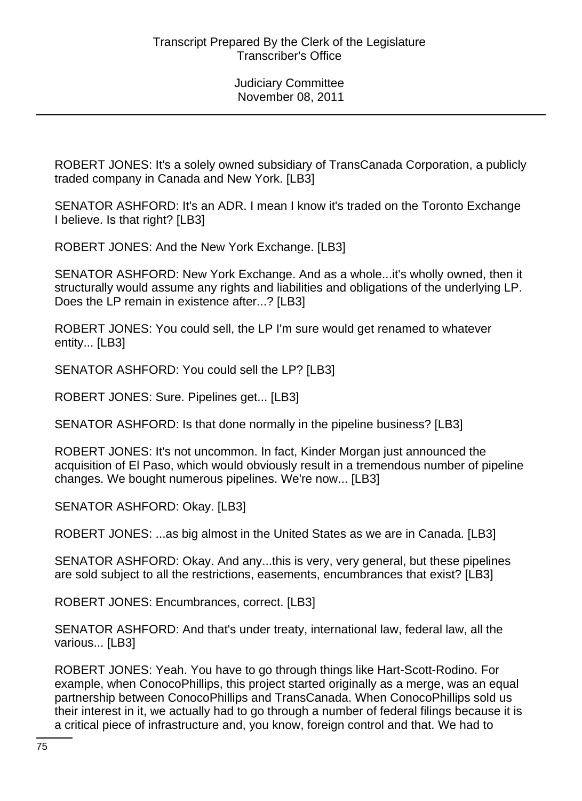ROBERT JONES: It's a solely owned subsidiary of TransCanada Corporation, a publicly traded company in Canada and New York. [LB3]

SENATOR ASHFORD: It's an ADR. I mean I know it's traded on the Toronto Exchange I believe. Is that right? [LB3]

ROBERT JONES: And the New York Exchange. [LB3]

SENATOR ASHFORD: New York Exchange. And as a whole...it's wholly owned, then it structurally would assume any rights and liabilities and obligations of the underlying LP. Does the LP remain in existence after...? [LB3]

ROBERT JONES: You could sell, the LP I'm sure would get renamed to whatever entity... [LB3]

SENATOR ASHFORD: You could sell the LP? [LB3]

ROBERT JONES: Sure. Pipelines get... [LB3]

SENATOR ASHFORD: Is that done normally in the pipeline business? [LB3]

ROBERT JONES: It's not uncommon. In fact, Kinder Morgan just announced the acquisition of El Paso, which would obviously result in a tremendous number of pipeline changes. We bought numerous pipelines. We're now... [LB3]

SENATOR ASHFORD: Okay. [LB3]

ROBERT JONES: ...as big almost in the United States as we are in Canada. [LB3]

SENATOR ASHFORD: Okay. And any...this is very, very general, but these pipelines are sold subject to all the restrictions, easements, encumbrances that exist? [LB3]

ROBERT JONES: Encumbrances, correct. [LB3]

SENATOR ASHFORD: And that's under treaty, international law, federal law, all the various... [LB3]

ROBERT JONES: Yeah. You have to go through things like Hart-Scott-Rodino. For example, when ConocoPhillips, this project started originally as a merge, was an equal partnership between ConocoPhillips and TransCanada. When ConocoPhillips sold us their interest in it, we actually had to go through a number of federal filings because it is a critical piece of infrastructure and, you know, foreign control and that. We had to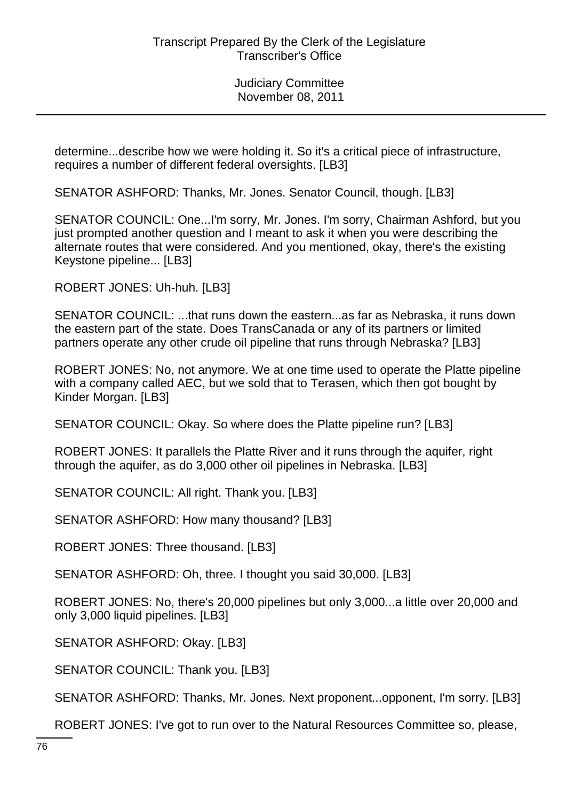determine...describe how we were holding it. So it's a critical piece of infrastructure, requires a number of different federal oversights. [LB3]

SENATOR ASHFORD: Thanks, Mr. Jones. Senator Council, though. [LB3]

SENATOR COUNCIL: One...I'm sorry, Mr. Jones. I'm sorry, Chairman Ashford, but you just prompted another question and I meant to ask it when you were describing the alternate routes that were considered. And you mentioned, okay, there's the existing Keystone pipeline... [LB3]

ROBERT JONES: Uh-huh. [LB3]

SENATOR COUNCIL: ...that runs down the eastern...as far as Nebraska, it runs down the eastern part of the state. Does TransCanada or any of its partners or limited partners operate any other crude oil pipeline that runs through Nebraska? [LB3]

ROBERT JONES: No, not anymore. We at one time used to operate the Platte pipeline with a company called AEC, but we sold that to Terasen, which then got bought by Kinder Morgan. [LB3]

SENATOR COUNCIL: Okay. So where does the Platte pipeline run? [LB3]

ROBERT JONES: It parallels the Platte River and it runs through the aquifer, right through the aquifer, as do 3,000 other oil pipelines in Nebraska. [LB3]

SENATOR COUNCIL: All right. Thank you. [LB3]

SENATOR ASHFORD: How many thousand? [LB3]

ROBERT JONES: Three thousand. [LB3]

SENATOR ASHFORD: Oh, three. I thought you said 30,000. [LB3]

ROBERT JONES: No, there's 20,000 pipelines but only 3,000...a little over 20,000 and only 3,000 liquid pipelines. [LB3]

SENATOR ASHFORD: Okay. [LB3]

SENATOR COUNCIL: Thank you. [LB3]

SENATOR ASHFORD: Thanks, Mr. Jones. Next proponent...opponent, I'm sorry. [LB3]

ROBERT JONES: I've got to run over to the Natural Resources Committee so, please,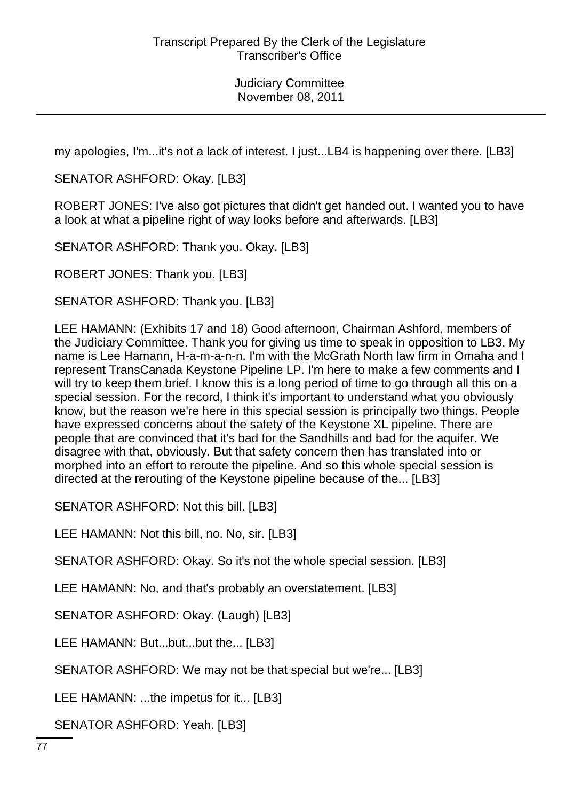my apologies, I'm...it's not a lack of interest. I just...LB4 is happening over there. [LB3]

SENATOR ASHFORD: Okay. [LB3]

ROBERT JONES: I've also got pictures that didn't get handed out. I wanted you to have a look at what a pipeline right of way looks before and afterwards. [LB3]

SENATOR ASHFORD: Thank you. Okay. [LB3]

ROBERT JONES: Thank you. [LB3]

SENATOR ASHFORD: Thank you. [LB3]

LEE HAMANN: (Exhibits 17 and 18) Good afternoon, Chairman Ashford, members of the Judiciary Committee. Thank you for giving us time to speak in opposition to LB3. My name is Lee Hamann, H-a-m-a-n-n. I'm with the McGrath North law firm in Omaha and I represent TransCanada Keystone Pipeline LP. I'm here to make a few comments and I will try to keep them brief. I know this is a long period of time to go through all this on a special session. For the record, I think it's important to understand what you obviously know, but the reason we're here in this special session is principally two things. People have expressed concerns about the safety of the Keystone XL pipeline. There are people that are convinced that it's bad for the Sandhills and bad for the aquifer. We disagree with that, obviously. But that safety concern then has translated into or morphed into an effort to reroute the pipeline. And so this whole special session is directed at the rerouting of the Keystone pipeline because of the... [LB3]

SENATOR ASHFORD: Not this bill. [LB3]

LEE HAMANN: Not this bill, no. No, sir. [LB3]

SENATOR ASHFORD: Okay. So it's not the whole special session. [LB3]

LEE HAMANN: No, and that's probably an overstatement. [LB3]

SENATOR ASHFORD: Okay. (Laugh) [LB3]

LEE HAMANN: But...but...but the... [LB3]

SENATOR ASHFORD: We may not be that special but we're... [LB3]

LEE HAMANN: ...the impetus for it... [LB3]

SENATOR ASHFORD: Yeah. [LB3]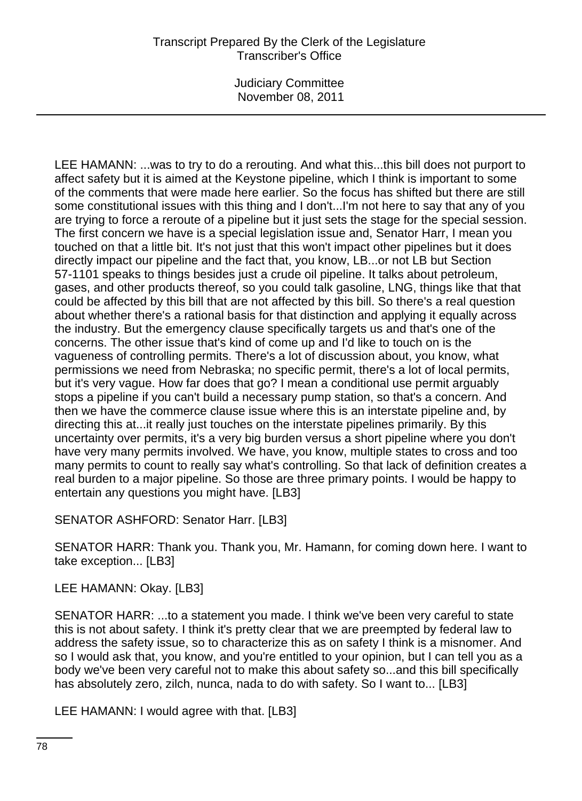LEE HAMANN: ...was to try to do a rerouting. And what this...this bill does not purport to affect safety but it is aimed at the Keystone pipeline, which I think is important to some of the comments that were made here earlier. So the focus has shifted but there are still some constitutional issues with this thing and I don't...I'm not here to say that any of you are trying to force a reroute of a pipeline but it just sets the stage for the special session. The first concern we have is a special legislation issue and, Senator Harr, I mean you touched on that a little bit. It's not just that this won't impact other pipelines but it does directly impact our pipeline and the fact that, you know, LB...or not LB but Section 57-1101 speaks to things besides just a crude oil pipeline. It talks about petroleum, gases, and other products thereof, so you could talk gasoline, LNG, things like that that could be affected by this bill that are not affected by this bill. So there's a real question about whether there's a rational basis for that distinction and applying it equally across the industry. But the emergency clause specifically targets us and that's one of the concerns. The other issue that's kind of come up and I'd like to touch on is the vagueness of controlling permits. There's a lot of discussion about, you know, what permissions we need from Nebraska; no specific permit, there's a lot of local permits, but it's very vague. How far does that go? I mean a conditional use permit arguably stops a pipeline if you can't build a necessary pump station, so that's a concern. And then we have the commerce clause issue where this is an interstate pipeline and, by directing this at...it really just touches on the interstate pipelines primarily. By this uncertainty over permits, it's a very big burden versus a short pipeline where you don't have very many permits involved. We have, you know, multiple states to cross and too many permits to count to really say what's controlling. So that lack of definition creates a real burden to a major pipeline. So those are three primary points. I would be happy to entertain any questions you might have. [LB3]

SENATOR ASHFORD: Senator Harr. [LB3]

SENATOR HARR: Thank you. Thank you, Mr. Hamann, for coming down here. I want to take exception... [LB3]

LEE HAMANN: Okay. [LB3]

SENATOR HARR: ...to a statement you made. I think we've been very careful to state this is not about safety. I think it's pretty clear that we are preempted by federal law to address the safety issue, so to characterize this as on safety I think is a misnomer. And so I would ask that, you know, and you're entitled to your opinion, but I can tell you as a body we've been very careful not to make this about safety so...and this bill specifically has absolutely zero, zilch, nunca, nada to do with safety. So I want to... [LB3]

LEE HAMANN: I would agree with that. [LB3]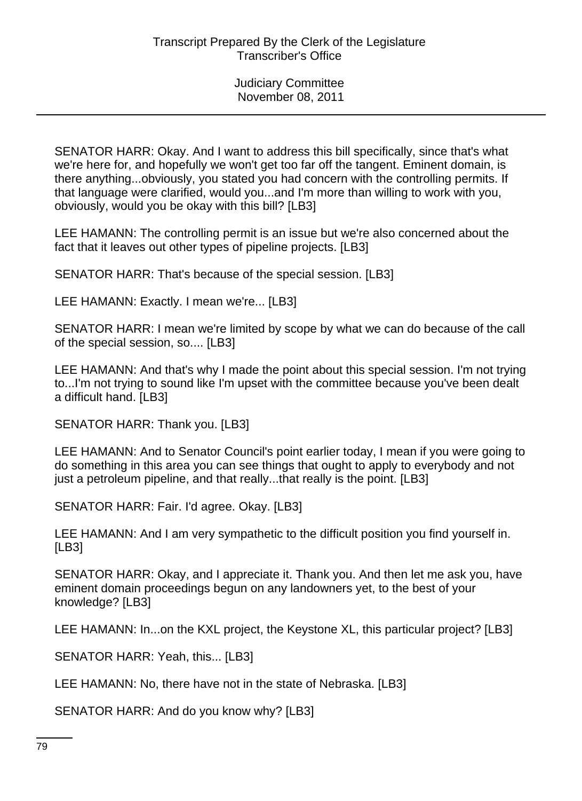SENATOR HARR: Okay. And I want to address this bill specifically, since that's what we're here for, and hopefully we won't get too far off the tangent. Eminent domain, is there anything...obviously, you stated you had concern with the controlling permits. If that language were clarified, would you...and I'm more than willing to work with you, obviously, would you be okay with this bill? [LB3]

LEE HAMANN: The controlling permit is an issue but we're also concerned about the fact that it leaves out other types of pipeline projects. [LB3]

SENATOR HARR: That's because of the special session. [LB3]

LEE HAMANN: Exactly. I mean we're... [LB3]

SENATOR HARR: I mean we're limited by scope by what we can do because of the call of the special session, so.... [LB3]

LEE HAMANN: And that's why I made the point about this special session. I'm not trying to...I'm not trying to sound like I'm upset with the committee because you've been dealt a difficult hand. [LB3]

SENATOR HARR: Thank you. [LB3]

LEE HAMANN: And to Senator Council's point earlier today, I mean if you were going to do something in this area you can see things that ought to apply to everybody and not just a petroleum pipeline, and that really...that really is the point. [LB3]

SENATOR HARR: Fair. I'd agree. Okay. [LB3]

LEE HAMANN: And I am very sympathetic to the difficult position you find yourself in. [LB3]

SENATOR HARR: Okay, and I appreciate it. Thank you. And then let me ask you, have eminent domain proceedings begun on any landowners yet, to the best of your knowledge? [LB3]

LEE HAMANN: In...on the KXL project, the Keystone XL, this particular project? [LB3]

SENATOR HARR: Yeah, this... [LB3]

LEE HAMANN: No, there have not in the state of Nebraska. [LB3]

SENATOR HARR: And do you know why? [LB3]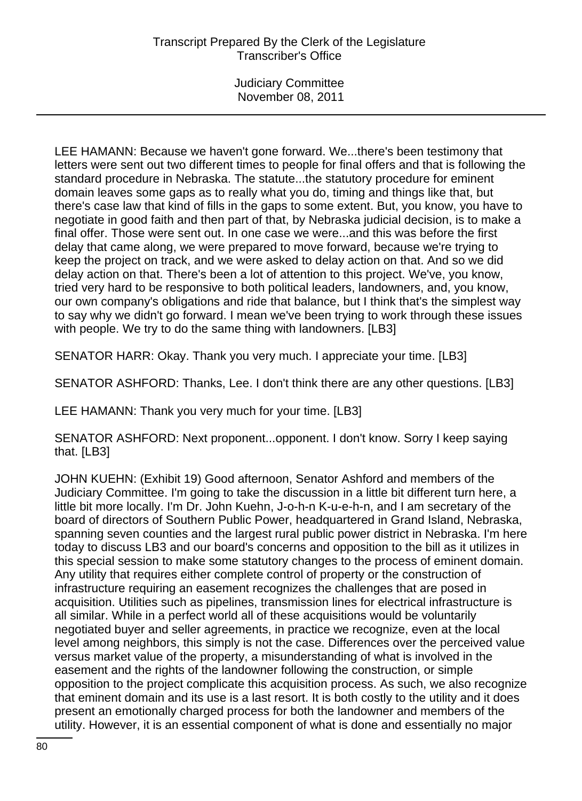LEE HAMANN: Because we haven't gone forward. We...there's been testimony that letters were sent out two different times to people for final offers and that is following the standard procedure in Nebraska. The statute...the statutory procedure for eminent domain leaves some gaps as to really what you do, timing and things like that, but there's case law that kind of fills in the gaps to some extent. But, you know, you have to negotiate in good faith and then part of that, by Nebraska judicial decision, is to make a final offer. Those were sent out. In one case we were...and this was before the first delay that came along, we were prepared to move forward, because we're trying to keep the project on track, and we were asked to delay action on that. And so we did delay action on that. There's been a lot of attention to this project. We've, you know, tried very hard to be responsive to both political leaders, landowners, and, you know, our own company's obligations and ride that balance, but I think that's the simplest way to say why we didn't go forward. I mean we've been trying to work through these issues with people. We try to do the same thing with landowners. [LB3]

SENATOR HARR: Okay. Thank you very much. I appreciate your time. [LB3]

SENATOR ASHFORD: Thanks, Lee. I don't think there are any other questions. [LB3]

LEE HAMANN: Thank you very much for your time. [LB3]

SENATOR ASHFORD: Next proponent...opponent. I don't know. Sorry I keep saying that. [LB3]

JOHN KUEHN: (Exhibit 19) Good afternoon, Senator Ashford and members of the Judiciary Committee. I'm going to take the discussion in a little bit different turn here, a little bit more locally. I'm Dr. John Kuehn, J-o-h-n K-u-e-h-n, and I am secretary of the board of directors of Southern Public Power, headquartered in Grand Island, Nebraska, spanning seven counties and the largest rural public power district in Nebraska. I'm here today to discuss LB3 and our board's concerns and opposition to the bill as it utilizes in this special session to make some statutory changes to the process of eminent domain. Any utility that requires either complete control of property or the construction of infrastructure requiring an easement recognizes the challenges that are posed in acquisition. Utilities such as pipelines, transmission lines for electrical infrastructure is all similar. While in a perfect world all of these acquisitions would be voluntarily negotiated buyer and seller agreements, in practice we recognize, even at the local level among neighbors, this simply is not the case. Differences over the perceived value versus market value of the property, a misunderstanding of what is involved in the easement and the rights of the landowner following the construction, or simple opposition to the project complicate this acquisition process. As such, we also recognize that eminent domain and its use is a last resort. It is both costly to the utility and it does present an emotionally charged process for both the landowner and members of the utility. However, it is an essential component of what is done and essentially no major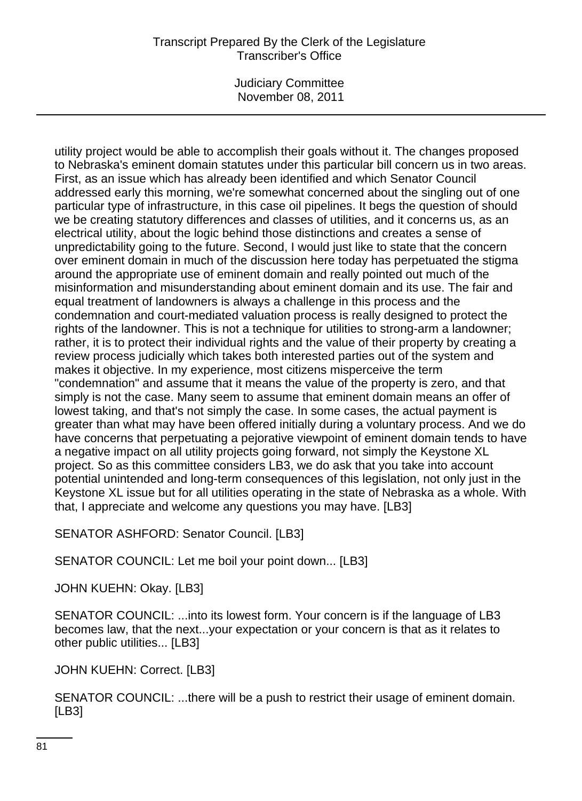## Transcript Prepared By the Clerk of the Legislature Transcriber's Office

Judiciary Committee November 08, 2011

utility project would be able to accomplish their goals without it. The changes proposed to Nebraska's eminent domain statutes under this particular bill concern us in two areas. First, as an issue which has already been identified and which Senator Council addressed early this morning, we're somewhat concerned about the singling out of one particular type of infrastructure, in this case oil pipelines. It begs the question of should we be creating statutory differences and classes of utilities, and it concerns us, as an electrical utility, about the logic behind those distinctions and creates a sense of unpredictability going to the future. Second, I would just like to state that the concern over eminent domain in much of the discussion here today has perpetuated the stigma around the appropriate use of eminent domain and really pointed out much of the misinformation and misunderstanding about eminent domain and its use. The fair and equal treatment of landowners is always a challenge in this process and the condemnation and court-mediated valuation process is really designed to protect the rights of the landowner. This is not a technique for utilities to strong-arm a landowner; rather, it is to protect their individual rights and the value of their property by creating a review process judicially which takes both interested parties out of the system and makes it objective. In my experience, most citizens misperceive the term "condemnation" and assume that it means the value of the property is zero, and that simply is not the case. Many seem to assume that eminent domain means an offer of lowest taking, and that's not simply the case. In some cases, the actual payment is greater than what may have been offered initially during a voluntary process. And we do have concerns that perpetuating a pejorative viewpoint of eminent domain tends to have a negative impact on all utility projects going forward, not simply the Keystone XL project. So as this committee considers LB3, we do ask that you take into account potential unintended and long-term consequences of this legislation, not only just in the Keystone XL issue but for all utilities operating in the state of Nebraska as a whole. With that, I appreciate and welcome any questions you may have. [LB3]

SENATOR ASHFORD: Senator Council. [LB3]

SENATOR COUNCIL: Let me boil your point down... [LB3]

JOHN KUEHN: Okay. [LB3]

SENATOR COUNCIL: ...into its lowest form. Your concern is if the language of LB3 becomes law, that the next...your expectation or your concern is that as it relates to other public utilities... [LB3]

JOHN KUEHN: Correct. [LB3]

SENATOR COUNCIL: ...there will be a push to restrict their usage of eminent domain. [LB3]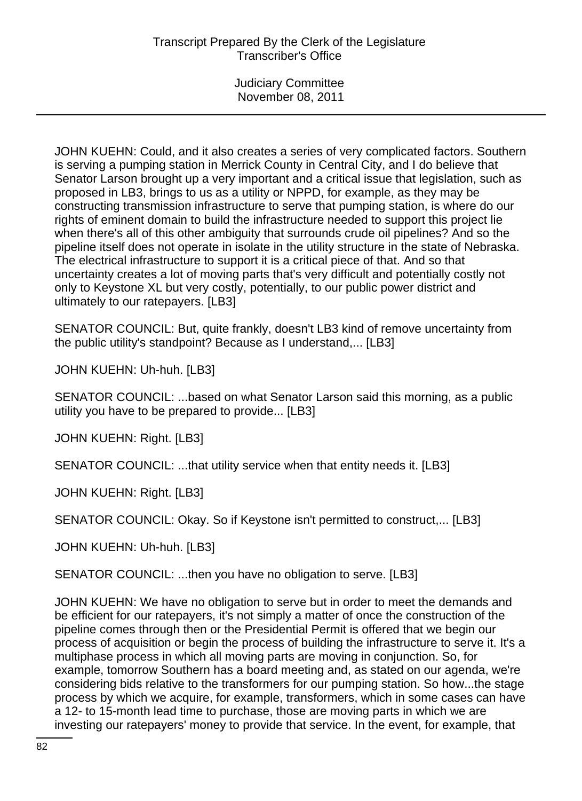JOHN KUEHN: Could, and it also creates a series of very complicated factors. Southern is serving a pumping station in Merrick County in Central City, and I do believe that Senator Larson brought up a very important and a critical issue that legislation, such as proposed in LB3, brings to us as a utility or NPPD, for example, as they may be constructing transmission infrastructure to serve that pumping station, is where do our rights of eminent domain to build the infrastructure needed to support this project lie when there's all of this other ambiguity that surrounds crude oil pipelines? And so the pipeline itself does not operate in isolate in the utility structure in the state of Nebraska. The electrical infrastructure to support it is a critical piece of that. And so that uncertainty creates a lot of moving parts that's very difficult and potentially costly not only to Keystone XL but very costly, potentially, to our public power district and ultimately to our ratepayers. [LB3]

SENATOR COUNCIL: But, quite frankly, doesn't LB3 kind of remove uncertainty from the public utility's standpoint? Because as I understand,... [LB3]

JOHN KUEHN: Uh-huh. [LB3]

SENATOR COUNCIL: ...based on what Senator Larson said this morning, as a public utility you have to be prepared to provide... [LB3]

JOHN KUEHN: Right. [LB3]

SENATOR COUNCIL: ...that utility service when that entity needs it. [LB3]

JOHN KUEHN: Right. [LB3]

SENATOR COUNCIL: Okay. So if Keystone isn't permitted to construct,... [LB3]

JOHN KUEHN: Uh-huh. [LB3]

SENATOR COUNCIL: ...then you have no obligation to serve. [LB3]

JOHN KUEHN: We have no obligation to serve but in order to meet the demands and be efficient for our ratepayers, it's not simply a matter of once the construction of the pipeline comes through then or the Presidential Permit is offered that we begin our process of acquisition or begin the process of building the infrastructure to serve it. It's a multiphase process in which all moving parts are moving in conjunction. So, for example, tomorrow Southern has a board meeting and, as stated on our agenda, we're considering bids relative to the transformers for our pumping station. So how...the stage process by which we acquire, for example, transformers, which in some cases can have a 12- to 15-month lead time to purchase, those are moving parts in which we are investing our ratepayers' money to provide that service. In the event, for example, that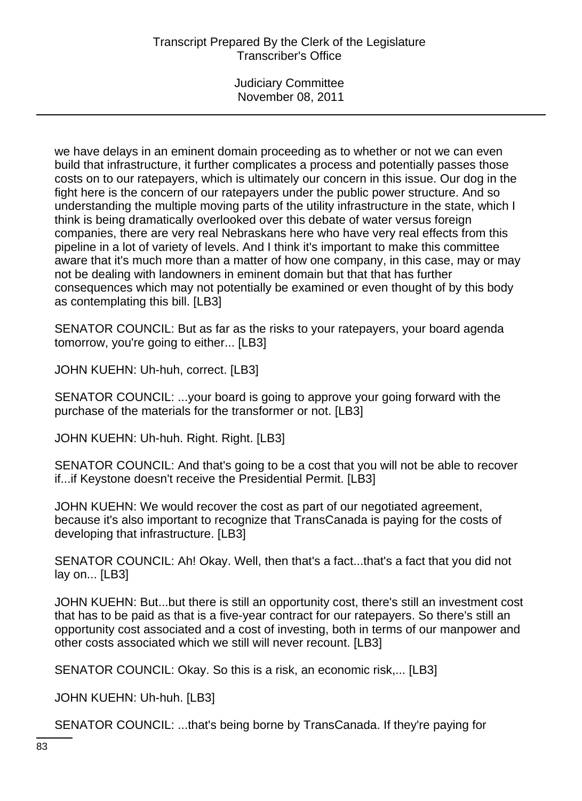# Transcript Prepared By the Clerk of the Legislature Transcriber's Office

Judiciary Committee November 08, 2011

we have delays in an eminent domain proceeding as to whether or not we can even build that infrastructure, it further complicates a process and potentially passes those costs on to our ratepayers, which is ultimately our concern in this issue. Our dog in the fight here is the concern of our ratepayers under the public power structure. And so understanding the multiple moving parts of the utility infrastructure in the state, which I think is being dramatically overlooked over this debate of water versus foreign companies, there are very real Nebraskans here who have very real effects from this pipeline in a lot of variety of levels. And I think it's important to make this committee aware that it's much more than a matter of how one company, in this case, may or may not be dealing with landowners in eminent domain but that that has further consequences which may not potentially be examined or even thought of by this body as contemplating this bill. [LB3]

SENATOR COUNCIL: But as far as the risks to your ratepayers, your board agenda tomorrow, you're going to either... [LB3]

JOHN KUEHN: Uh-huh, correct. [LB3]

SENATOR COUNCIL: ...your board is going to approve your going forward with the purchase of the materials for the transformer or not. [LB3]

JOHN KUEHN: Uh-huh. Right. Right. [LB3]

SENATOR COUNCIL: And that's going to be a cost that you will not be able to recover if...if Keystone doesn't receive the Presidential Permit. [LB3]

JOHN KUEHN: We would recover the cost as part of our negotiated agreement, because it's also important to recognize that TransCanada is paying for the costs of developing that infrastructure. [LB3]

SENATOR COUNCIL: Ah! Okay. Well, then that's a fact...that's a fact that you did not lay on... [LB3]

JOHN KUEHN: But...but there is still an opportunity cost, there's still an investment cost that has to be paid as that is a five-year contract for our ratepayers. So there's still an opportunity cost associated and a cost of investing, both in terms of our manpower and other costs associated which we still will never recount. [LB3]

SENATOR COUNCIL: Okay. So this is a risk, an economic risk,... [LB3]

JOHN KUEHN: Uh-huh. [LB3]

SENATOR COUNCIL: ...that's being borne by TransCanada. If they're paying for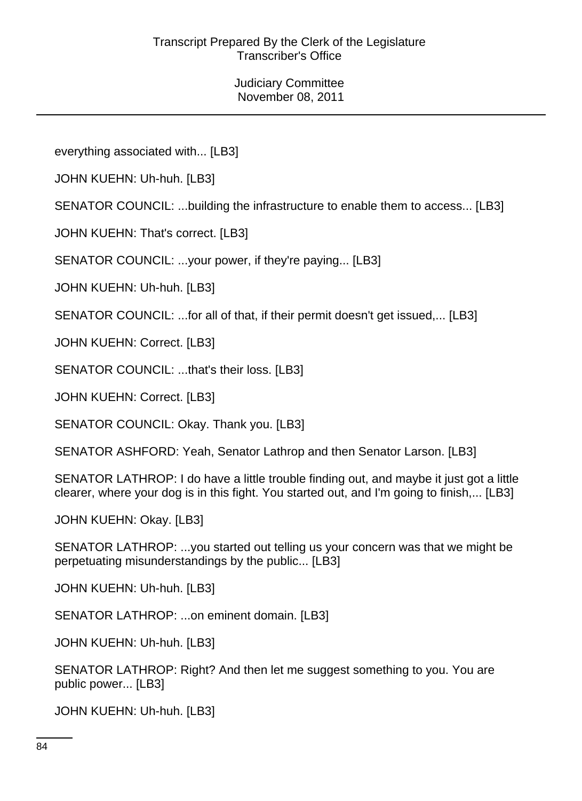everything associated with... [LB3]

JOHN KUEHN: Uh-huh. [LB3]

SENATOR COUNCIL: ...building the infrastructure to enable them to access... [LB3]

JOHN KUEHN: That's correct. [LB3]

SENATOR COUNCIL: ...your power, if they're paying... [LB3]

JOHN KUEHN: Uh-huh. [LB3]

SENATOR COUNCIL: ...for all of that, if their permit doesn't get issued,... [LB3]

JOHN KUEHN: Correct. [LB3]

SENATOR COUNCIL: ...that's their loss. [LB3]

JOHN KUEHN: Correct. [LB3]

SENATOR COUNCIL: Okay. Thank you. [LB3]

SENATOR ASHFORD: Yeah, Senator Lathrop and then Senator Larson. [LB3]

SENATOR LATHROP: I do have a little trouble finding out, and maybe it just got a little clearer, where your dog is in this fight. You started out, and I'm going to finish,... [LB3]

JOHN KUEHN: Okay. [LB3]

SENATOR LATHROP: ...you started out telling us your concern was that we might be perpetuating misunderstandings by the public... [LB3]

JOHN KUEHN: Uh-huh. [LB3]

SENATOR LATHROP: ...on eminent domain. [LB3]

JOHN KUEHN: Uh-huh. [LB3]

SENATOR LATHROP: Right? And then let me suggest something to you. You are public power... [LB3]

JOHN KUEHN: Uh-huh. [LB3]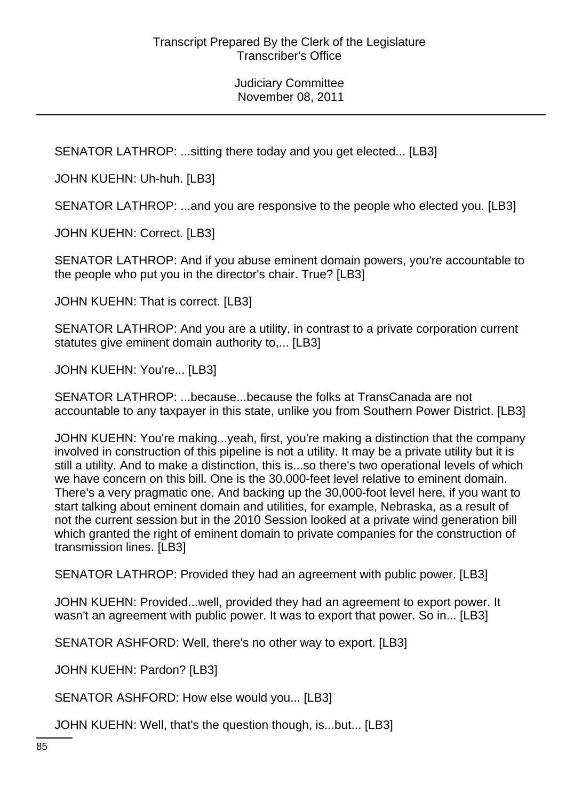SENATOR LATHROP: ...sitting there today and you get elected... [LB3]

JOHN KUEHN: Uh-huh. [LB3]

SENATOR LATHROP: ...and you are responsive to the people who elected you. [LB3]

JOHN KUEHN: Correct. [LB3]

SENATOR LATHROP: And if you abuse eminent domain powers, you're accountable to the people who put you in the director's chair. True? [LB3]

JOHN KUEHN: That is correct. [LB3]

SENATOR LATHROP: And you are a utility, in contrast to a private corporation current statutes give eminent domain authority to,... [LB3]

JOHN KUEHN: You're... [LB3]

SENATOR LATHROP: ...because...because the folks at TransCanada are not accountable to any taxpayer in this state, unlike you from Southern Power District. [LB3]

JOHN KUEHN: You're making...yeah, first, you're making a distinction that the company involved in construction of this pipeline is not a utility. It may be a private utility but it is still a utility. And to make a distinction, this is...so there's two operational levels of which we have concern on this bill. One is the 30,000-feet level relative to eminent domain. There's a very pragmatic one. And backing up the 30,000-foot level here, if you want to start talking about eminent domain and utilities, for example, Nebraska, as a result of not the current session but in the 2010 Session looked at a private wind generation bill which granted the right of eminent domain to private companies for the construction of transmission lines. [LB3]

SENATOR LATHROP: Provided they had an agreement with public power. [LB3]

JOHN KUEHN: Provided...well, provided they had an agreement to export power. It wasn't an agreement with public power. It was to export that power. So in... [LB3]

SENATOR ASHFORD: Well, there's no other way to export. [LB3]

JOHN KUEHN: Pardon? [LB3]

SENATOR ASHFORD: How else would you... [LB3]

JOHN KUEHN: Well, that's the question though, is...but... [LB3]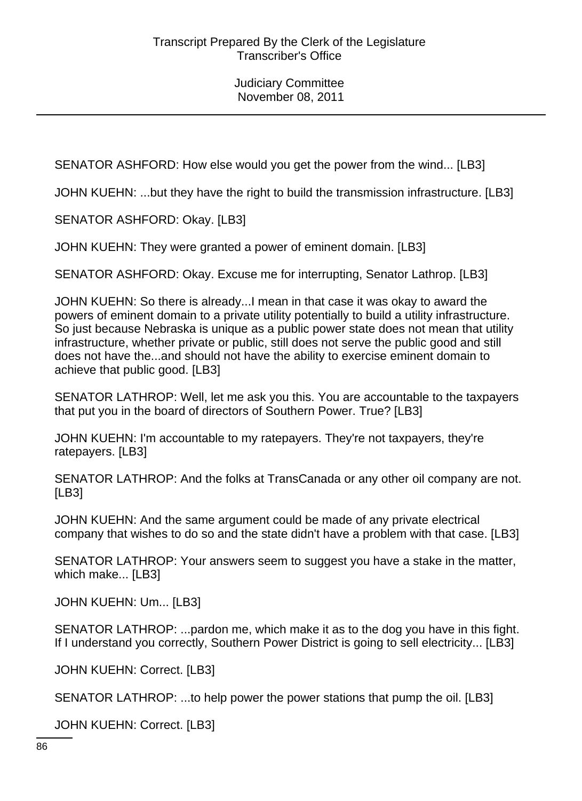SENATOR ASHFORD: How else would you get the power from the wind... [LB3]

JOHN KUEHN: ...but they have the right to build the transmission infrastructure. [LB3]

SENATOR ASHFORD: Okay. [LB3]

JOHN KUEHN: They were granted a power of eminent domain. [LB3]

SENATOR ASHFORD: Okay. Excuse me for interrupting, Senator Lathrop. [LB3]

JOHN KUEHN: So there is already...I mean in that case it was okay to award the powers of eminent domain to a private utility potentially to build a utility infrastructure. So just because Nebraska is unique as a public power state does not mean that utility infrastructure, whether private or public, still does not serve the public good and still does not have the...and should not have the ability to exercise eminent domain to achieve that public good. [LB3]

SENATOR LATHROP: Well, let me ask you this. You are accountable to the taxpayers that put you in the board of directors of Southern Power. True? [LB3]

JOHN KUEHN: I'm accountable to my ratepayers. They're not taxpayers, they're ratepayers. [LB3]

SENATOR LATHROP: And the folks at TransCanada or any other oil company are not. [LB3]

JOHN KUEHN: And the same argument could be made of any private electrical company that wishes to do so and the state didn't have a problem with that case. [LB3]

SENATOR LATHROP: Your answers seem to suggest you have a stake in the matter, which make... [LB3]

JOHN KUEHN: Um... [LB3]

SENATOR LATHROP: ...pardon me, which make it as to the dog you have in this fight. If I understand you correctly, Southern Power District is going to sell electricity... [LB3]

JOHN KUEHN: Correct. [LB3]

SENATOR LATHROP: ...to help power the power stations that pump the oil. [LB3]

JOHN KUEHN: Correct. [LB3]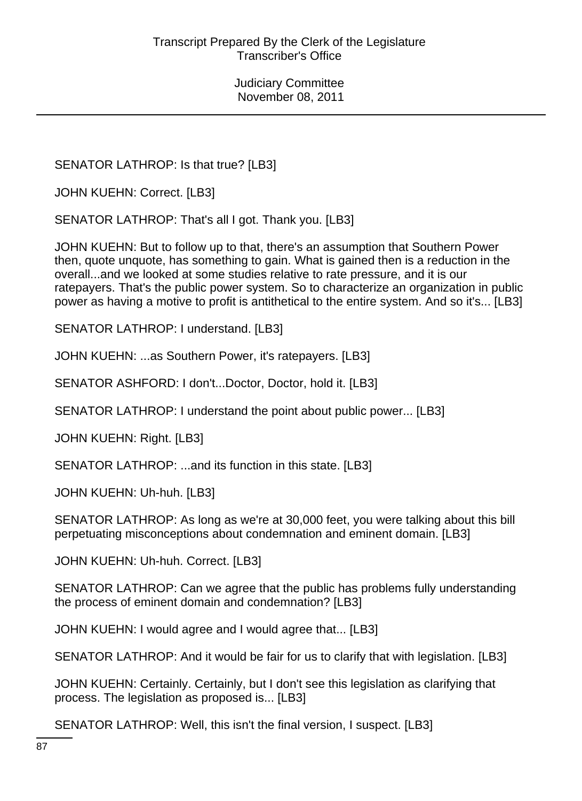SENATOR LATHROP: Is that true? [LB3]

JOHN KUEHN: Correct. [LB3]

SENATOR LATHROP: That's all I got. Thank you. [LB3]

JOHN KUEHN: But to follow up to that, there's an assumption that Southern Power then, quote unquote, has something to gain. What is gained then is a reduction in the overall...and we looked at some studies relative to rate pressure, and it is our ratepayers. That's the public power system. So to characterize an organization in public power as having a motive to profit is antithetical to the entire system. And so it's... [LB3]

SENATOR LATHROP: I understand. [LB3]

JOHN KUEHN: ...as Southern Power, it's ratepayers. [LB3]

SENATOR ASHFORD: I don't...Doctor, Doctor, hold it. [LB3]

SENATOR LATHROP: I understand the point about public power... [LB3]

JOHN KUEHN: Right. [LB3]

SENATOR LATHROP: ...and its function in this state. [LB3]

JOHN KUEHN: Uh-huh. [LB3]

SENATOR LATHROP: As long as we're at 30,000 feet, you were talking about this bill perpetuating misconceptions about condemnation and eminent domain. [LB3]

JOHN KUEHN: Uh-huh. Correct. [LB3]

SENATOR LATHROP: Can we agree that the public has problems fully understanding the process of eminent domain and condemnation? [LB3]

JOHN KUEHN: I would agree and I would agree that... [LB3]

SENATOR LATHROP: And it would be fair for us to clarify that with legislation. [LB3]

JOHN KUEHN: Certainly. Certainly, but I don't see this legislation as clarifying that process. The legislation as proposed is... [LB3]

SENATOR LATHROP: Well, this isn't the final version, I suspect. [LB3]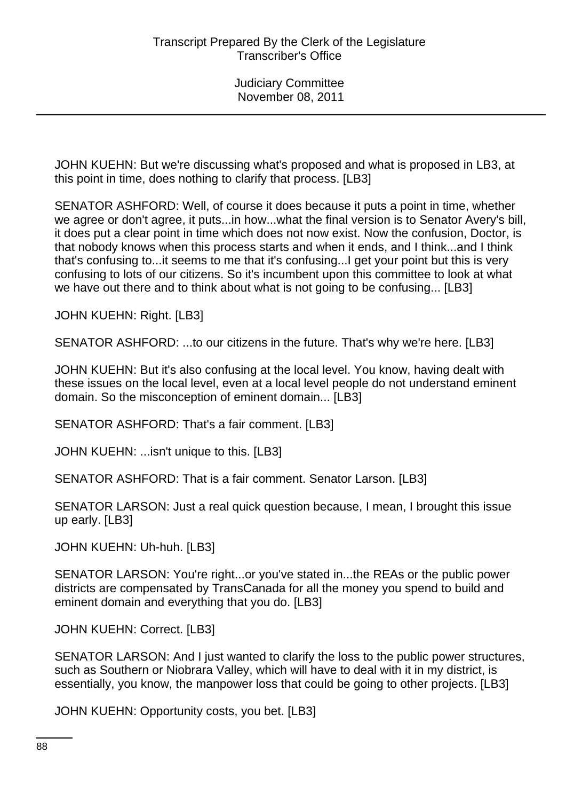JOHN KUEHN: But we're discussing what's proposed and what is proposed in LB3, at this point in time, does nothing to clarify that process. [LB3]

SENATOR ASHFORD: Well, of course it does because it puts a point in time, whether we agree or don't agree, it puts...in how...what the final version is to Senator Avery's bill, it does put a clear point in time which does not now exist. Now the confusion, Doctor, is that nobody knows when this process starts and when it ends, and I think...and I think that's confusing to...it seems to me that it's confusing...I get your point but this is very confusing to lots of our citizens. So it's incumbent upon this committee to look at what we have out there and to think about what is not going to be confusing... [LB3]

JOHN KUEHN: Right. [LB3]

SENATOR ASHFORD: ...to our citizens in the future. That's why we're here. [LB3]

JOHN KUEHN: But it's also confusing at the local level. You know, having dealt with these issues on the local level, even at a local level people do not understand eminent domain. So the misconception of eminent domain... [LB3]

SENATOR ASHFORD: That's a fair comment. [LB3]

JOHN KUEHN: ...isn't unique to this. [LB3]

SENATOR ASHFORD: That is a fair comment. Senator Larson. [LB3]

SENATOR LARSON: Just a real quick question because, I mean, I brought this issue up early. [LB3]

JOHN KUEHN: Uh-huh. [LB3]

SENATOR LARSON: You're right...or you've stated in...the REAs or the public power districts are compensated by TransCanada for all the money you spend to build and eminent domain and everything that you do. [LB3]

JOHN KUEHN: Correct. [LB3]

SENATOR LARSON: And I just wanted to clarify the loss to the public power structures, such as Southern or Niobrara Valley, which will have to deal with it in my district, is essentially, you know, the manpower loss that could be going to other projects. [LB3]

JOHN KUEHN: Opportunity costs, you bet. [LB3]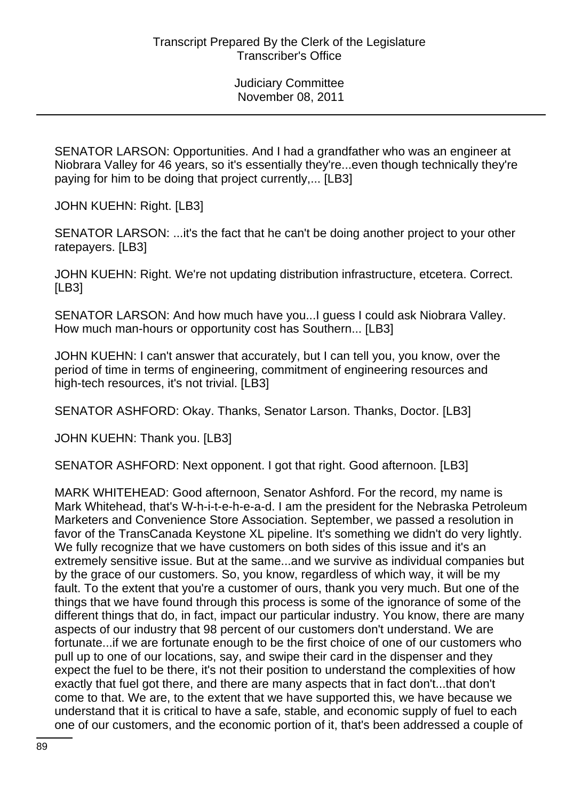SENATOR LARSON: Opportunities. And I had a grandfather who was an engineer at Niobrara Valley for 46 years, so it's essentially they're...even though technically they're paying for him to be doing that project currently,... [LB3]

JOHN KUEHN: Right. [LB3]

SENATOR LARSON: ...it's the fact that he can't be doing another project to your other ratepayers. [LB3]

JOHN KUEHN: Right. We're not updating distribution infrastructure, etcetera. Correct. [LB3]

SENATOR LARSON: And how much have you...I guess I could ask Niobrara Valley. How much man-hours or opportunity cost has Southern... [LB3]

JOHN KUEHN: I can't answer that accurately, but I can tell you, you know, over the period of time in terms of engineering, commitment of engineering resources and high-tech resources, it's not trivial. [LB3]

SENATOR ASHFORD: Okay. Thanks, Senator Larson. Thanks, Doctor. [LB3]

JOHN KUEHN: Thank you. [LB3]

SENATOR ASHFORD: Next opponent. I got that right. Good afternoon. [LB3]

MARK WHITEHEAD: Good afternoon, Senator Ashford. For the record, my name is Mark Whitehead, that's W-h-i-t-e-h-e-a-d. I am the president for the Nebraska Petroleum Marketers and Convenience Store Association. September, we passed a resolution in favor of the TransCanada Keystone XL pipeline. It's something we didn't do very lightly. We fully recognize that we have customers on both sides of this issue and it's an extremely sensitive issue. But at the same...and we survive as individual companies but by the grace of our customers. So, you know, regardless of which way, it will be my fault. To the extent that you're a customer of ours, thank you very much. But one of the things that we have found through this process is some of the ignorance of some of the different things that do, in fact, impact our particular industry. You know, there are many aspects of our industry that 98 percent of our customers don't understand. We are fortunate...if we are fortunate enough to be the first choice of one of our customers who pull up to one of our locations, say, and swipe their card in the dispenser and they expect the fuel to be there, it's not their position to understand the complexities of how exactly that fuel got there, and there are many aspects that in fact don't...that don't come to that. We are, to the extent that we have supported this, we have because we understand that it is critical to have a safe, stable, and economic supply of fuel to each one of our customers, and the economic portion of it, that's been addressed a couple of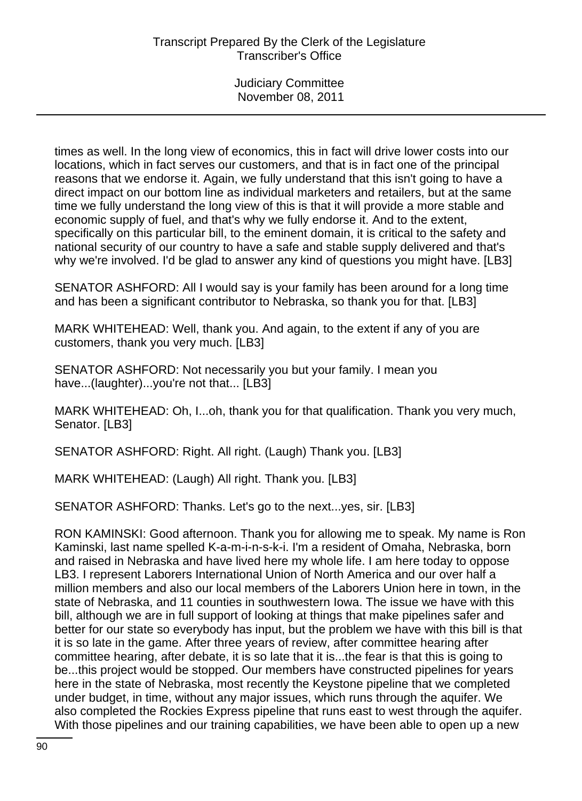times as well. In the long view of economics, this in fact will drive lower costs into our locations, which in fact serves our customers, and that is in fact one of the principal reasons that we endorse it. Again, we fully understand that this isn't going to have a direct impact on our bottom line as individual marketers and retailers, but at the same time we fully understand the long view of this is that it will provide a more stable and economic supply of fuel, and that's why we fully endorse it. And to the extent, specifically on this particular bill, to the eminent domain, it is critical to the safety and national security of our country to have a safe and stable supply delivered and that's why we're involved. I'd be glad to answer any kind of questions you might have. [LB3]

SENATOR ASHFORD: All I would say is your family has been around for a long time and has been a significant contributor to Nebraska, so thank you for that. [LB3]

MARK WHITEHEAD: Well, thank you. And again, to the extent if any of you are customers, thank you very much. [LB3]

SENATOR ASHFORD: Not necessarily you but your family. I mean you have...(laughter)...you're not that... [LB3]

MARK WHITEHEAD: Oh, I...oh, thank you for that qualification. Thank you very much, Senator. [LB3]

SENATOR ASHFORD: Right. All right. (Laugh) Thank you. [LB3]

MARK WHITEHEAD: (Laugh) All right. Thank you. [LB3]

SENATOR ASHFORD: Thanks. Let's go to the next...yes, sir. [LB3]

RON KAMINSKI: Good afternoon. Thank you for allowing me to speak. My name is Ron Kaminski, last name spelled K-a-m-i-n-s-k-i. I'm a resident of Omaha, Nebraska, born and raised in Nebraska and have lived here my whole life. I am here today to oppose LB3. I represent Laborers International Union of North America and our over half a million members and also our local members of the Laborers Union here in town, in the state of Nebraska, and 11 counties in southwestern Iowa. The issue we have with this bill, although we are in full support of looking at things that make pipelines safer and better for our state so everybody has input, but the problem we have with this bill is that it is so late in the game. After three years of review, after committee hearing after committee hearing, after debate, it is so late that it is...the fear is that this is going to be...this project would be stopped. Our members have constructed pipelines for years here in the state of Nebraska, most recently the Keystone pipeline that we completed under budget, in time, without any major issues, which runs through the aquifer. We also completed the Rockies Express pipeline that runs east to west through the aquifer. With those pipelines and our training capabilities, we have been able to open up a new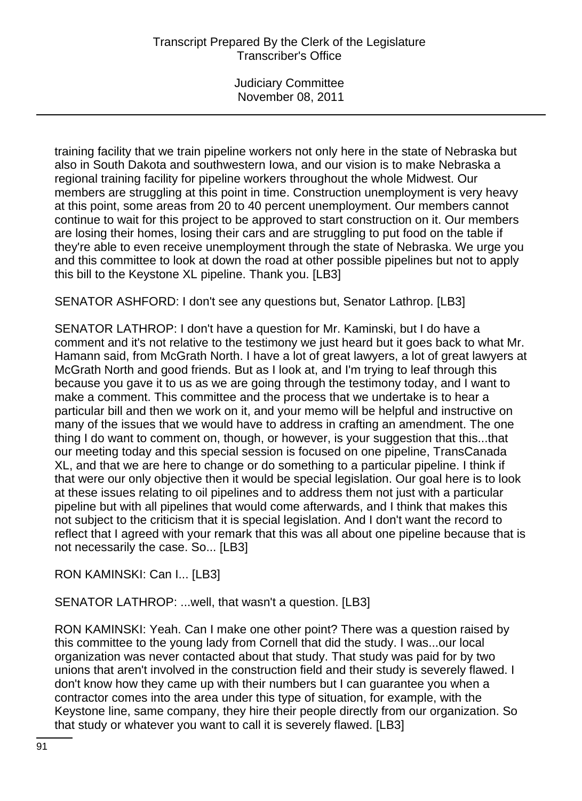training facility that we train pipeline workers not only here in the state of Nebraska but also in South Dakota and southwestern Iowa, and our vision is to make Nebraska a regional training facility for pipeline workers throughout the whole Midwest. Our members are struggling at this point in time. Construction unemployment is very heavy at this point, some areas from 20 to 40 percent unemployment. Our members cannot continue to wait for this project to be approved to start construction on it. Our members are losing their homes, losing their cars and are struggling to put food on the table if they're able to even receive unemployment through the state of Nebraska. We urge you and this committee to look at down the road at other possible pipelines but not to apply this bill to the Keystone XL pipeline. Thank you. [LB3]

SENATOR ASHFORD: I don't see any questions but, Senator Lathrop. [LB3]

SENATOR LATHROP: I don't have a question for Mr. Kaminski, but I do have a comment and it's not relative to the testimony we just heard but it goes back to what Mr. Hamann said, from McGrath North. I have a lot of great lawyers, a lot of great lawyers at McGrath North and good friends. But as I look at, and I'm trying to leaf through this because you gave it to us as we are going through the testimony today, and I want to make a comment. This committee and the process that we undertake is to hear a particular bill and then we work on it, and your memo will be helpful and instructive on many of the issues that we would have to address in crafting an amendment. The one thing I do want to comment on, though, or however, is your suggestion that this...that our meeting today and this special session is focused on one pipeline, TransCanada XL, and that we are here to change or do something to a particular pipeline. I think if that were our only objective then it would be special legislation. Our goal here is to look at these issues relating to oil pipelines and to address them not just with a particular pipeline but with all pipelines that would come afterwards, and I think that makes this not subject to the criticism that it is special legislation. And I don't want the record to reflect that I agreed with your remark that this was all about one pipeline because that is not necessarily the case. So... [LB3]

RON KAMINSKI: Can I... [LB3]

SENATOR LATHROP: ...well, that wasn't a question. [LB3]

RON KAMINSKI: Yeah. Can I make one other point? There was a question raised by this committee to the young lady from Cornell that did the study. I was...our local organization was never contacted about that study. That study was paid for by two unions that aren't involved in the construction field and their study is severely flawed. I don't know how they came up with their numbers but I can guarantee you when a contractor comes into the area under this type of situation, for example, with the Keystone line, same company, they hire their people directly from our organization. So that study or whatever you want to call it is severely flawed. [LB3]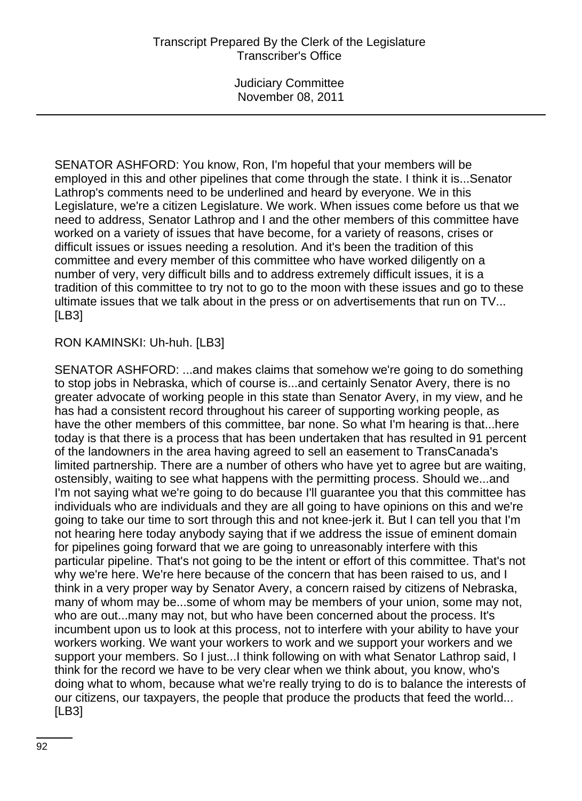SENATOR ASHFORD: You know, Ron, I'm hopeful that your members will be employed in this and other pipelines that come through the state. I think it is...Senator Lathrop's comments need to be underlined and heard by everyone. We in this Legislature, we're a citizen Legislature. We work. When issues come before us that we need to address, Senator Lathrop and I and the other members of this committee have worked on a variety of issues that have become, for a variety of reasons, crises or difficult issues or issues needing a resolution. And it's been the tradition of this committee and every member of this committee who have worked diligently on a number of very, very difficult bills and to address extremely difficult issues, it is a tradition of this committee to try not to go to the moon with these issues and go to these ultimate issues that we talk about in the press or on advertisements that run on TV... [LB3]

# RON KAMINSKI: Uh-huh. [LB3]

SENATOR ASHFORD: ...and makes claims that somehow we're going to do something to stop jobs in Nebraska, which of course is...and certainly Senator Avery, there is no greater advocate of working people in this state than Senator Avery, in my view, and he has had a consistent record throughout his career of supporting working people, as have the other members of this committee, bar none. So what I'm hearing is that...here today is that there is a process that has been undertaken that has resulted in 91 percent of the landowners in the area having agreed to sell an easement to TransCanada's limited partnership. There are a number of others who have yet to agree but are waiting, ostensibly, waiting to see what happens with the permitting process. Should we...and I'm not saying what we're going to do because I'll guarantee you that this committee has individuals who are individuals and they are all going to have opinions on this and we're going to take our time to sort through this and not knee-jerk it. But I can tell you that I'm not hearing here today anybody saying that if we address the issue of eminent domain for pipelines going forward that we are going to unreasonably interfere with this particular pipeline. That's not going to be the intent or effort of this committee. That's not why we're here. We're here because of the concern that has been raised to us, and I think in a very proper way by Senator Avery, a concern raised by citizens of Nebraska, many of whom may be...some of whom may be members of your union, some may not, who are out...many may not, but who have been concerned about the process. It's incumbent upon us to look at this process, not to interfere with your ability to have your workers working. We want your workers to work and we support your workers and we support your members. So I just...I think following on with what Senator Lathrop said, I think for the record we have to be very clear when we think about, you know, who's doing what to whom, because what we're really trying to do is to balance the interests of our citizens, our taxpayers, the people that produce the products that feed the world... [LB3]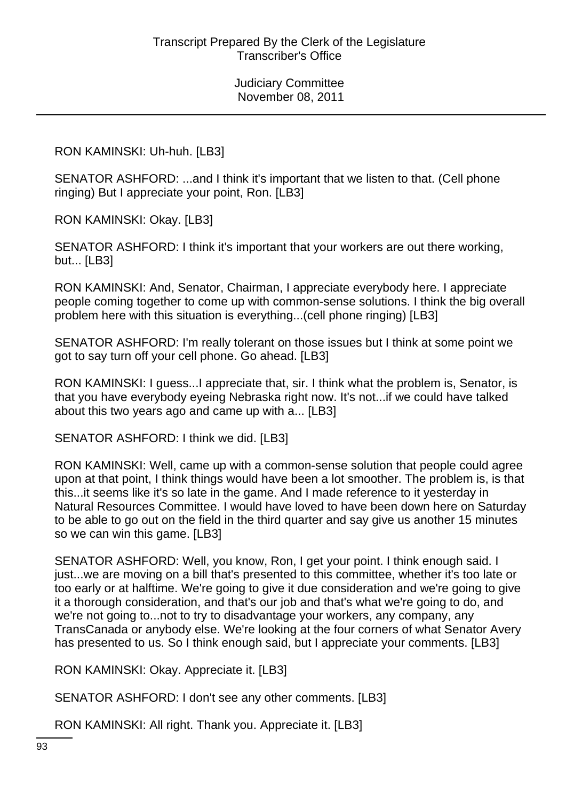RON KAMINSKI: Uh-huh. [LB3]

SENATOR ASHFORD: ...and I think it's important that we listen to that. (Cell phone ringing) But I appreciate your point, Ron. [LB3]

RON KAMINSKI: Okay. [LB3]

SENATOR ASHFORD: I think it's important that your workers are out there working, but... [LB3]

RON KAMINSKI: And, Senator, Chairman, I appreciate everybody here. I appreciate people coming together to come up with common-sense solutions. I think the big overall problem here with this situation is everything...(cell phone ringing) [LB3]

SENATOR ASHFORD: I'm really tolerant on those issues but I think at some point we got to say turn off your cell phone. Go ahead. [LB3]

RON KAMINSKI: I guess...I appreciate that, sir. I think what the problem is, Senator, is that you have everybody eyeing Nebraska right now. It's not...if we could have talked about this two years ago and came up with a... [LB3]

SENATOR ASHFORD: I think we did. [LB3]

RON KAMINSKI: Well, came up with a common-sense solution that people could agree upon at that point, I think things would have been a lot smoother. The problem is, is that this...it seems like it's so late in the game. And I made reference to it yesterday in Natural Resources Committee. I would have loved to have been down here on Saturday to be able to go out on the field in the third quarter and say give us another 15 minutes so we can win this game. [LB3]

SENATOR ASHFORD: Well, you know, Ron, I get your point. I think enough said. I just...we are moving on a bill that's presented to this committee, whether it's too late or too early or at halftime. We're going to give it due consideration and we're going to give it a thorough consideration, and that's our job and that's what we're going to do, and we're not going to...not to try to disadvantage your workers, any company, any TransCanada or anybody else. We're looking at the four corners of what Senator Avery has presented to us. So I think enough said, but I appreciate your comments. [LB3]

RON KAMINSKI: Okay. Appreciate it. [LB3]

SENATOR ASHFORD: I don't see any other comments. [LB3]

RON KAMINSKI: All right. Thank you. Appreciate it. [LB3]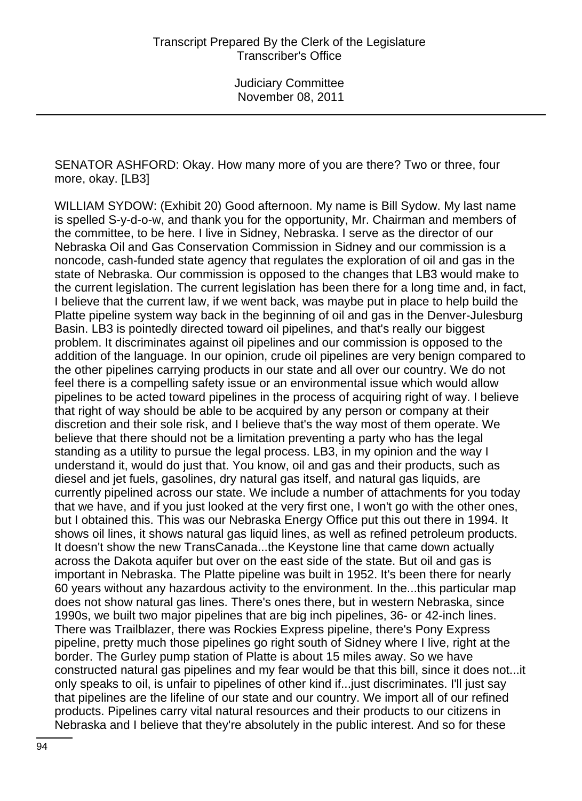SENATOR ASHFORD: Okay. How many more of you are there? Two or three, four more, okay. [LB3]

WILLIAM SYDOW: (Exhibit 20) Good afternoon. My name is Bill Sydow. My last name is spelled S-y-d-o-w, and thank you for the opportunity, Mr. Chairman and members of the committee, to be here. I live in Sidney, Nebraska. I serve as the director of our Nebraska Oil and Gas Conservation Commission in Sidney and our commission is a noncode, cash-funded state agency that regulates the exploration of oil and gas in the state of Nebraska. Our commission is opposed to the changes that LB3 would make to the current legislation. The current legislation has been there for a long time and, in fact, I believe that the current law, if we went back, was maybe put in place to help build the Platte pipeline system way back in the beginning of oil and gas in the Denver-Julesburg Basin. LB3 is pointedly directed toward oil pipelines, and that's really our biggest problem. It discriminates against oil pipelines and our commission is opposed to the addition of the language. In our opinion, crude oil pipelines are very benign compared to the other pipelines carrying products in our state and all over our country. We do not feel there is a compelling safety issue or an environmental issue which would allow pipelines to be acted toward pipelines in the process of acquiring right of way. I believe that right of way should be able to be acquired by any person or company at their discretion and their sole risk, and I believe that's the way most of them operate. We believe that there should not be a limitation preventing a party who has the legal standing as a utility to pursue the legal process. LB3, in my opinion and the way I understand it, would do just that. You know, oil and gas and their products, such as diesel and jet fuels, gasolines, dry natural gas itself, and natural gas liquids, are currently pipelined across our state. We include a number of attachments for you today that we have, and if you just looked at the very first one, I won't go with the other ones, but I obtained this. This was our Nebraska Energy Office put this out there in 1994. It shows oil lines, it shows natural gas liquid lines, as well as refined petroleum products. It doesn't show the new TransCanada...the Keystone line that came down actually across the Dakota aquifer but over on the east side of the state. But oil and gas is important in Nebraska. The Platte pipeline was built in 1952. It's been there for nearly 60 years without any hazardous activity to the environment. In the...this particular map does not show natural gas lines. There's ones there, but in western Nebraska, since 1990s, we built two major pipelines that are big inch pipelines, 36- or 42-inch lines. There was Trailblazer, there was Rockies Express pipeline, there's Pony Express pipeline, pretty much those pipelines go right south of Sidney where I live, right at the border. The Gurley pump station of Platte is about 15 miles away. So we have constructed natural gas pipelines and my fear would be that this bill, since it does not...it only speaks to oil, is unfair to pipelines of other kind if...just discriminates. I'll just say that pipelines are the lifeline of our state and our country. We import all of our refined products. Pipelines carry vital natural resources and their products to our citizens in Nebraska and I believe that they're absolutely in the public interest. And so for these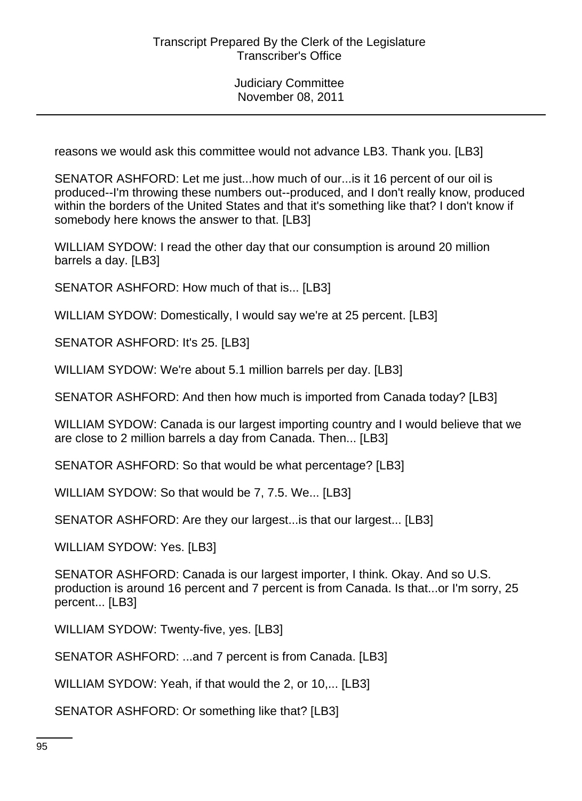reasons we would ask this committee would not advance LB3. Thank you. [LB3]

SENATOR ASHFORD: Let me just...how much of our...is it 16 percent of our oil is produced--I'm throwing these numbers out--produced, and I don't really know, produced within the borders of the United States and that it's something like that? I don't know if somebody here knows the answer to that. [LB3]

WILLIAM SYDOW: I read the other day that our consumption is around 20 million barrels a day. [LB3]

SENATOR ASHFORD: How much of that is... [LB3]

WILLIAM SYDOW: Domestically, I would say we're at 25 percent. [LB3]

SENATOR ASHFORD: It's 25. [LB3]

WILLIAM SYDOW: We're about 5.1 million barrels per day. [LB3]

SENATOR ASHFORD: And then how much is imported from Canada today? [LB3]

WILLIAM SYDOW: Canada is our largest importing country and I would believe that we are close to 2 million barrels a day from Canada. Then... [LB3]

SENATOR ASHFORD: So that would be what percentage? [LB3]

WILLIAM SYDOW: So that would be 7, 7.5. We... [LB3]

SENATOR ASHFORD: Are they our largest...is that our largest... [LB3]

WILLIAM SYDOW: Yes. [LB3]

SENATOR ASHFORD: Canada is our largest importer, I think. Okay. And so U.S. production is around 16 percent and 7 percent is from Canada. Is that...or I'm sorry, 25 percent... [LB3]

WILLIAM SYDOW: Twenty-five, yes. [LB3]

SENATOR ASHFORD: ...and 7 percent is from Canada. [LB3]

WILLIAM SYDOW: Yeah, if that would the 2, or 10,... [LB3]

SENATOR ASHFORD: Or something like that? [LB3]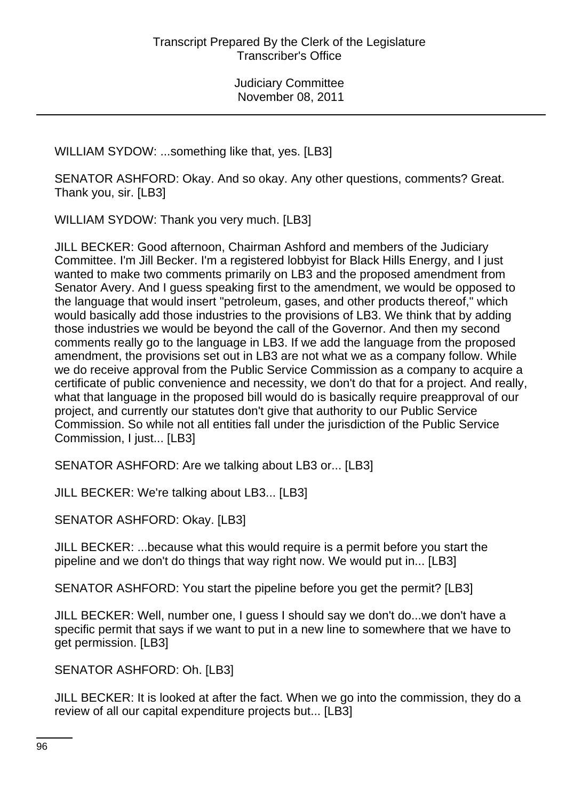WILLIAM SYDOW: ...something like that, yes. [LB3]

SENATOR ASHFORD: Okay. And so okay. Any other questions, comments? Great. Thank you, sir. [LB3]

WILLIAM SYDOW: Thank you very much. [LB3]

JILL BECKER: Good afternoon, Chairman Ashford and members of the Judiciary Committee. I'm Jill Becker. I'm a registered lobbyist for Black Hills Energy, and I just wanted to make two comments primarily on LB3 and the proposed amendment from Senator Avery. And I guess speaking first to the amendment, we would be opposed to the language that would insert "petroleum, gases, and other products thereof," which would basically add those industries to the provisions of LB3. We think that by adding those industries we would be beyond the call of the Governor. And then my second comments really go to the language in LB3. If we add the language from the proposed amendment, the provisions set out in LB3 are not what we as a company follow. While we do receive approval from the Public Service Commission as a company to acquire a certificate of public convenience and necessity, we don't do that for a project. And really, what that language in the proposed bill would do is basically require preapproval of our project, and currently our statutes don't give that authority to our Public Service Commission. So while not all entities fall under the jurisdiction of the Public Service Commission, I just... [LB3]

SENATOR ASHFORD: Are we talking about LB3 or... [LB3]

JILL BECKER: We're talking about LB3... [LB3]

SENATOR ASHFORD: Okay. [LB3]

JILL BECKER: ...because what this would require is a permit before you start the pipeline and we don't do things that way right now. We would put in... [LB3]

SENATOR ASHFORD: You start the pipeline before you get the permit? [LB3]

JILL BECKER: Well, number one, I guess I should say we don't do...we don't have a specific permit that says if we want to put in a new line to somewhere that we have to get permission. [LB3]

SENATOR ASHFORD: Oh. [LB3]

JILL BECKER: It is looked at after the fact. When we go into the commission, they do a review of all our capital expenditure projects but... [LB3]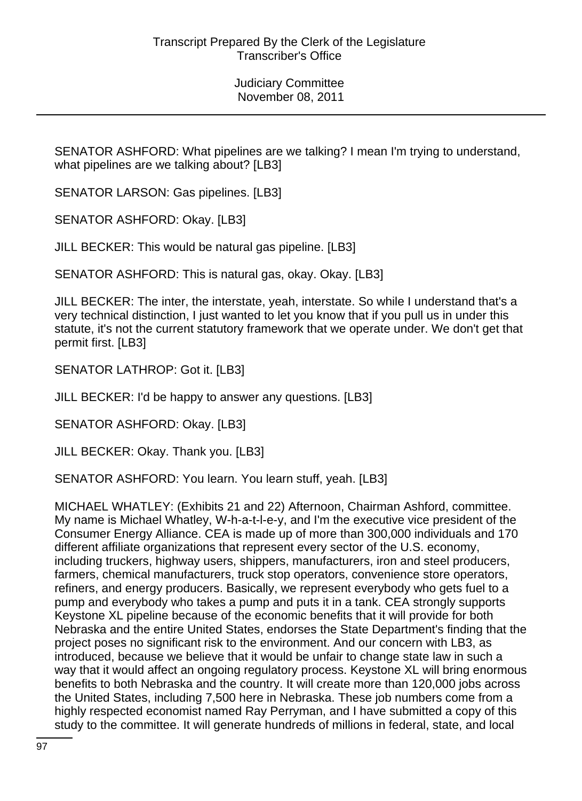SENATOR ASHFORD: What pipelines are we talking? I mean I'm trying to understand, what pipelines are we talking about? [LB3]

SENATOR LARSON: Gas pipelines. [LB3]

SENATOR ASHFORD: Okay. [LB3]

JILL BECKER: This would be natural gas pipeline. [LB3]

SENATOR ASHFORD: This is natural gas, okay. Okay. [LB3]

JILL BECKER: The inter, the interstate, yeah, interstate. So while I understand that's a very technical distinction, I just wanted to let you know that if you pull us in under this statute, it's not the current statutory framework that we operate under. We don't get that permit first. [LB3]

SENATOR LATHROP: Got it. [LB3]

JILL BECKER: I'd be happy to answer any questions. [LB3]

SENATOR ASHFORD: Okay. [LB3]

JILL BECKER: Okay. Thank you. [LB3]

SENATOR ASHFORD: You learn. You learn stuff, yeah. [LB3]

MICHAEL WHATLEY: (Exhibits 21 and 22) Afternoon, Chairman Ashford, committee. My name is Michael Whatley, W-h-a-t-l-e-y, and I'm the executive vice president of the Consumer Energy Alliance. CEA is made up of more than 300,000 individuals and 170 different affiliate organizations that represent every sector of the U.S. economy, including truckers, highway users, shippers, manufacturers, iron and steel producers, farmers, chemical manufacturers, truck stop operators, convenience store operators, refiners, and energy producers. Basically, we represent everybody who gets fuel to a pump and everybody who takes a pump and puts it in a tank. CEA strongly supports Keystone XL pipeline because of the economic benefits that it will provide for both Nebraska and the entire United States, endorses the State Department's finding that the project poses no significant risk to the environment. And our concern with LB3, as introduced, because we believe that it would be unfair to change state law in such a way that it would affect an ongoing regulatory process. Keystone XL will bring enormous benefits to both Nebraska and the country. It will create more than 120,000 jobs across the United States, including 7,500 here in Nebraska. These job numbers come from a highly respected economist named Ray Perryman, and I have submitted a copy of this study to the committee. It will generate hundreds of millions in federal, state, and local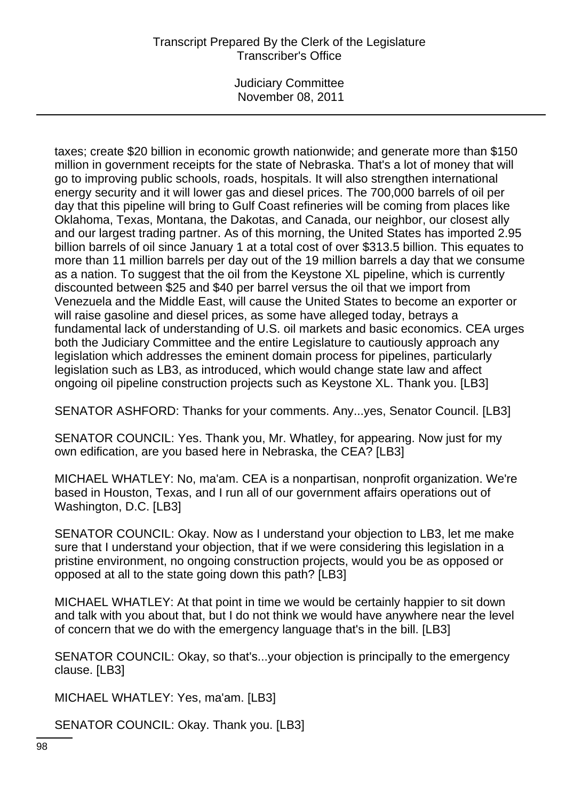## Transcript Prepared By the Clerk of the Legislature Transcriber's Office

Judiciary Committee November 08, 2011

taxes; create \$20 billion in economic growth nationwide; and generate more than \$150 million in government receipts for the state of Nebraska. That's a lot of money that will go to improving public schools, roads, hospitals. It will also strengthen international energy security and it will lower gas and diesel prices. The 700,000 barrels of oil per day that this pipeline will bring to Gulf Coast refineries will be coming from places like Oklahoma, Texas, Montana, the Dakotas, and Canada, our neighbor, our closest ally and our largest trading partner. As of this morning, the United States has imported 2.95 billion barrels of oil since January 1 at a total cost of over \$313.5 billion. This equates to more than 11 million barrels per day out of the 19 million barrels a day that we consume as a nation. To suggest that the oil from the Keystone XL pipeline, which is currently discounted between \$25 and \$40 per barrel versus the oil that we import from Venezuela and the Middle East, will cause the United States to become an exporter or will raise gasoline and diesel prices, as some have alleged today, betrays a fundamental lack of understanding of U.S. oil markets and basic economics. CEA urges both the Judiciary Committee and the entire Legislature to cautiously approach any legislation which addresses the eminent domain process for pipelines, particularly legislation such as LB3, as introduced, which would change state law and affect ongoing oil pipeline construction projects such as Keystone XL. Thank you. [LB3]

SENATOR ASHFORD: Thanks for your comments. Any...yes, Senator Council. [LB3]

SENATOR COUNCIL: Yes. Thank you, Mr. Whatley, for appearing. Now just for my own edification, are you based here in Nebraska, the CEA? [LB3]

MICHAEL WHATLEY: No, ma'am. CEA is a nonpartisan, nonprofit organization. We're based in Houston, Texas, and I run all of our government affairs operations out of Washington, D.C. [LB3]

SENATOR COUNCIL: Okay. Now as I understand your objection to LB3, let me make sure that I understand your objection, that if we were considering this legislation in a pristine environment, no ongoing construction projects, would you be as opposed or opposed at all to the state going down this path? [LB3]

MICHAEL WHATLEY: At that point in time we would be certainly happier to sit down and talk with you about that, but I do not think we would have anywhere near the level of concern that we do with the emergency language that's in the bill. [LB3]

SENATOR COUNCIL: Okay, so that's...your objection is principally to the emergency clause. [LB3]

MICHAEL WHATLEY: Yes, ma'am. [LB3]

SENATOR COUNCIL: Okay. Thank you. [LB3]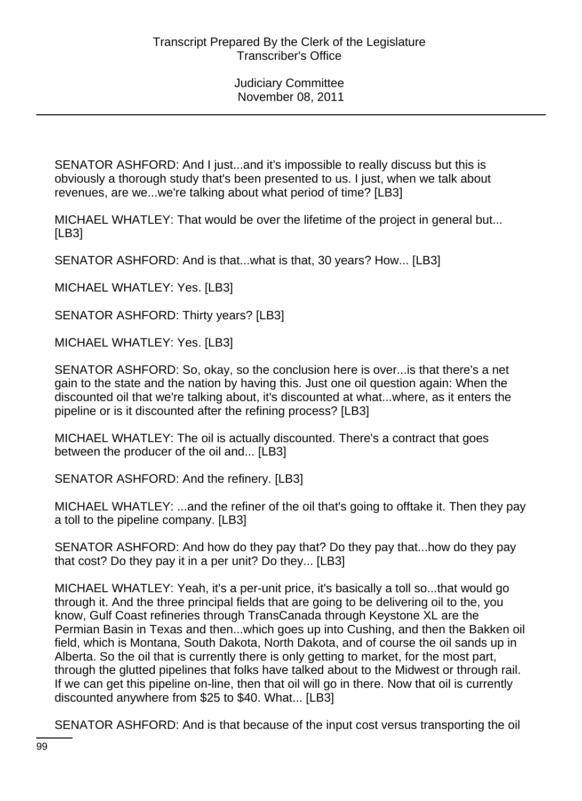SENATOR ASHFORD: And I just...and it's impossible to really discuss but this is obviously a thorough study that's been presented to us. I just, when we talk about revenues, are we...we're talking about what period of time? [LB3]

MICHAEL WHATLEY: That would be over the lifetime of the project in general but... [LB3]

SENATOR ASHFORD: And is that...what is that, 30 years? How... [LB3]

MICHAEL WHATLEY: Yes. [LB3]

SENATOR ASHFORD: Thirty years? [LB3]

MICHAEL WHATLEY: Yes. [LB3]

SENATOR ASHFORD: So, okay, so the conclusion here is over...is that there's a net gain to the state and the nation by having this. Just one oil question again: When the discounted oil that we're talking about, it's discounted at what...where, as it enters the pipeline or is it discounted after the refining process? [LB3]

MICHAEL WHATLEY: The oil is actually discounted. There's a contract that goes between the producer of the oil and... [LB3]

SENATOR ASHFORD: And the refinery. [LB3]

MICHAEL WHATLEY: ...and the refiner of the oil that's going to offtake it. Then they pay a toll to the pipeline company. [LB3]

SENATOR ASHFORD: And how do they pay that? Do they pay that...how do they pay that cost? Do they pay it in a per unit? Do they... [LB3]

MICHAEL WHATLEY: Yeah, it's a per-unit price, it's basically a toll so...that would go through it. And the three principal fields that are going to be delivering oil to the, you know, Gulf Coast refineries through TransCanada through Keystone XL are the Permian Basin in Texas and then...which goes up into Cushing, and then the Bakken oil field, which is Montana, South Dakota, North Dakota, and of course the oil sands up in Alberta. So the oil that is currently there is only getting to market, for the most part, through the glutted pipelines that folks have talked about to the Midwest or through rail. If we can get this pipeline on-line, then that oil will go in there. Now that oil is currently discounted anywhere from \$25 to \$40. What... [LB3]

SENATOR ASHFORD: And is that because of the input cost versus transporting the oil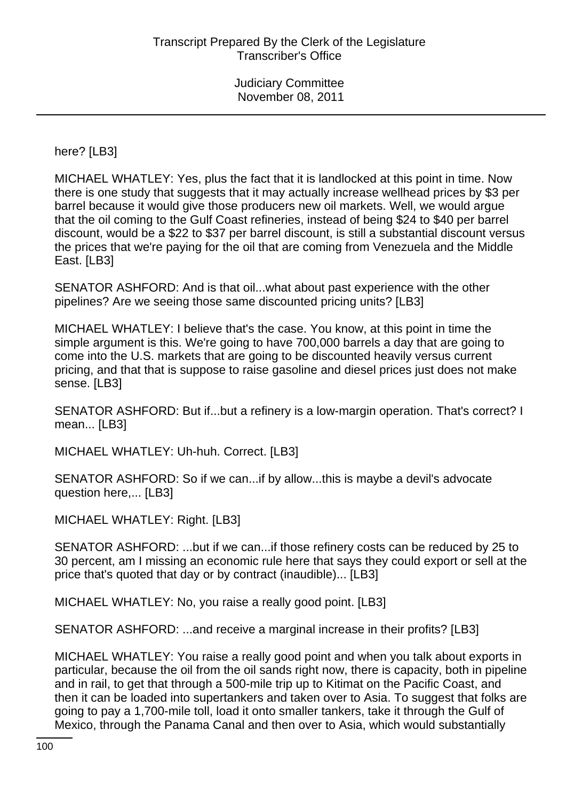here? [LB3]

MICHAEL WHATLEY: Yes, plus the fact that it is landlocked at this point in time. Now there is one study that suggests that it may actually increase wellhead prices by \$3 per barrel because it would give those producers new oil markets. Well, we would argue that the oil coming to the Gulf Coast refineries, instead of being \$24 to \$40 per barrel discount, would be a \$22 to \$37 per barrel discount, is still a substantial discount versus the prices that we're paying for the oil that are coming from Venezuela and the Middle East. [LB3]

SENATOR ASHFORD: And is that oil...what about past experience with the other pipelines? Are we seeing those same discounted pricing units? [LB3]

MICHAEL WHATLEY: I believe that's the case. You know, at this point in time the simple argument is this. We're going to have 700,000 barrels a day that are going to come into the U.S. markets that are going to be discounted heavily versus current pricing, and that that is suppose to raise gasoline and diesel prices just does not make sense. [LB3]

SENATOR ASHFORD: But if...but a refinery is a low-margin operation. That's correct? I mean... [LB3]

MICHAEL WHATLEY: Uh-huh. Correct. [LB3]

SENATOR ASHFORD: So if we can...if by allow...this is maybe a devil's advocate question here,... [LB3]

MICHAEL WHATLEY: Right. [LB3]

SENATOR ASHFORD: ...but if we can...if those refinery costs can be reduced by 25 to 30 percent, am I missing an economic rule here that says they could export or sell at the price that's quoted that day or by contract (inaudible)... [LB3]

MICHAEL WHATLEY: No, you raise a really good point. [LB3]

SENATOR ASHFORD: ...and receive a marginal increase in their profits? [LB3]

MICHAEL WHATLEY: You raise a really good point and when you talk about exports in particular, because the oil from the oil sands right now, there is capacity, both in pipeline and in rail, to get that through a 500-mile trip up to Kitimat on the Pacific Coast, and then it can be loaded into supertankers and taken over to Asia. To suggest that folks are going to pay a 1,700-mile toll, load it onto smaller tankers, take it through the Gulf of Mexico, through the Panama Canal and then over to Asia, which would substantially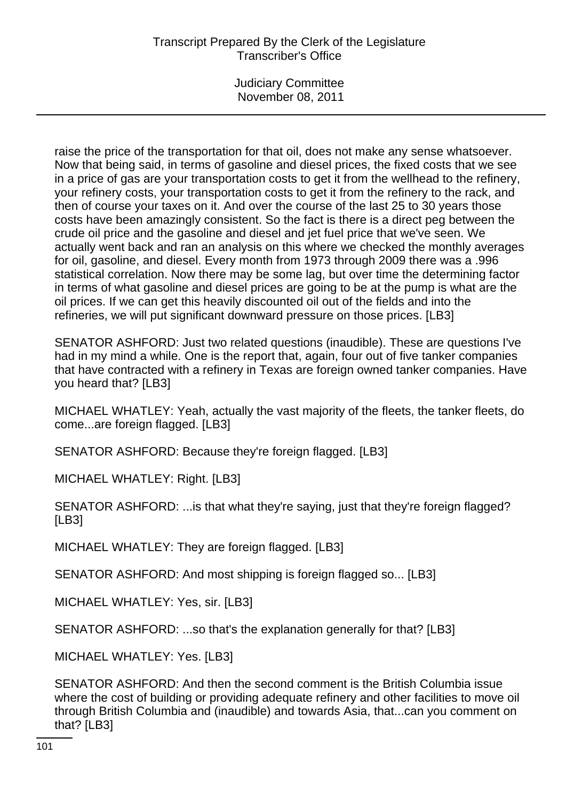# Transcript Prepared By the Clerk of the Legislature Transcriber's Office

Judiciary Committee November 08, 2011

raise the price of the transportation for that oil, does not make any sense whatsoever. Now that being said, in terms of gasoline and diesel prices, the fixed costs that we see in a price of gas are your transportation costs to get it from the wellhead to the refinery, your refinery costs, your transportation costs to get it from the refinery to the rack, and then of course your taxes on it. And over the course of the last 25 to 30 years those costs have been amazingly consistent. So the fact is there is a direct peg between the crude oil price and the gasoline and diesel and jet fuel price that we've seen. We actually went back and ran an analysis on this where we checked the monthly averages for oil, gasoline, and diesel. Every month from 1973 through 2009 there was a .996 statistical correlation. Now there may be some lag, but over time the determining factor in terms of what gasoline and diesel prices are going to be at the pump is what are the oil prices. If we can get this heavily discounted oil out of the fields and into the refineries, we will put significant downward pressure on those prices. [LB3]

SENATOR ASHFORD: Just two related questions (inaudible). These are questions I've had in my mind a while. One is the report that, again, four out of five tanker companies that have contracted with a refinery in Texas are foreign owned tanker companies. Have you heard that? [LB3]

MICHAEL WHATLEY: Yeah, actually the vast majority of the fleets, the tanker fleets, do come...are foreign flagged. [LB3]

SENATOR ASHFORD: Because they're foreign flagged. [LB3]

MICHAEL WHATLEY: Right. [LB3]

SENATOR ASHFORD: ...is that what they're saying, just that they're foreign flagged? [LB3]

MICHAEL WHATLEY: They are foreign flagged. [LB3]

SENATOR ASHFORD: And most shipping is foreign flagged so... [LB3]

MICHAEL WHATLEY: Yes, sir. [LB3]

SENATOR ASHFORD: ...so that's the explanation generally for that? [LB3]

MICHAEL WHATLEY: Yes. [LB3]

SENATOR ASHFORD: And then the second comment is the British Columbia issue where the cost of building or providing adequate refinery and other facilities to move oil through British Columbia and (inaudible) and towards Asia, that...can you comment on that? [LB3]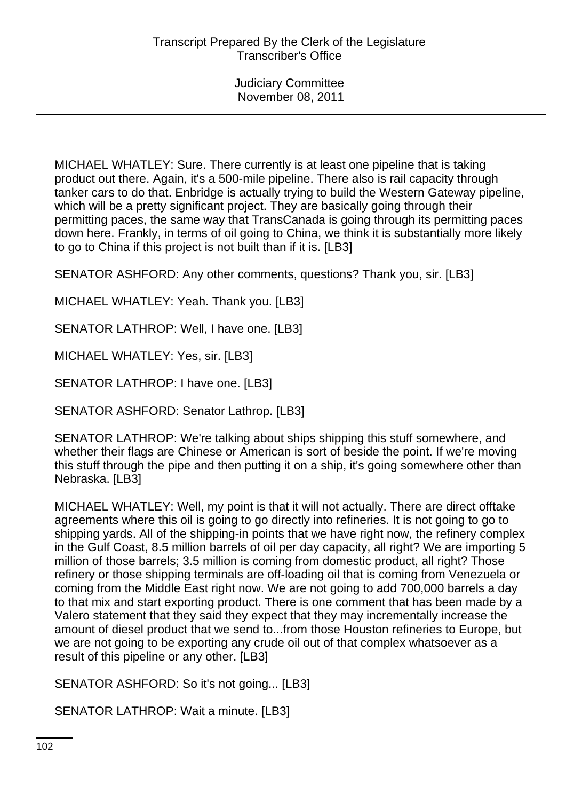MICHAEL WHATLEY: Sure. There currently is at least one pipeline that is taking product out there. Again, it's a 500-mile pipeline. There also is rail capacity through tanker cars to do that. Enbridge is actually trying to build the Western Gateway pipeline, which will be a pretty significant project. They are basically going through their permitting paces, the same way that TransCanada is going through its permitting paces down here. Frankly, in terms of oil going to China, we think it is substantially more likely to go to China if this project is not built than if it is. [LB3]

SENATOR ASHFORD: Any other comments, questions? Thank you, sir. [LB3]

MICHAEL WHATLEY: Yeah. Thank you. [LB3]

SENATOR LATHROP: Well, I have one. [LB3]

MICHAEL WHATLEY: Yes, sir. [LB3]

SENATOR LATHROP: I have one. [LB3]

SENATOR ASHFORD: Senator Lathrop. [LB3]

SENATOR LATHROP: We're talking about ships shipping this stuff somewhere, and whether their flags are Chinese or American is sort of beside the point. If we're moving this stuff through the pipe and then putting it on a ship, it's going somewhere other than Nebraska. [LB3]

MICHAEL WHATLEY: Well, my point is that it will not actually. There are direct offtake agreements where this oil is going to go directly into refineries. It is not going to go to shipping yards. All of the shipping-in points that we have right now, the refinery complex in the Gulf Coast, 8.5 million barrels of oil per day capacity, all right? We are importing 5 million of those barrels; 3.5 million is coming from domestic product, all right? Those refinery or those shipping terminals are off-loading oil that is coming from Venezuela or coming from the Middle East right now. We are not going to add 700,000 barrels a day to that mix and start exporting product. There is one comment that has been made by a Valero statement that they said they expect that they may incrementally increase the amount of diesel product that we send to...from those Houston refineries to Europe, but we are not going to be exporting any crude oil out of that complex whatsoever as a result of this pipeline or any other. [LB3]

SENATOR ASHFORD: So it's not going... [LB3]

SENATOR LATHROP: Wait a minute. [LB3]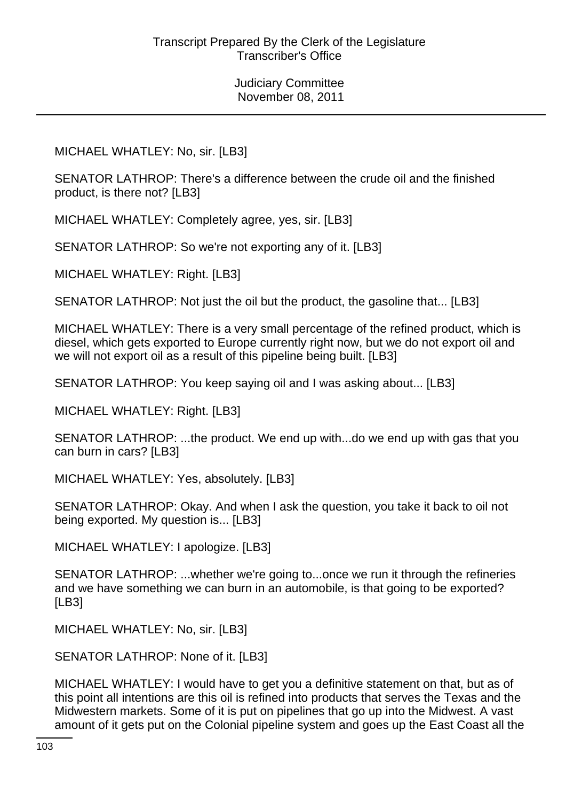MICHAEL WHATLEY: No, sir. [LB3]

SENATOR LATHROP: There's a difference between the crude oil and the finished product, is there not? [LB3]

MICHAEL WHATLEY: Completely agree, yes, sir. [LB3]

SENATOR LATHROP: So we're not exporting any of it. [LB3]

MICHAEL WHATLEY: Right. [LB3]

SENATOR LATHROP: Not just the oil but the product, the gasoline that... [LB3]

MICHAEL WHATLEY: There is a very small percentage of the refined product, which is diesel, which gets exported to Europe currently right now, but we do not export oil and we will not export oil as a result of this pipeline being built. [LB3]

SENATOR LATHROP: You keep saying oil and I was asking about... [LB3]

MICHAEL WHATLEY: Right. [LB3]

SENATOR LATHROP: ...the product. We end up with...do we end up with gas that you can burn in cars? [LB3]

MICHAEL WHATLEY: Yes, absolutely. [LB3]

SENATOR LATHROP: Okay. And when I ask the question, you take it back to oil not being exported. My question is... [LB3]

MICHAEL WHATLEY: I apologize. [LB3]

SENATOR LATHROP: ...whether we're going to...once we run it through the refineries and we have something we can burn in an automobile, is that going to be exported? [LB3]

MICHAEL WHATLEY: No, sir. [LB3]

SENATOR LATHROP: None of it. [LB3]

MICHAEL WHATLEY: I would have to get you a definitive statement on that, but as of this point all intentions are this oil is refined into products that serves the Texas and the Midwestern markets. Some of it is put on pipelines that go up into the Midwest. A vast amount of it gets put on the Colonial pipeline system and goes up the East Coast all the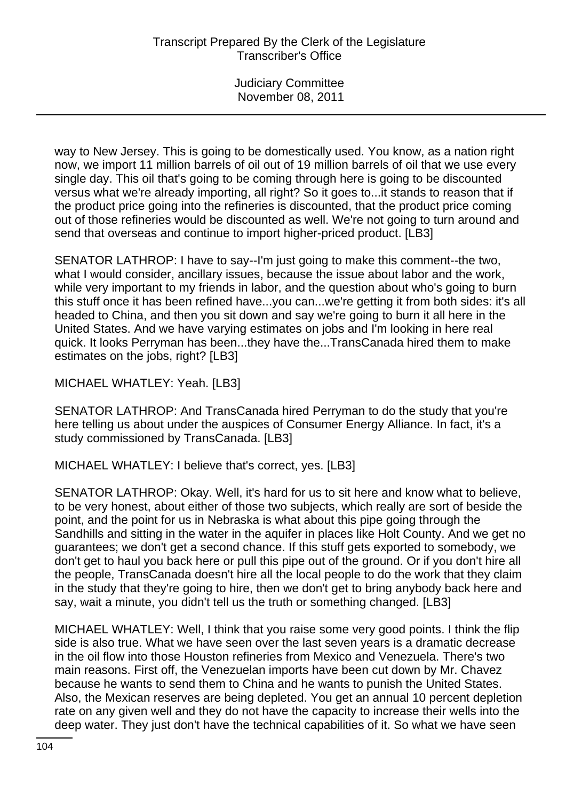way to New Jersey. This is going to be domestically used. You know, as a nation right now, we import 11 million barrels of oil out of 19 million barrels of oil that we use every single day. This oil that's going to be coming through here is going to be discounted versus what we're already importing, all right? So it goes to...it stands to reason that if the product price going into the refineries is discounted, that the product price coming out of those refineries would be discounted as well. We're not going to turn around and send that overseas and continue to import higher-priced product. [LB3]

SENATOR LATHROP: I have to say--I'm just going to make this comment--the two, what I would consider, ancillary issues, because the issue about labor and the work, while very important to my friends in labor, and the question about who's going to burn this stuff once it has been refined have...you can...we're getting it from both sides: it's all headed to China, and then you sit down and say we're going to burn it all here in the United States. And we have varying estimates on jobs and I'm looking in here real quick. It looks Perryman has been...they have the...TransCanada hired them to make estimates on the jobs, right? [LB3]

MICHAEL WHATLEY: Yeah. [LB3]

SENATOR LATHROP: And TransCanada hired Perryman to do the study that you're here telling us about under the auspices of Consumer Energy Alliance. In fact, it's a study commissioned by TransCanada. [LB3]

MICHAEL WHATLEY: I believe that's correct, yes. [LB3]

SENATOR LATHROP: Okay. Well, it's hard for us to sit here and know what to believe, to be very honest, about either of those two subjects, which really are sort of beside the point, and the point for us in Nebraska is what about this pipe going through the Sandhills and sitting in the water in the aquifer in places like Holt County. And we get no guarantees; we don't get a second chance. If this stuff gets exported to somebody, we don't get to haul you back here or pull this pipe out of the ground. Or if you don't hire all the people, TransCanada doesn't hire all the local people to do the work that they claim in the study that they're going to hire, then we don't get to bring anybody back here and say, wait a minute, you didn't tell us the truth or something changed. [LB3]

MICHAEL WHATLEY: Well, I think that you raise some very good points. I think the flip side is also true. What we have seen over the last seven years is a dramatic decrease in the oil flow into those Houston refineries from Mexico and Venezuela. There's two main reasons. First off, the Venezuelan imports have been cut down by Mr. Chavez because he wants to send them to China and he wants to punish the United States. Also, the Mexican reserves are being depleted. You get an annual 10 percent depletion rate on any given well and they do not have the capacity to increase their wells into the deep water. They just don't have the technical capabilities of it. So what we have seen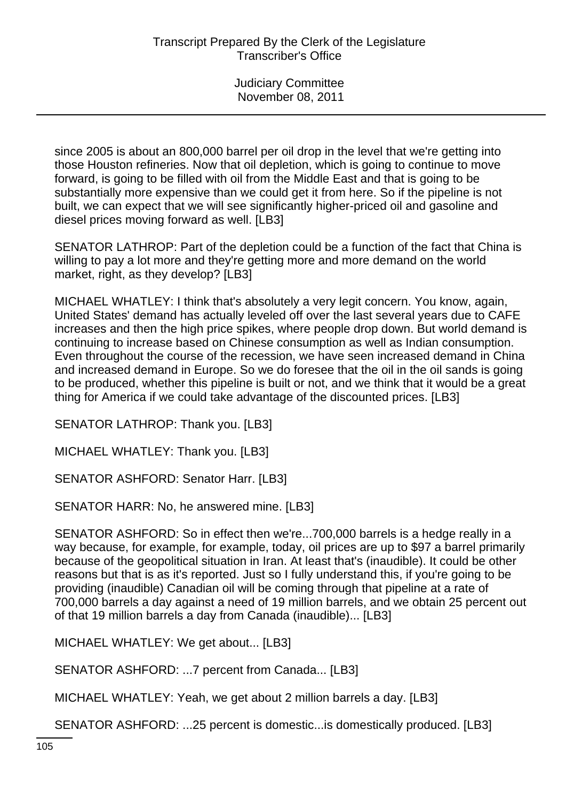since 2005 is about an 800,000 barrel per oil drop in the level that we're getting into those Houston refineries. Now that oil depletion, which is going to continue to move forward, is going to be filled with oil from the Middle East and that is going to be substantially more expensive than we could get it from here. So if the pipeline is not built, we can expect that we will see significantly higher-priced oil and gasoline and diesel prices moving forward as well. [LB3]

SENATOR LATHROP: Part of the depletion could be a function of the fact that China is willing to pay a lot more and they're getting more and more demand on the world market, right, as they develop? [LB3]

MICHAEL WHATLEY: I think that's absolutely a very legit concern. You know, again, United States' demand has actually leveled off over the last several years due to CAFE increases and then the high price spikes, where people drop down. But world demand is continuing to increase based on Chinese consumption as well as Indian consumption. Even throughout the course of the recession, we have seen increased demand in China and increased demand in Europe. So we do foresee that the oil in the oil sands is going to be produced, whether this pipeline is built or not, and we think that it would be a great thing for America if we could take advantage of the discounted prices. [LB3]

SENATOR LATHROP: Thank you. [LB3]

MICHAEL WHATLEY: Thank you. [LB3]

SENATOR ASHFORD: Senator Harr. [LB3]

SENATOR HARR: No, he answered mine. [LB3]

SENATOR ASHFORD: So in effect then we're...700,000 barrels is a hedge really in a way because, for example, for example, today, oil prices are up to \$97 a barrel primarily because of the geopolitical situation in Iran. At least that's (inaudible). It could be other reasons but that is as it's reported. Just so I fully understand this, if you're going to be providing (inaudible) Canadian oil will be coming through that pipeline at a rate of 700,000 barrels a day against a need of 19 million barrels, and we obtain 25 percent out of that 19 million barrels a day from Canada (inaudible)... [LB3]

MICHAEL WHATLEY: We get about... [LB3]

SENATOR ASHFORD: ...7 percent from Canada... [LB3]

MICHAEL WHATLEY: Yeah, we get about 2 million barrels a day. [LB3]

SENATOR ASHFORD: ...25 percent is domestic...is domestically produced. [LB3]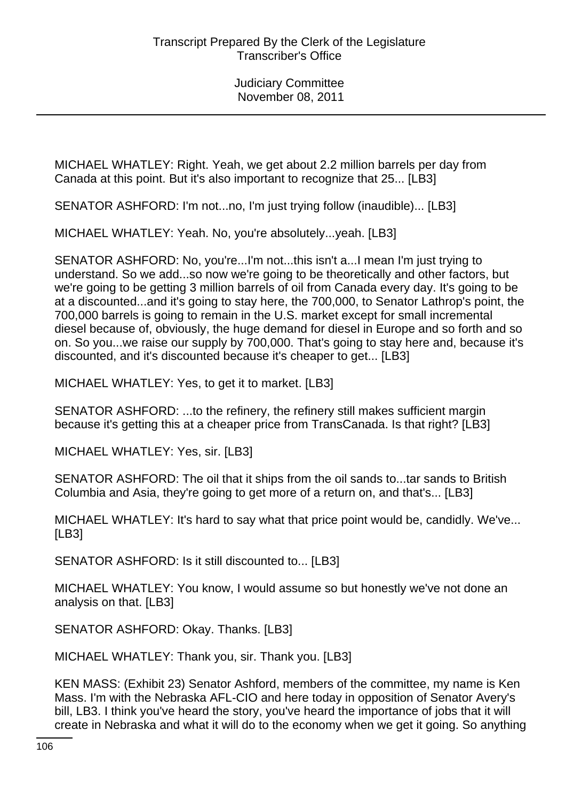MICHAEL WHATLEY: Right. Yeah, we get about 2.2 million barrels per day from Canada at this point. But it's also important to recognize that 25... [LB3]

SENATOR ASHFORD: I'm not...no, I'm just trying follow (inaudible)... [LB3]

MICHAEL WHATLEY: Yeah. No, you're absolutely...yeah. [LB3]

SENATOR ASHFORD: No, you're...I'm not...this isn't a...I mean I'm just trying to understand. So we add...so now we're going to be theoretically and other factors, but we're going to be getting 3 million barrels of oil from Canada every day. It's going to be at a discounted...and it's going to stay here, the 700,000, to Senator Lathrop's point, the 700,000 barrels is going to remain in the U.S. market except for small incremental diesel because of, obviously, the huge demand for diesel in Europe and so forth and so on. So you...we raise our supply by 700,000. That's going to stay here and, because it's discounted, and it's discounted because it's cheaper to get... [LB3]

MICHAEL WHATLEY: Yes, to get it to market. [LB3]

SENATOR ASHFORD: ...to the refinery, the refinery still makes sufficient margin because it's getting this at a cheaper price from TransCanada. Is that right? [LB3]

MICHAEL WHATLEY: Yes, sir. [LB3]

SENATOR ASHFORD: The oil that it ships from the oil sands to...tar sands to British Columbia and Asia, they're going to get more of a return on, and that's... [LB3]

MICHAEL WHATLEY: It's hard to say what that price point would be, candidly. We've... [LB3]

SENATOR ASHFORD: Is it still discounted to... [LB3]

MICHAEL WHATLEY: You know, I would assume so but honestly we've not done an analysis on that. [LB3]

SENATOR ASHFORD: Okay. Thanks. [LB3]

MICHAEL WHATLEY: Thank you, sir. Thank you. [LB3]

KEN MASS: (Exhibit 23) Senator Ashford, members of the committee, my name is Ken Mass. I'm with the Nebraska AFL-CIO and here today in opposition of Senator Avery's bill, LB3. I think you've heard the story, you've heard the importance of jobs that it will create in Nebraska and what it will do to the economy when we get it going. So anything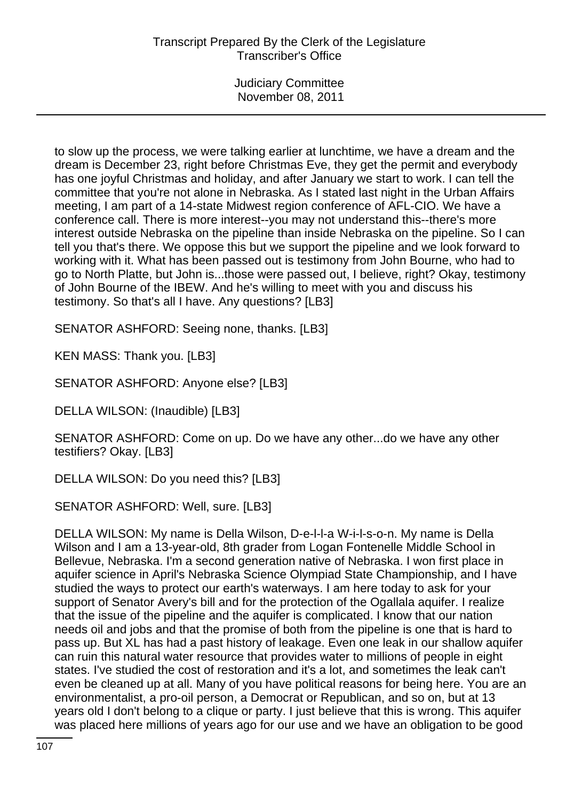to slow up the process, we were talking earlier at lunchtime, we have a dream and the dream is December 23, right before Christmas Eve, they get the permit and everybody has one joyful Christmas and holiday, and after January we start to work. I can tell the committee that you're not alone in Nebraska. As I stated last night in the Urban Affairs meeting, I am part of a 14-state Midwest region conference of AFL-CIO. We have a conference call. There is more interest--you may not understand this--there's more interest outside Nebraska on the pipeline than inside Nebraska on the pipeline. So I can tell you that's there. We oppose this but we support the pipeline and we look forward to working with it. What has been passed out is testimony from John Bourne, who had to go to North Platte, but John is...those were passed out, I believe, right? Okay, testimony of John Bourne of the IBEW. And he's willing to meet with you and discuss his testimony. So that's all I have. Any questions? [LB3]

SENATOR ASHFORD: Seeing none, thanks. [LB3]

KEN MASS: Thank you. [LB3]

SENATOR ASHFORD: Anyone else? [LB3]

DELLA WILSON: (Inaudible) [LB3]

SENATOR ASHFORD: Come on up. Do we have any other...do we have any other testifiers? Okay. [LB3]

DELLA WILSON: Do you need this? [LB3]

SENATOR ASHFORD: Well, sure. [LB3]

DELLA WILSON: My name is Della Wilson, D-e-l-l-a W-i-l-s-o-n. My name is Della Wilson and I am a 13-year-old, 8th grader from Logan Fontenelle Middle School in Bellevue, Nebraska. I'm a second generation native of Nebraska. I won first place in aquifer science in April's Nebraska Science Olympiad State Championship, and I have studied the ways to protect our earth's waterways. I am here today to ask for your support of Senator Avery's bill and for the protection of the Ogallala aquifer. I realize that the issue of the pipeline and the aquifer is complicated. I know that our nation needs oil and jobs and that the promise of both from the pipeline is one that is hard to pass up. But XL has had a past history of leakage. Even one leak in our shallow aquifer can ruin this natural water resource that provides water to millions of people in eight states. I've studied the cost of restoration and it's a lot, and sometimes the leak can't even be cleaned up at all. Many of you have political reasons for being here. You are an environmentalist, a pro-oil person, a Democrat or Republican, and so on, but at 13 years old I don't belong to a clique or party. I just believe that this is wrong. This aquifer was placed here millions of years ago for our use and we have an obligation to be good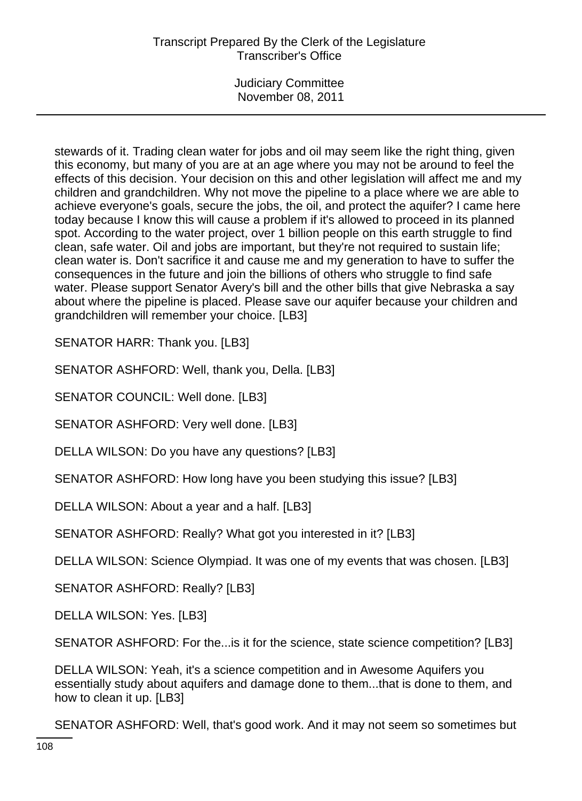# Transcript Prepared By the Clerk of the Legislature Transcriber's Office

Judiciary Committee November 08, 2011

stewards of it. Trading clean water for jobs and oil may seem like the right thing, given this economy, but many of you are at an age where you may not be around to feel the effects of this decision. Your decision on this and other legislation will affect me and my children and grandchildren. Why not move the pipeline to a place where we are able to achieve everyone's goals, secure the jobs, the oil, and protect the aquifer? I came here today because I know this will cause a problem if it's allowed to proceed in its planned spot. According to the water project, over 1 billion people on this earth struggle to find clean, safe water. Oil and jobs are important, but they're not required to sustain life; clean water is. Don't sacrifice it and cause me and my generation to have to suffer the consequences in the future and join the billions of others who struggle to find safe water. Please support Senator Avery's bill and the other bills that give Nebraska a say about where the pipeline is placed. Please save our aquifer because your children and grandchildren will remember your choice. [LB3]

SENATOR HARR: Thank you. [LB3]

SENATOR ASHFORD: Well, thank you, Della. [LB3]

SENATOR COUNCIL: Well done. [LB3]

SENATOR ASHFORD: Very well done. [LB3]

DELLA WILSON: Do you have any questions? [LB3]

SENATOR ASHFORD: How long have you been studying this issue? [LB3]

DELLA WILSON: About a year and a half. [LB3]

SENATOR ASHFORD: Really? What got you interested in it? [LB3]

DELLA WILSON: Science Olympiad. It was one of my events that was chosen. [LB3]

SENATOR ASHFORD: Really? [LB3]

DELLA WILSON: Yes. [LB3]

SENATOR ASHFORD: For the...is it for the science, state science competition? [LB3]

DELLA WILSON: Yeah, it's a science competition and in Awesome Aquifers you essentially study about aquifers and damage done to them...that is done to them, and how to clean it up. [LB3]

SENATOR ASHFORD: Well, that's good work. And it may not seem so sometimes but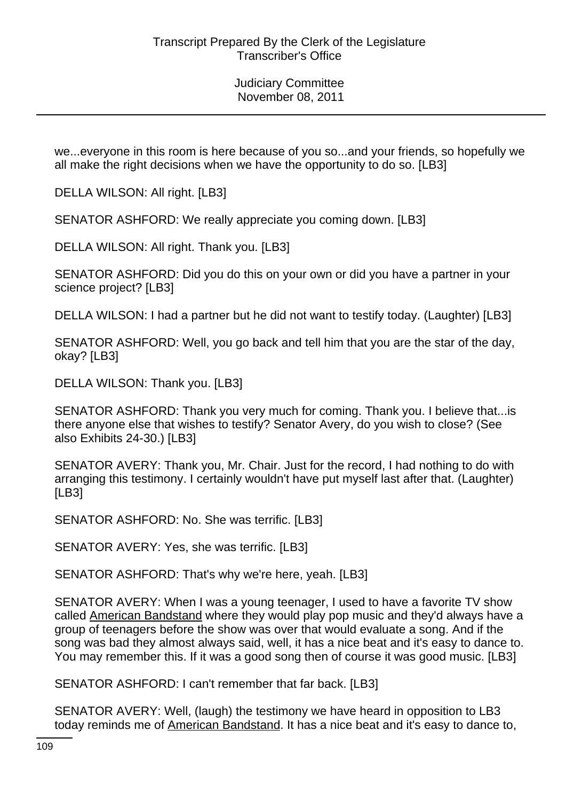Judiciary Committee November 08, 2011

we...everyone in this room is here because of you so...and your friends, so hopefully we all make the right decisions when we have the opportunity to do so. [LB3]

DELLA WILSON: All right. [LB3]

SENATOR ASHFORD: We really appreciate you coming down. [LB3]

DELLA WILSON: All right. Thank you. [LB3]

SENATOR ASHFORD: Did you do this on your own or did you have a partner in your science project? [LB3]

DELLA WILSON: I had a partner but he did not want to testify today. (Laughter) [LB3]

SENATOR ASHFORD: Well, you go back and tell him that you are the star of the day, okay? [LB3]

DELLA WILSON: Thank you. [LB3]

SENATOR ASHFORD: Thank you very much for coming. Thank you. I believe that...is there anyone else that wishes to testify? Senator Avery, do you wish to close? (See also Exhibits 24-30.) [LB3]

SENATOR AVERY: Thank you, Mr. Chair. Just for the record, I had nothing to do with arranging this testimony. I certainly wouldn't have put myself last after that. (Laughter) [LB3]

SENATOR ASHFORD: No. She was terrific. [LB3]

SENATOR AVERY: Yes, she was terrific. [LB3]

SENATOR ASHFORD: That's why we're here, yeah. [LB3]

SENATOR AVERY: When I was a young teenager, I used to have a favorite TV show called American Bandstand where they would play pop music and they'd always have a group of teenagers before the show was over that would evaluate a song. And if the song was bad they almost always said, well, it has a nice beat and it's easy to dance to. You may remember this. If it was a good song then of course it was good music. [LB3]

SENATOR ASHFORD: I can't remember that far back. [LB3]

SENATOR AVERY: Well, (laugh) the testimony we have heard in opposition to LB3 today reminds me of American Bandstand. It has a nice beat and it's easy to dance to,